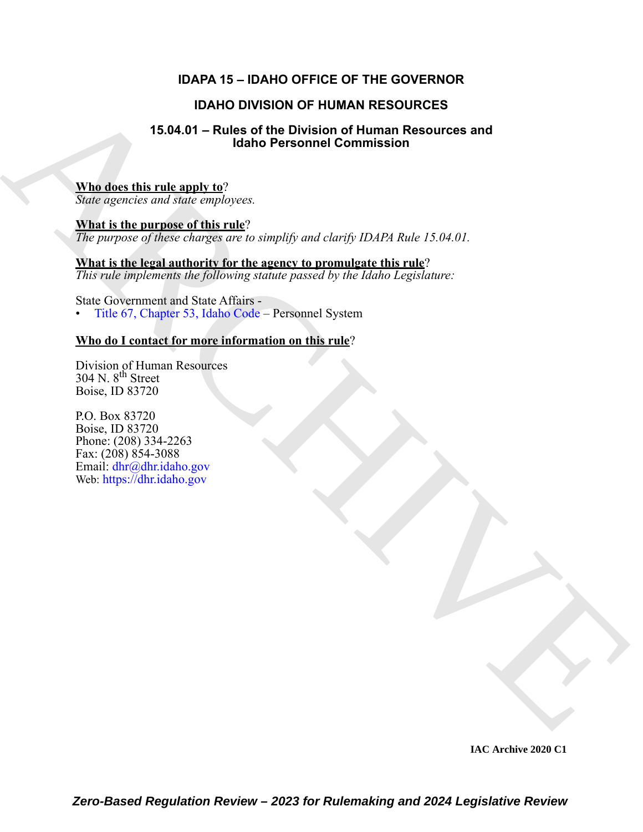### **IDAPA 15 – IDAHO OFFICE OF THE GOVERNOR**

### **IDAHO DIVISION OF HUMAN RESOURCES**

#### **15.04.01 – Rules of the Division of Human Resources and Idaho Personnel Commission**

#### **Who does this rule apply to**?

*State agencies and state employees.*

IDANG DIVISION OF HUMAN RESOU[RC](https://legislature.idaho.gov/statutesrules/idstat/Title67/T67CH53/)ES<br>
15.04.01 - Rules of the Division of Human Resources and<br>
When does this rule amply to:<br>
None regresse of this rate)<br>
What is the purpose of this rate)<br>
The propose of this rate)<br>
The pro **What is the purpose of this rule**? *The purpose of these charges are to simplify and clarify IDAPA Rule 15.04.01.*

### **What is the legal authority for the agency to promulgate this rule**?

*This rule implements the following statute passed by the Idaho Legislature:*

State Government and State Affairs - • Title 67, Chapter 53, Idaho Code – Personnel System

#### **Who do I contact for more information on this rule**?

Division of Human Resources  $304$  N.  $8<sup>th</sup>$  Street Boise, ID 83720

P.O. Box 83720 Boise, ID 83720 Phone: (208) 334-2263 Fax: (208) 854-3088 Email: dhr@dhr.idaho.gov Web: https://dhr.idaho.gov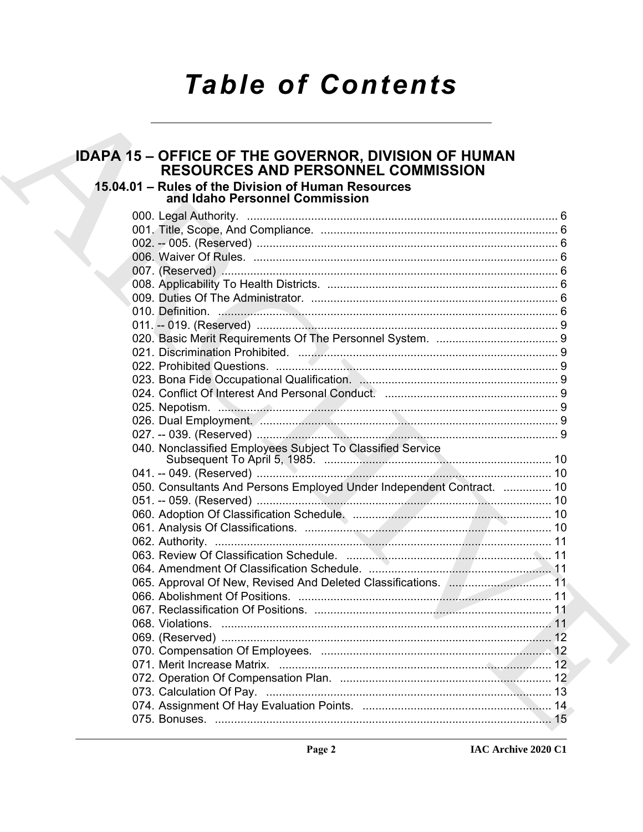# **Table of Contents**

# **IDAPA 15 – OFFICE OF THE GOVERNOR, DIVISION OF HUMAN<br>RESOURCES AND PERSONNEL COMMISSION**

## 15.04.01 - Rules of the Division of Human Resources<br>and Idaho Personnel Commission

| 040. Nonclassified Employees Subject To Classified Service            |  |
|-----------------------------------------------------------------------|--|
|                                                                       |  |
| 050. Consultants And Persons Employed Under Independent Contract.  10 |  |
|                                                                       |  |
|                                                                       |  |
|                                                                       |  |
|                                                                       |  |
|                                                                       |  |
|                                                                       |  |
|                                                                       |  |
|                                                                       |  |
|                                                                       |  |
|                                                                       |  |
|                                                                       |  |
|                                                                       |  |
|                                                                       |  |
|                                                                       |  |
|                                                                       |  |
|                                                                       |  |
|                                                                       |  |
|                                                                       |  |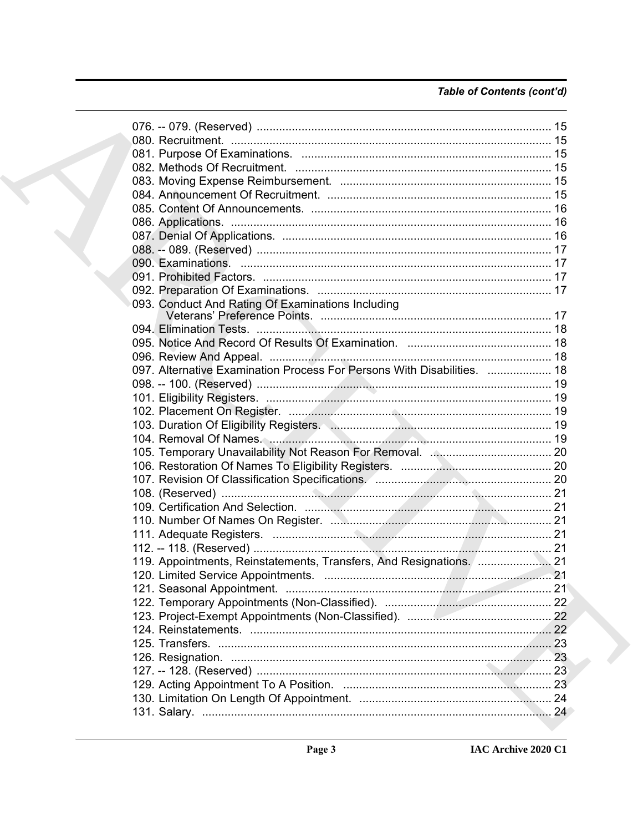### Table of Contents (cont'd)

|  | 093. Conduct And Rating Of Examinations Including                       |  |
|--|-------------------------------------------------------------------------|--|
|  |                                                                         |  |
|  |                                                                         |  |
|  |                                                                         |  |
|  |                                                                         |  |
|  | 097. Alternative Examination Process For Persons With Disabilities.  18 |  |
|  |                                                                         |  |
|  |                                                                         |  |
|  |                                                                         |  |
|  |                                                                         |  |
|  |                                                                         |  |
|  |                                                                         |  |
|  |                                                                         |  |
|  |                                                                         |  |
|  |                                                                         |  |
|  |                                                                         |  |
|  |                                                                         |  |
|  |                                                                         |  |
|  |                                                                         |  |
|  |                                                                         |  |
|  |                                                                         |  |
|  |                                                                         |  |
|  |                                                                         |  |
|  |                                                                         |  |
|  |                                                                         |  |
|  |                                                                         |  |
|  |                                                                         |  |
|  |                                                                         |  |
|  |                                                                         |  |
|  |                                                                         |  |
|  |                                                                         |  |
|  |                                                                         |  |
|  |                                                                         |  |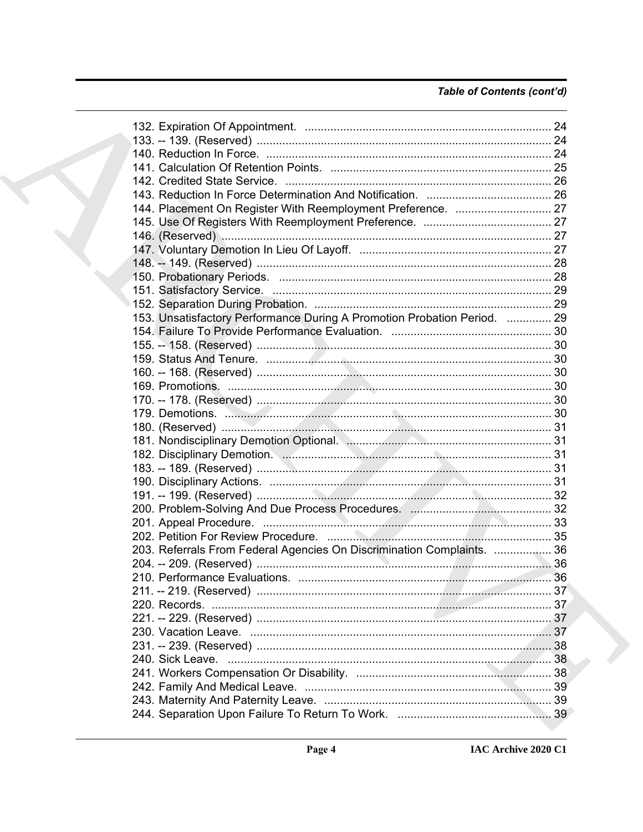### Table of Contents (cont'd)

|  | 153. Unsatisfactory Performance During A Promotion Probation Period.  29 |  |
|--|--------------------------------------------------------------------------|--|
|  |                                                                          |  |
|  |                                                                          |  |
|  |                                                                          |  |
|  |                                                                          |  |
|  |                                                                          |  |
|  |                                                                          |  |
|  |                                                                          |  |
|  |                                                                          |  |
|  |                                                                          |  |
|  |                                                                          |  |
|  |                                                                          |  |
|  |                                                                          |  |
|  |                                                                          |  |
|  |                                                                          |  |
|  |                                                                          |  |
|  |                                                                          |  |
|  | 203. Referrals From Federal Agencies On Discrimination Complaints.  36   |  |
|  |                                                                          |  |
|  |                                                                          |  |
|  |                                                                          |  |
|  |                                                                          |  |
|  |                                                                          |  |
|  |                                                                          |  |
|  |                                                                          |  |
|  |                                                                          |  |
|  |                                                                          |  |
|  |                                                                          |  |
|  |                                                                          |  |
|  |                                                                          |  |
|  |                                                                          |  |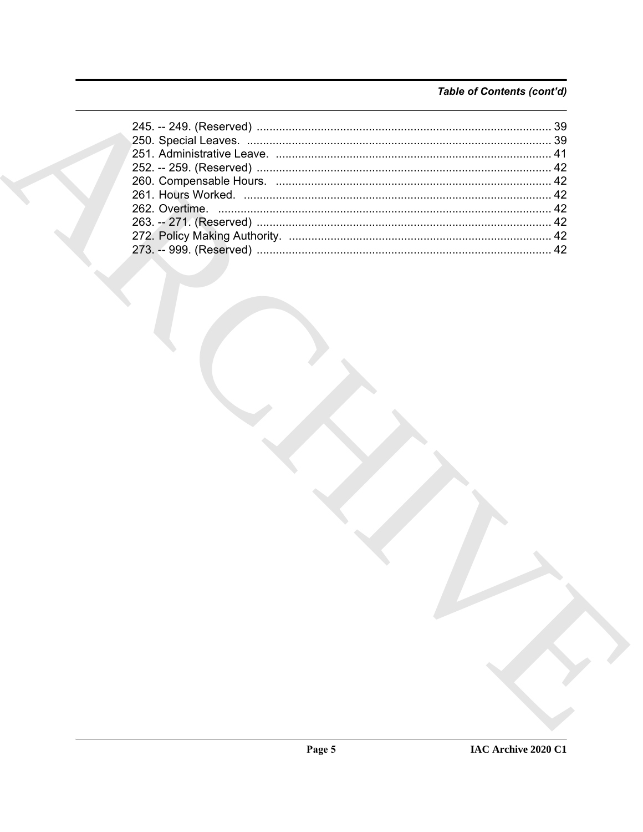### Table of Contents (cont'd)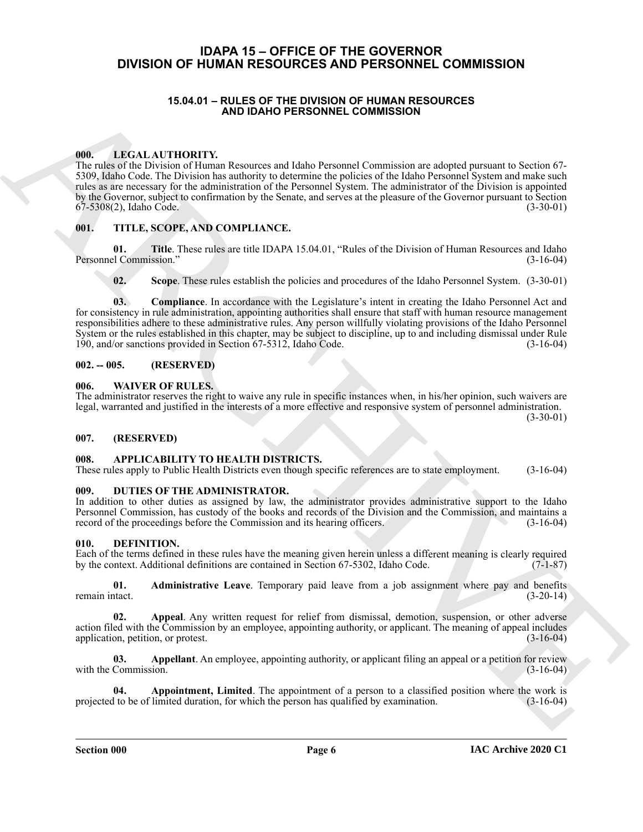#### <span id="page-5-0"></span>**IDAPA 15 – OFFICE OF THE GOVERNOR DIVISION OF HUMAN RESOURCES AND PERSONNEL COMMISSION**

#### **15.04.01 – RULES OF THE DIVISION OF HUMAN RESOURCES AND IDAHO PERSONNEL COMMISSION**

#### <span id="page-5-17"></span><span id="page-5-2"></span><span id="page-5-1"></span>**000. LEGAL AUTHORITY.**

**15.44.0.1** • **AUCAUT CONFIDENTIAL CONFIDENTIAL CONFIDENTIAL CONFIDENTIAL CONFIDENTIAL CONFIDENTIAL CONFIDENTIAL CONFIDENTIAL CONFIDENTIAL CONFIDENTIAL CONFIDENTIAL CONFIDENTIAL CONFIDENTIAL CONFIDENTIAL CONFIDENTIAL CONF** The rules of the Division of Human Resources and Idaho Personnel Commission are adopted pursuant to Section 67- 5309, Idaho Code. The Division has authority to determine the policies of the Idaho Personnel System and make such rules as are necessary for the administration of the Personnel System. The administrator of the Division is appointed by the Governor, subject to confirmation by the Senate, and serves at the pleasure of the Governor pursuant to Section 67-5308(2), Idaho Code. (3-30-01)

#### <span id="page-5-18"></span><span id="page-5-3"></span>**001. TITLE, SCOPE, AND COMPLIANCE.**

**01. Title**. These rules are title IDAPA 15.04.01, "Rules of the Division of Human Resources and Idaho Personnel Commission." (3-16-04)

**02. Scope**. These rules establish the policies and procedures of the Idaho Personnel System. (3-30-01)

**03. Compliance**. In accordance with the Legislature's intent in creating the Idaho Personnel Act and for consistency in rule administration, appointing authorities shall ensure that staff with human resource management responsibilities adhere to these administrative rules. Any person willfully violating provisions of the Idaho Personnel System or the rules established in this chapter, may be subject to discipline, up to and including dismissal under Rule 190, and/or sanctions provided in Section 67-5312, Idaho Code. (3-16-04)

#### <span id="page-5-4"></span>**002. -- 005. (RESERVED)**

#### <span id="page-5-19"></span><span id="page-5-5"></span>**006. WAIVER OF RULES.**

The administrator reserves the right to waive any rule in specific instances when, in his/her opinion, such waivers are legal, warranted and justified in the interests of a more effective and responsive system of personnel administration.  $(3-30-01)$ 

#### <span id="page-5-6"></span>**007. (RESERVED)**

#### <span id="page-5-10"></span><span id="page-5-7"></span>**008. APPLICABILITY TO HEALTH DISTRICTS.**

These rules apply to Public Health Districts even though specific references are to state employment. (3-16-04)

#### <span id="page-5-16"></span><span id="page-5-8"></span>**009. DUTIES OF THE ADMINISTRATOR.**

In addition to other duties as assigned by law, the administrator provides administrative support to the Idaho Personnel Commission, has custody of the books and records of the Division and the Commission, and maintains a record of the proceedings before the Commission and its hearing officers. (3-16-04)

#### <span id="page-5-11"></span><span id="page-5-9"></span>**010. DEFINITION.**

Each of the terms defined in these rules have the meaning given herein unless a different meaning is clearly required by the context. Additional definitions are contained in Section 67-5302, Idaho Code. (7-1-87)

<span id="page-5-12"></span>**01. Administrative Leave**. Temporary paid leave from a job assignment where pay and benefits tact. (3-20-14) remain intact.

<span id="page-5-13"></span>**02. Appeal**. Any written request for relief from dismissal, demotion, suspension, or other adverse action filed with the Commission by an employee, appointing authority, or applicant. The meaning of appeal includes application, petition, or protest. (3-16-04)

<span id="page-5-14"></span>**03. Appellant**. An employee, appointing authority, or applicant filing an appeal or a petition for review Commission. (3-16-04) with the Commission.

<span id="page-5-15"></span>**04. Appointment, Limited**. The appointment of a person to a classified position where the work is projected to be of limited duration, for which the person has qualified by examination. (3-16-04)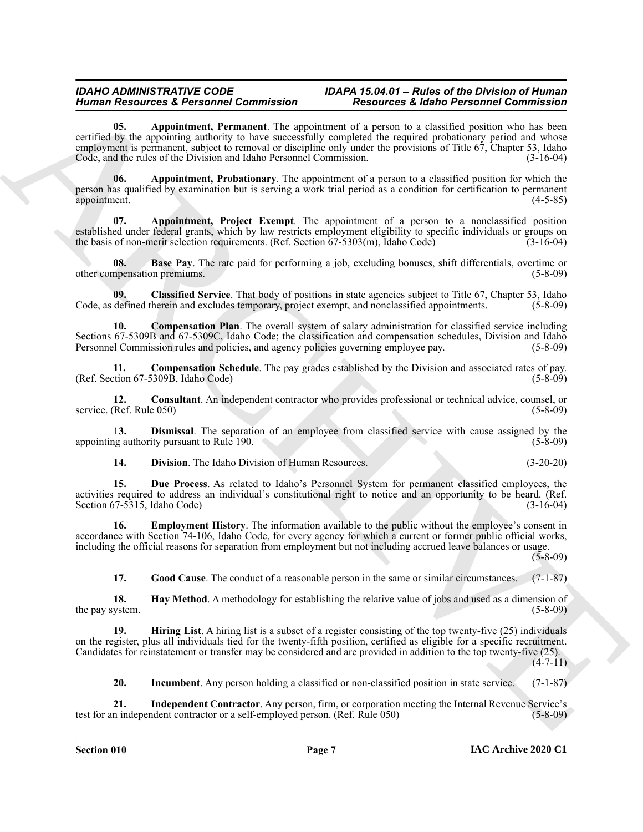#### <span id="page-6-0"></span>*IDAHO ADMINISTRATIVE CODE IDAPA 15.04.01 – Rules of the Division of Human Human Resources & Personnel Commission Resources & Idaho Personnel Commission*

Human Research de Resident Generalistand (18 metrics) Research de Research de Research de Research de Research<br>
Seconds University (18 metrics) and the second second the second of the second of the second of the second of **05. Appointment, Permanent**. The appointment of a person to a classified position who has been certified by the appointing authority to have successfully completed the required probationary period and whose employment is permanent, subject to removal or discipline only under the provisions of Title 67, Chapter 53, Idaho Code, and the rules of the Division and Idaho Personnel Commission. (3-16-04)

<span id="page-6-1"></span>**06. Appointment, Probationary**. The appointment of a person to a classified position for which the person has qualified by examination but is serving a work trial period as a condition for certification to permanent appointment. (4-5-85)

<span id="page-6-2"></span>**07. Appointment, Project Exempt**. The appointment of a person to a nonclassified position established under federal grants, which by law restricts employment eligibility to specific individuals or groups on the basis of non-merit selection requirements. (Ref. Section 67-5303(m), Idaho Code) (3-16-04)

<span id="page-6-3"></span>**08. Base Pay**. The rate paid for performing a job, excluding bonuses, shift differentials, overtime or other compensation premiums. (5-8-09)

<span id="page-6-4"></span>**09. Classified Service**. That body of positions in state agencies subject to Title 67, Chapter 53, Idaho Code, as defined therein and excludes temporary, project exempt, and nonclassified appointments. (5-8-09)

<span id="page-6-5"></span>**10. Compensation Plan**. The overall system of salary administration for classified service including Sections 67-5309B and 67-5309C, Idaho Code; the classification and compensation schedules, Division and Idaho Personnel Commission rules and policies, and agency policies governing employee pay. (5-8-09)

<span id="page-6-6"></span>**11. Compensation Schedule**. The pay grades established by the Division and associated rates of pay. (Ref. Section 67-5309B, Idaho Code) (5-8-09)

<span id="page-6-7"></span>**12.** Consultant. An independent contractor who provides professional or technical advice, counsel, or (Ref. Rule 050) (5-8-09) service. (Ref. Rule 050)

1**3. Dismissal**. The separation of an employee from classified service with cause assigned by the appointing authority pursuant to Rule 190.

<span id="page-6-10"></span><span id="page-6-9"></span><span id="page-6-8"></span>**14. Division**. The Idaho Division of Human Resources. (3-20-20)

**15. Due Process**. As related to Idaho's Personnel System for permanent classified employees, the activities required to address an individual's constitutional right to notice and an opportunity to be heard. (Ref. Section  $67-5315$ , Idaho Code)

**16. Employment History**. The information available to the public without the employee's consent in accordance with Section 74-106, Idaho Code, for every agency for which a current or former public official works, including the official reasons for separation from employment but not including accrued leave balances or usage.

 $(5 - 8 - 09)$ 

<span id="page-6-13"></span><span id="page-6-12"></span><span id="page-6-11"></span>**17. Good Cause**. The conduct of a reasonable person in the same or similar circumstances. (7-1-87)

**18. Hay Method**. A methodology for establishing the relative value of jobs and used as a dimension of the pay system. (5-8-09)

**19. Hiring List**. A hiring list is a subset of a register consisting of the top twenty-five (25) individuals on the register, plus all individuals tied for the twenty-fifth position, certified as eligible for a specific recruitment. Candidates for reinstatement or transfer may be considered and are provided in addition to the top twenty-five (25).

 $(4 - 7 - 11)$ 

<span id="page-6-15"></span><span id="page-6-14"></span>**20.** Incumbent. Any person holding a classified or non-classified position in state service. (7-1-87)

**21. Independent Contractor**. Any person, firm, or corporation meeting the Internal Revenue Service's test for an independent contractor or a self-employed person. (Ref. Rule 050) (5-8-09)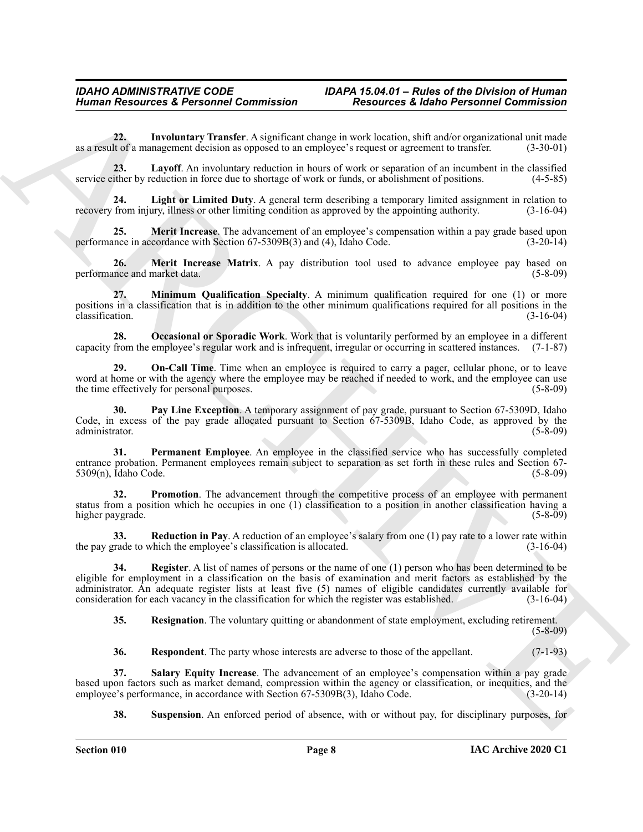<span id="page-7-0"></span>**22. Involuntary Transfer**. A significant change in work location, shift and/or organizational unit made as a result of a management decision as opposed to an employee's request or agreement to transfer. (3-30-01)

<span id="page-7-1"></span>**23. Layoff**. An involuntary reduction in hours of work or separation of an incumbent in the classified service either by reduction in force due to shortage of work or funds, or abolishment of positions. (4-5-85)

<span id="page-7-2"></span>**24. Light or Limited Duty**. A general term describing a temporary limited assignment in relation to recovery from injury, illness or other limiting condition as approved by the appointing authority. (3-16-04)

<span id="page-7-3"></span>**25. Merit Increase**. The advancement of an employee's compensation within a pay grade based upon performance in accordance with Section 67-5309B(3) and (4), Idaho Code. (3-20-14)

<span id="page-7-4"></span>**26. Merit Increase Matrix**. A pay distribution tool used to advance employee pay based on performance and market data. (5-8-09)

<span id="page-7-5"></span>**27. Minimum Qualification Specialty**. A minimum qualification required for one (1) or more positions in a classification that is in addition to the other minimum qualifications required for all positions in the classification. (3-16-04)

<span id="page-7-6"></span>**28. Occasional or Sporadic Work**. Work that is voluntarily performed by an employee in a different capacity from the employee's regular work and is infrequent, irregular or occurring in scattered instances. (7-1-87)

<span id="page-7-7"></span>**20. On-Call Time.** Time when an employee is required to carry a pager, cellular phone, or to leave word at home or with the agency where the employee may be reached if needed to work, and the employee can use<br>the time effectively for personal purposes. (5-8-09) the time effectively for personal purposes.

<span id="page-7-8"></span>**30. Pay Line Exception**. A temporary assignment of pay grade, pursuant to Section 67-5309D, Idaho Code, in excess of the pay grade allocated pursuant to Section 67-5309B, Idaho Code, as approved by the administrator. (5-8-09)

<span id="page-7-9"></span>**31. Permanent Employee**. An employee in the classified service who has successfully completed entrance probation. Permanent employees remain subject to separation as set forth in these rules and Section 67-<br>5309(n), Idaho Code. (5-8-09)  $5309(n)$ , Idaho Code.

<span id="page-7-10"></span>**32. Promotion**. The advancement through the competitive process of an employee with permanent status from a position which he occupies in one (1) classification to a position in another classification having a higher paygrade. (5-8-09)

<span id="page-7-11"></span>**33. Reduction in Pay**. A reduction of an employee's salary from one (1) pay rate to a lower rate within the pay grade to which the employee's classification is allocated. (3-16-04)

Human Resources & Personnel Commission<br>
22. a law behaviour at the reduction of the reduction of the reduction that in the reduction of the reduction of the reduction of the reduction of the reduction of the reduction of **34. Register**. A list of names of persons or the name of one (1) person who has been determined to be eligible for employment in a classification on the basis of examination and merit factors as established by the administrator. An adequate register lists at least five (5) names of eligible candidates currently available for consideration for each vacancy in the classification for which the register was established. (3-16-04) consideration for each vacancy in the classification for which the register was established.

<span id="page-7-13"></span><span id="page-7-12"></span>**35. Resignation**. The voluntary quitting or abandonment of state employment, excluding retirement.

(5-8-09)

<span id="page-7-15"></span><span id="page-7-14"></span>**36. Respondent**. The party whose interests are adverse to those of the appellant. (7-1-93)

**37. Salary Equity Increase**. The advancement of an employee's compensation within a pay grade based upon factors such as market demand, compression within the agency or classification, or inequities, and the employee's performance, in accordance with Section 67-5309B(3), Idaho Code. (3-20-14) employee's performance, in accordance with Section 67-5309B(3), Idaho Code.

<span id="page-7-16"></span>**38. Suspension**. An enforced period of absence, with or without pay, for disciplinary purposes, for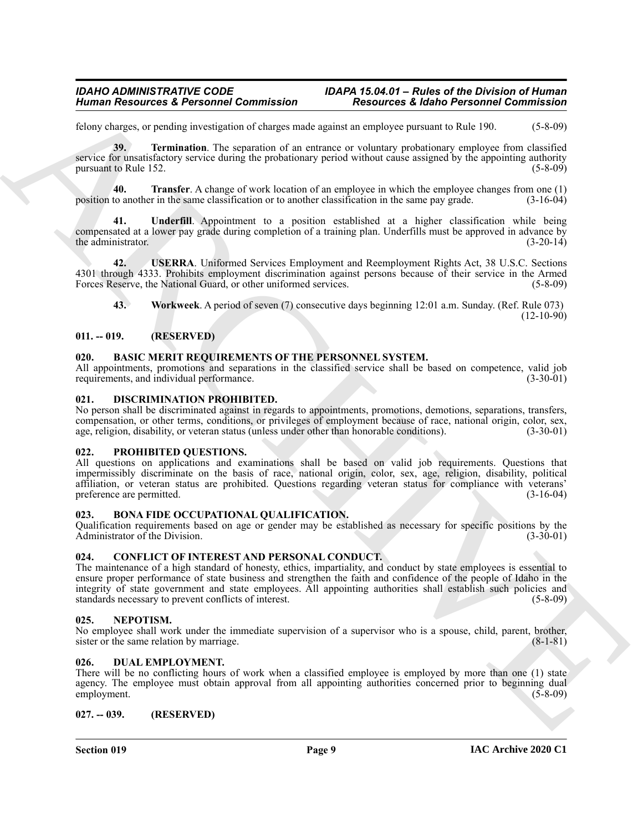felony charges, or pending investigation of charges made against an employee pursuant to Rule 190. (5-8-09)

<span id="page-8-12"></span>**39. Termination**. The separation of an entrance or voluntary probationary employee from classified service for unsatisfactory service during the probationary period without cause assigned by the appointing authority pursuant to Rule 152. (5-8-09)

<span id="page-8-13"></span>**40. Transfer**. A change of work location of an employee in which the employee changes from one (1) position to another in the same classification or to another classification in the same pay grade. (3-16-04)

<span id="page-8-14"></span>**41. Underfill**. Appointment to a position established at a higher classification while being compensated at a lower pay grade during completion of a training plan. Underfills must be approved in advance by the administrator. (3-20-14)

**42. USERRA**. Uniformed Services Employment and Reemployment Rights Act, 38 U.S.C. Sections 4301 through 4333. Prohibits employment discrimination against persons because of their service in the Armed Forces Reserve, the National Guard, or other uniformed services. (5-8-09)

<span id="page-8-16"></span><span id="page-8-15"></span>**43. Workweek**. A period of seven (7) consecutive days beginning 12:01 a.m. Sunday. (Ref. Rule 073)  $(12-10-90)$ 

#### <span id="page-8-0"></span>**011. -- 019. (RESERVED)**

#### <span id="page-8-9"></span><span id="page-8-1"></span>**020. BASIC MERIT REQUIREMENTS OF THE PERSONNEL SYSTEM.**

All appointments, promotions and separations in the classified service shall be based on competence, valid job requirements, and individual performance. (3-30-01)

#### <span id="page-8-17"></span><span id="page-8-2"></span>**021. DISCRIMINATION PROHIBITED.**

No person shall be discriminated against in regards to appointments, promotions, demotions, separations, transfers, compensation, or other terms, conditions, or privileges of employment because of race, national origin, color, sex, age, religion, disability, or veteran status (unless under other than honorable conditions). (3-30-01)

#### <span id="page-8-20"></span><span id="page-8-3"></span>**022. PROHIBITED QUESTIONS.**

All questions on applications and examinations shall be based on valid job requirements. Questions that impermissibly discriminate on the basis of race, national origin, color, sex, age, religion, disability, political affiliation, or veteran status are prohibited. Questions regarding veteran status for compliance with veterans' preference are permitted. (3-16-04)

#### <span id="page-8-10"></span><span id="page-8-4"></span>**023. BONA FIDE OCCUPATIONAL QUALIFICATION.**

Qualification requirements based on age or gender may be established as necessary for specific positions by the Administrator of the Division. (3-30-01)  $Administ$ rator of the Division.

#### <span id="page-8-11"></span><span id="page-8-5"></span>**024. CONFLICT OF INTEREST AND PERSONAL CONDUCT.**

Human Resources & Personnel Commission<br>
Economics of production of the<br>system production of the system of the system of the system of the<br>system of the system of the system of the system of the system of the<br>system of the The maintenance of a high standard of honesty, ethics, impartiality, and conduct by state employees is essential to ensure proper performance of state business and strengthen the faith and confidence of the people of Idaho in the integrity of state government and state employees. All appointing authorities shall establish such policies and standards necessary to prevent conflicts of interest. (5-8-09) standards necessary to prevent conflicts of interest.

#### <span id="page-8-19"></span><span id="page-8-6"></span>**025. NEPOTISM.**

No employee shall work under the immediate supervision of a supervisor who is a spouse, child, parent, brother, sister or the same relation by marriage. (8-1-81) sister or the same relation by marriage.

#### <span id="page-8-18"></span><span id="page-8-7"></span>**026. DUAL EMPLOYMENT.**

There will be no conflicting hours of work when a classified employee is employed by more than one (1) state agency. The employee must obtain approval from all appointing authorities concerned prior to beginning dual employment. (5-8-09) employment.

#### <span id="page-8-8"></span>**027. -- 039. (RESERVED)**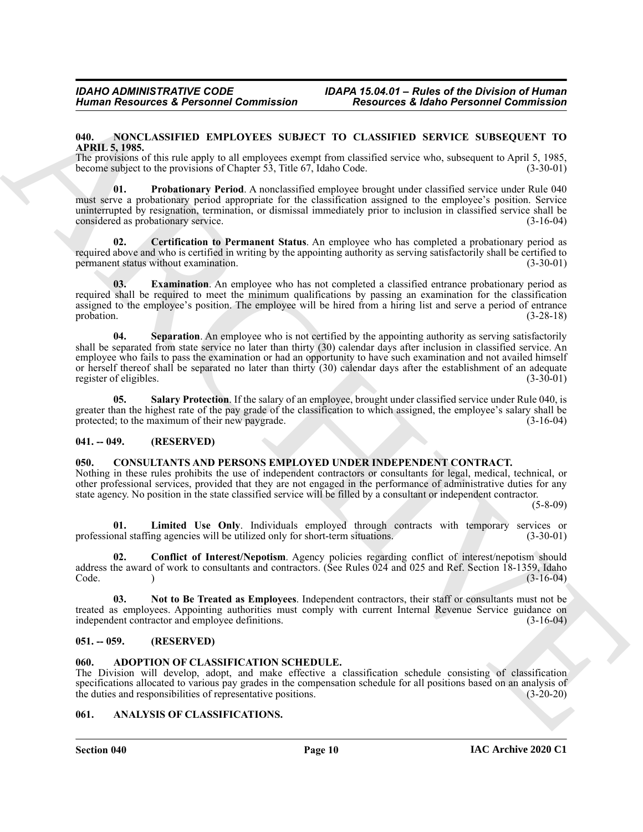#### <span id="page-9-12"></span><span id="page-9-0"></span>**040. NONCLASSIFIED EMPLOYEES SUBJECT TO CLASSIFIED SERVICE SUBSEQUENT TO APRIL 5, 1985.**

The provisions of this rule apply to all employees exempt from classified service who, subsequent to April 5, 1985, become subject to the provisions of Chapter 53, Title 67, Idaho Code. (3-30-01)

<span id="page-9-15"></span>**01. Probationary Period**. A nonclassified employee brought under classified service under Rule 040 must serve a probationary period appropriate for the classification assigned to the employee's position. Service uninterrupted by resignation, termination, or dismissal immediately prior to inclusion in classified service shall be considered as probationary service. (3-16-04)

<span id="page-9-13"></span>**02. Certification to Permanent Status**. An employee who has completed a probationary period as required above and who is certified in writing by the appointing authority as serving satisfactorily shall be certified to permanent status without examination. (3-30-01)

<span id="page-9-17"></span><span id="page-9-14"></span>**03. Examination**. An employee who has not completed a classified entrance probationary period as required shall be required to meet the minimum qualifications by passing an examination for the classification assigned to the employee's position. The employee will be hired from a hiring list and serve a period of entrance probation. (3-28-18)

Human Resources & Personnel Commission<br>
Marchives & Elishe Personnel Commission<br>
NORTHER SURVEY (NOTES SURVENCE SURVENCE SURVENCE SURVENCE SURVENCE SURVENCE SURVENCE SURVENCE SURVENCE SURVENCE SURVEY (NOTES SURVENCE SURVE **04.** Separation. An employee who is not certified by the appointing authority as serving satisfactorily shall be separated from state service no later than thirty (30) calendar days after inclusion in classified service. An employee who fails to pass the examination or had an opportunity to have such examination and not availed himself or herself thereof shall be separated no later than thirty (30) calendar days after the establishment of an adequate register of eligibles. (3-30-01) register of eligibles.

<span id="page-9-16"></span>**05. Salary Protection**. If the salary of an employee, brought under classified service under Rule 040, is greater than the highest rate of the pay grade of the classification to which assigned, the employee's salary shall be protected; to the maximum of their new paygrade. (3-16-04)

#### <span id="page-9-1"></span>**041. -- 049. (RESERVED)**

#### <span id="page-9-8"></span><span id="page-9-2"></span>**050. CONSULTANTS AND PERSONS EMPLOYED UNDER INDEPENDENT CONTRACT.**

Nothing in these rules prohibits the use of independent contractors or consultants for legal, medical, technical, or other professional services, provided that they are not engaged in the performance of administrative duties for any state agency. No position in the state classified service will be filled by a consultant or independent contractor.

(5-8-09)

<span id="page-9-10"></span>**01.** Limited Use Only. Individuals employed through contracts with temporary services or mal staffing agencies will be utilized only for short-term situations. (3-30-01) professional staffing agencies will be utilized only for short-term situations.

<span id="page-9-9"></span>**02. Conflict of Interest/Nepotism**. Agency policies regarding conflict of interest/nepotism should address the award of work to consultants and contractors. (See Rules 024 and 025 and Ref. Section 18-1359, Idaho Code. ) (3-16-04) Code. (3-16-04)

<span id="page-9-11"></span>**03. Not to Be Treated as Employees**. Independent contractors, their staff or consultants must not be treated as employees. Appointing authorities must comply with current Internal Revenue Service guidance on independent contractor and employee definitions. (3-16-04)

#### <span id="page-9-3"></span>**051. -- 059. (RESERVED)**

#### <span id="page-9-6"></span><span id="page-9-4"></span>**060. ADOPTION OF CLASSIFICATION SCHEDULE.**

The Division will develop, adopt, and make effective a classification schedule consisting of classification specifications allocated to various pay grades in the compensation schedule for all positions based on an analysis of the duties and responsibilities of representative positions. (3-20-20) the duties and responsibilities of representative positions.

#### <span id="page-9-7"></span><span id="page-9-5"></span>**061. ANALYSIS OF CLASSIFICATIONS.**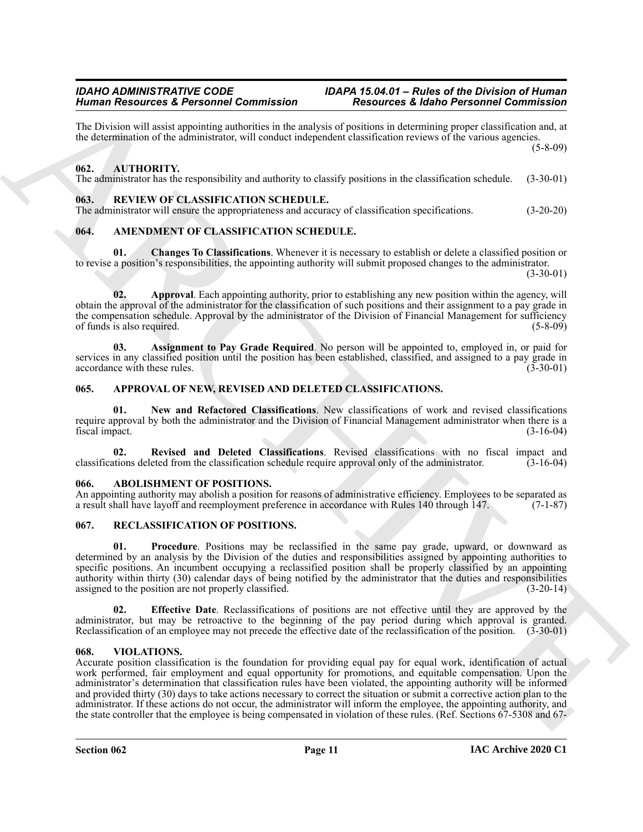The Division will assist appointing authorities in the analysis of positions in determining proper classification and, at the determination of the administrator, will conduct independent classification reviews of the various agencies. (5-8-09)

#### <span id="page-10-15"></span><span id="page-10-0"></span>**062. AUTHORITY.**

The administrator has the responsibility and authority to classify positions in the classification schedule. (3-30-01)

#### <span id="page-10-19"></span><span id="page-10-1"></span>**063. REVIEW OF CLASSIFICATION SCHEDULE.**

The administrator will ensure the appropriateness and accuracy of classification specifications. (3-20-20)

#### <span id="page-10-8"></span><span id="page-10-2"></span>**064. AMENDMENT OF CLASSIFICATION SCHEDULE.**

<span id="page-10-11"></span>**01. Changes To Classifications**. Whenever it is necessary to establish or delete a classified position or to revise a position's responsibilities, the appointing authority will submit proposed changes to the administrator.

 $(3-30-01)$ 

<span id="page-10-9"></span>**02. Approval**. Each appointing authority, prior to establishing any new position within the agency, will obtain the approval of the administrator for the classification of such positions and their assignment to a pay grade in the compensation schedule. Approval by the administrator of the Division of Financial Management for sufficiency<br>of funds is also required. (5-8-09) of funds is also required.

<span id="page-10-10"></span>**03. Assignment to Pay Grade Required**. No person will be appointed to, employed in, or paid for services in any classified position until the position has been established, classified, and assigned to a pay grade in accordance with these rules. (3-30-01) (3-30-01)

#### <span id="page-10-12"></span><span id="page-10-3"></span>**065. APPROVAL OF NEW, REVISED AND DELETED CLASSIFICATIONS.**

<span id="page-10-13"></span>**01. New and Refactored Classifications**. New classifications of work and revised classifications require approval by both the administrator and the Division of Financial Management administrator when there is a fiscal impact. (3-16-04)

<span id="page-10-14"></span>**02. Revised and Deleted Classifications**. Revised classifications with no fiscal impact and classifications deleted from the classification schedule require approval only of the administrator. (3-16-04)

#### <span id="page-10-7"></span><span id="page-10-4"></span>**066. ABOLISHMENT OF POSITIONS.**

An appointing authority may abolish a position for reasons of administrative efficiency. Employees to be separated as a result shall have layoff and reemployment preference in accordance with Rules 140 through 147. (7-1-87)

#### <span id="page-10-16"></span><span id="page-10-5"></span>**067. RECLASSIFICATION OF POSITIONS.**

<span id="page-10-18"></span>**01. Procedure**. Positions may be reclassified in the same pay grade, upward, or downward as determined by an analysis by the Division of the duties and responsibilities assigned by appointing authorities to specific positions. An incumbent occupying a reclassified position shall be properly classified by an appointing authority within thirty (30) calendar days of being notified by the administrator that the duties and responsibilities assigned to the position are not properly classified. (3-20-14)

<span id="page-10-17"></span>**02. Effective Date**. Reclassifications of positions are not effective until they are approved by the administrator, but may be retroactive to the beginning of the pay period during which approval is granted. Reclassification of an employee may not precede the effective date of the reclassification of the position. (3-30-01)

#### <span id="page-10-20"></span><span id="page-10-6"></span>**068. VIOLATIONS.**

Human Research & Persishness Controller Schwarz Controller (Associates Controller Schwarz)<br>
The Development of the summanisment and the method of the summanism profit controller than the summation of the summation of the Accurate position classification is the foundation for providing equal pay for equal work, identification of actual work performed, fair employment and equal opportunity for promotions, and equitable compensation. Upon the administrator's determination that classification rules have been violated, the appointing authority will be informed and provided thirty (30) days to take actions necessary to correct the situation or submit a corrective action plan to the administrator. If these actions do not occur, the administrator will inform the employee, the appointing authority, and the state controller that the employee is being compensated in violation of these rules. (Ref. Sections 67-5308 and 67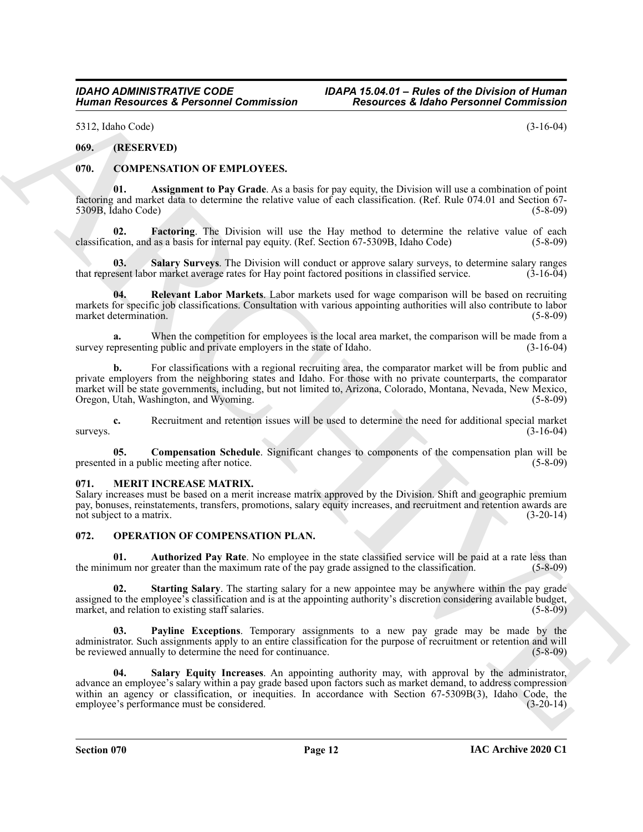5312, Idaho Code) (3-16-04)

#### <span id="page-11-0"></span>**069. (RESERVED)**

#### <span id="page-11-4"></span><span id="page-11-1"></span>**070. COMPENSATION OF EMPLOYEES.**

<span id="page-11-5"></span>**01. Assignment to Pay Grade**. As a basis for pay equity, the Division will use a combination of point factoring and market data to determine the relative value of each classification. (Ref. Rule 074.01 and Section 67- 5309B, Idaho Code) (5-8-09)

<span id="page-11-7"></span>**02. Factoring**. The Division will use the Hay method to determine the relative value of each classification, and as a basis for internal pay equity. (Ref. Section 67-5309B, Idaho Code) (5-8-09)

<span id="page-11-9"></span>**Salary Surveys**. The Division will conduct or approve salary surveys, to determine salary ranges that represent labor market average rates for Hay point factored positions in classified service. (3-16-04)

<span id="page-11-8"></span>**04. Relevant Labor Markets**. Labor markets used for wage comparison will be based on recruiting markets for specific job classifications. Consultation with various appointing authorities will also contribute to labor market determination. (5-8-09)

**a.** When the competition for employees is the local area market, the comparison will be made from a encressenting public and private employers in the state of Idaho. (3-16-04) survey representing public and private employers in the state of Idaho.

**b.** For classifications with a regional recruiting area, the comparator market will be from public and private employers from the neighboring states and Idaho. For those with no private counterparts, the comparator market will be state governments, including, but not limited to, Arizona, Colorado, Montana, Nevada, New Mexico, Oregon, Utah, Washington, and Wyoming. (5-8-09)

**c.** Recruitment and retention issues will be used to determine the need for additional special market  $s$ urveys.  $(3-16-04)$ 

<span id="page-11-6"></span>**05. Compensation Schedule**. Significant changes to components of the compensation plan will be presented in a public meeting after notice. (5-8-09)

#### <span id="page-11-10"></span><span id="page-11-2"></span>**071. MERIT INCREASE MATRIX.**

Salary increases must be based on a merit increase matrix approved by the Division. Shift and geographic premium pay, bonuses, reinstatements, transfers, promotions, salary equity increases, and recruitment and retention awards are not subject to a matrix. (3-20-14)

#### <span id="page-11-11"></span><span id="page-11-3"></span>**072. OPERATION OF COMPENSATION PLAN.**

<span id="page-11-12"></span>**01. Authorized Pay Rate**. No employee in the state classified service will be paid at a rate less than the minimum nor greater than the maximum rate of the pay grade assigned to the classification. (5-8-09)

<span id="page-11-15"></span>**02. Starting Salary**. The starting salary for a new appointee may be anywhere within the pay grade assigned to the employee's classification and is at the appointing authority's discretion considering available budget, market, and relation to existing staff salaries. (5-8-09) (5-8-09)

<span id="page-11-14"></span><span id="page-11-13"></span>**03. Payline Exceptions**. Temporary assignments to a new pay grade may be made by the administrator. Such assignments apply to an entire classification for the purpose of recruitment or retention and will be reviewed annually to determine the need for continuance. (5-8-09)

Human Researches & Personnel Commission<br>
51. Leading Commission<br>
51. Leading Commission<br>
61. (1878 KWTE)<br>
61. (1878 KWTE)<br>
61. (1878 KWTE)<br>
61. (1888 KWTE)<br>
61. (1888 KWTE)<br>
61. (1888 KWTE)<br>
61. (1888 KWTE)<br>
62. (1888 Com **04. Salary Equity Increases**. An appointing authority may, with approval by the administrator, advance an employee's salary within a pay grade based upon factors such as market demand, to address compression within an agency or classification, or inequities. In accordance with Section 67-5309B(3), Idaho Code, the employee's performance must be considered. (3-20-14)

**Section 070 Page 12**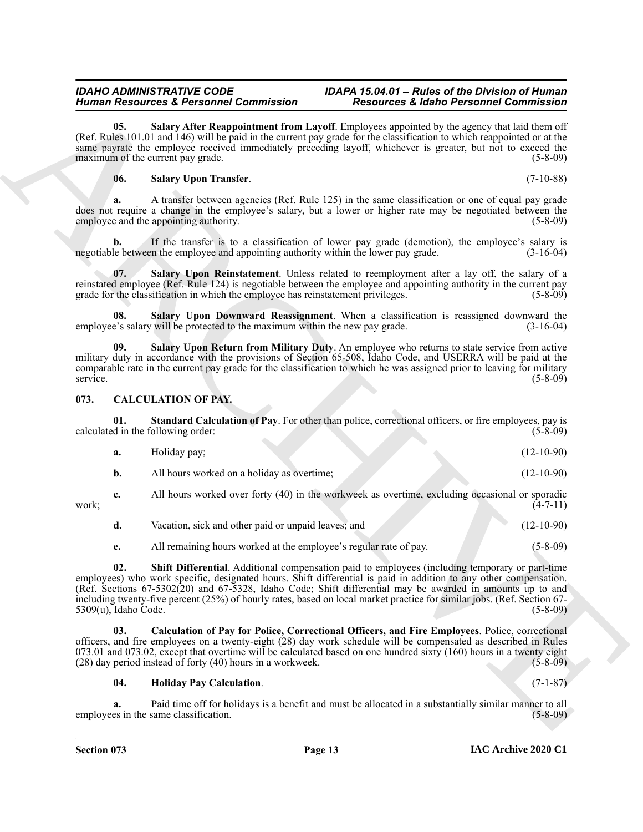#### <span id="page-12-10"></span><span id="page-12-8"></span><span id="page-12-6"></span>**06. Salary Upon Transfer**. (7-10-88)

#### <span id="page-12-9"></span><span id="page-12-7"></span><span id="page-12-5"></span><span id="page-12-1"></span><span id="page-12-0"></span>**073. CALCULATION OF PAY.**

| <b>Human Resources &amp; Personnel Commission</b> |                                                                                      | <b>Resources &amp; Idaho Personnel Commission</b>                                                                                                                                                                                                                                                                                                                                                                                                                           |  |
|---------------------------------------------------|--------------------------------------------------------------------------------------|-----------------------------------------------------------------------------------------------------------------------------------------------------------------------------------------------------------------------------------------------------------------------------------------------------------------------------------------------------------------------------------------------------------------------------------------------------------------------------|--|
| 05.                                               | maximum of the current pay grade.                                                    | Salary After Reappointment from Layoff. Employees appointed by the agency that laid them off<br>(Ref. Rules 101.01 and 146) will be paid in the current pay grade for the classification to which reappointed or at the<br>same payrate the employee received immediately preceding layoff, whichever is greater, but not to exceed the<br>$(5-8-09)$                                                                                                                       |  |
| 06.                                               | <b>Salary Upon Transfer.</b>                                                         | $(7-10-88)$                                                                                                                                                                                                                                                                                                                                                                                                                                                                 |  |
|                                                   | employee and the appointing authority.                                               | A transfer between agencies (Ref. Rule 125) in the same classification or one of equal pay grade<br>does not require a change in the employee's salary, but a lower or higher rate may be negotiated between the<br>$(5 - 8 - 09)$                                                                                                                                                                                                                                          |  |
|                                                   | negotiable between the employee and appointing authority within the lower pay grade. | If the transfer is to a classification of lower pay grade (demotion), the employee's salary is<br>$(3-16-04)$                                                                                                                                                                                                                                                                                                                                                               |  |
| 07.                                               | grade for the classification in which the employee has reinstatement privileges.     | Salary Upon Reinstatement. Unless related to reemployment after a lay off, the salary of a<br>reinstated employee (Ref. Rule 124) is negotiable between the employee and appointing authority in the current pay<br>$(5-8-09)$                                                                                                                                                                                                                                              |  |
| 08.                                               | employee's salary will be protected to the maximum within the new pay grade.         | Salary Upon Downward Reassignment. When a classification is reassigned downward the<br>$(3-16-04)$                                                                                                                                                                                                                                                                                                                                                                          |  |
| 09.<br>service.                                   |                                                                                      | Salary Upon Return from Military Duty. An employee who returns to state service from active<br>military duty in accordance with the provisions of Section 65-508, Idaho Code, and USERRA will be paid at the<br>comparable rate in the current pay grade for the classification to which he was assigned prior to leaving for military<br>$(5-8-09)$                                                                                                                        |  |
| 073.                                              | <b>CALCULATION OF PAY.</b>                                                           |                                                                                                                                                                                                                                                                                                                                                                                                                                                                             |  |
| 01.                                               | calculated in the following order:                                                   | Standard Calculation of Pay. For other than police, correctional officers, or fire employees, pay is<br>$(5-8-09)$                                                                                                                                                                                                                                                                                                                                                          |  |
| a.                                                | Holiday pay;                                                                         | $(12-10-90)$                                                                                                                                                                                                                                                                                                                                                                                                                                                                |  |
| b.                                                | All hours worked on a holiday as overtime;                                           | $(12-10-90)$                                                                                                                                                                                                                                                                                                                                                                                                                                                                |  |
| c.<br>work;                                       |                                                                                      | All hours worked over forty (40) in the workweek as overtime, excluding occasional or sporadic<br>$(4-7-11)$                                                                                                                                                                                                                                                                                                                                                                |  |
| d.                                                | Vacation, sick and other paid or unpaid leaves; and                                  | $(12-10-90)$                                                                                                                                                                                                                                                                                                                                                                                                                                                                |  |
| e.                                                | All remaining hours worked at the employee's regular rate of pay.                    | $(5 - 8 - 09)$                                                                                                                                                                                                                                                                                                                                                                                                                                                              |  |
| 02.<br>$5309(u)$ , Idaho Code.                    |                                                                                      | Shift Differential. Additional compensation paid to employees (including temporary or part-time<br>employees) who work specific, designated hours. Shift differential is paid in addition to any other compensation.<br>(Ref. Sections 67-5302(20) and 67-5328, Idaho Code; Shift differential may be awarded in amounts up to and<br>including twenty-five percent (25%) of hourly rates, based on local market practice for similar jobs. (Ref. Section 67-<br>$(5-8-09)$ |  |
| 03.                                               | (28) day period instead of forty (40) hours in a workweek.                           | Calculation of Pay for Police, Correctional Officers, and Fire Employees. Police, correctional<br>officers, and fire employees on a twenty-eight (28) day work schedule will be compensated as described in Rules<br>073.01 and 073.02, except that overtime will be calculated based on one hundred sixty (160) hours in a twenty eight<br>$(5-8-09)$                                                                                                                      |  |
| 04.                                               | <b>Holiday Pay Calculation.</b>                                                      | $(7-1-87)$                                                                                                                                                                                                                                                                                                                                                                                                                                                                  |  |
| a.                                                |                                                                                      | Paid time off for holidays is a benefit and must be allocated in a substantially similar manner to all                                                                                                                                                                                                                                                                                                                                                                      |  |

- **d.** Vacation, sick and other paid or unpaid leaves; and (12-10-90)
- <span id="page-12-4"></span>**e.** All remaining hours worked at the employee's regular rate of pay. (5-8-09)

#### <span id="page-12-3"></span><span id="page-12-2"></span>**04. Holiday Pay Calculation**. (7-1-87)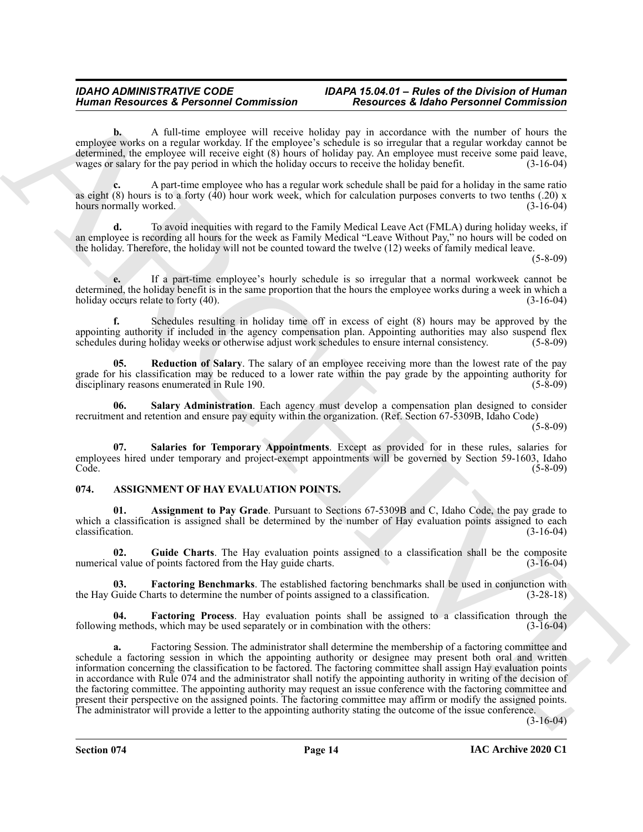**b.** A full-time employee will receive holiday pay in accordance with the number of hours the employee works on a regular workday. If the employee's schedule is so irregular that a regular workday cannot be determined, the employee will receive eight (8) hours of holiday pay. An employee must receive some paid leave, wages or salary for the pay period in which the holiday occurs to receive the holiday benefit. (3-16-04)

**c.** A part-time employee who has a regular work schedule shall be paid for a holiday in the same ratio as eight  $(8)$  hours is to a forty  $(40)$  hour work week, which for calculation purposes converts to two tenths  $(.20)$  x hours normally worked. (3-16-04)

**d.** To avoid inequities with regard to the Family Medical Leave Act (FMLA) during holiday weeks, if an employee is recording all hours for the week as Family Medical "Leave Without Pay," no hours will be coded on the holiday. Therefore, the holiday will not be counted toward the twelve (12) weeks of family medical leave.

(5-8-09)

**e.** If a part-time employee's hourly schedule is so irregular that a normal workweek cannot be determined, the holiday benefit is in the same proportion that the hours the employee works during a week in which a holiday occurs relate to forty (40). (3-16-04)

**f.** Schedules resulting in holiday time off in excess of eight (8) hours may be approved by the appointing authority if included in the agency compensation plan. Appointing authorities may also suspend flex schedules during holiday weeks or otherwise adjust work schedules to ensure internal consistency. (5-8-09)

<span id="page-13-6"></span>**05. Reduction of Salary**. The salary of an employee receiving more than the lowest rate of the pay grade for his classification may be reduced to a lower rate within the pay grade by the appointing authority for disciplinary reasons enumerated in Rule 190. (5-8-09)

<span id="page-13-8"></span>**06. Salary Administration**. Each agency must develop a compensation plan designed to consider recruitment and retention and ensure pay equity within the organization. (Ref. Section 67-5309B, Idaho Code)

 $(5-8-09)$ 

<span id="page-13-7"></span>**07. Salaries for Temporary Appointments**. Except as provided for in these rules, salaries for employees hired under temporary and project-exempt appointments will be governed by Section 59-1603, Idaho<br>Code. (5-8-09) Code. (5-8-09)

#### <span id="page-13-1"></span><span id="page-13-0"></span>**074. ASSIGNMENT OF HAY EVALUATION POINTS.**

<span id="page-13-2"></span>**Assignment to Pay Grade**. Pursuant to Sections 67-5309B and C, Idaho Code, the pay grade to which a classification is assigned shall be determined by the number of Hay evaluation points assigned to each  $\alpha$  classification. (3-16-04)

<span id="page-13-5"></span>**02. Guide Charts**. The Hay evaluation points assigned to a classification shall be the composite numerical value of points factored from the Hay guide charts. (3-16-04)

<span id="page-13-3"></span>**03.** Factoring Benchmarks. The established factoring benchmarks shall be used in conjunction with Guide Charts to determine the number of points assigned to a classification. (3-28-18) the Hay Guide Charts to determine the number of points assigned to a classification.

<span id="page-13-4"></span>**04. Factoring Process**. Hay evaluation points shall be assigned to a classification through the following methods, which may be used separately or in combination with the others: (3-16-04)

Human Resources & Personnel Commission<br>
We also the control of the control of the state interest in the state independent of the state of the control of the state of the state of the state of the state of the state of the **a.** Factoring Session. The administrator shall determine the membership of a factoring committee and schedule a factoring session in which the appointing authority or designee may present both oral and written information concerning the classification to be factored. The factoring committee shall assign Hay evaluation points in accordance with Rule 074 and the administrator shall notify the appointing authority in writing of the decision of the factoring committee. The appointing authority may request an issue conference with the factoring committee and present their perspective on the assigned points. The factoring committee may affirm or modify the assigned points. The administrator will provide a letter to the appointing authority stating the outcome of the issue conference.

(3-16-04)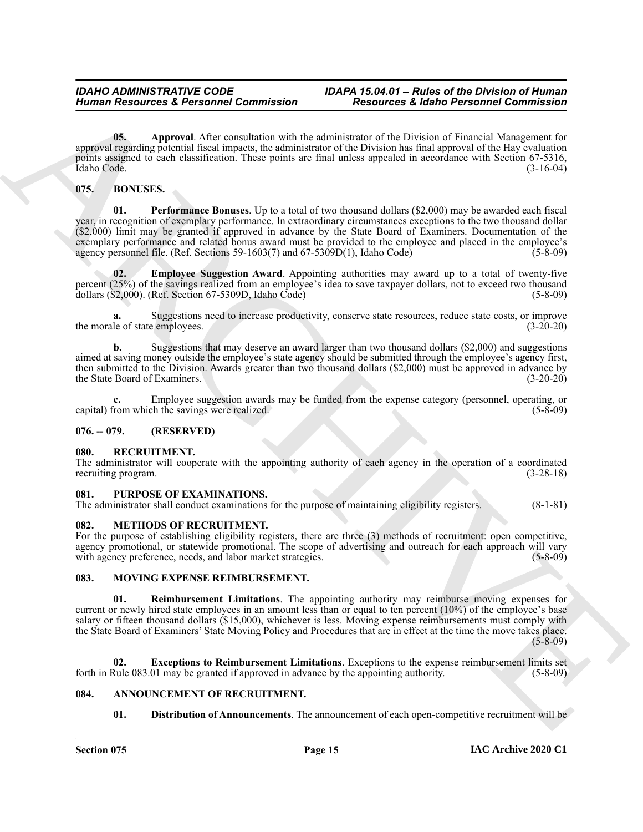<span id="page-14-9"></span>**05. Approval**. After consultation with the administrator of the Division of Financial Management for approval regarding potential fiscal impacts, the administrator of the Division has final approval of the Hay evaluation points assigned to each classification. These points are final unless appealed in accordance with Section 67-5316, Idaho Code. (3-16-04)

#### <span id="page-14-12"></span><span id="page-14-10"></span><span id="page-14-0"></span>**075. BONUSES.**

Human Resources & Personnel Commission<br>
16 Fournel Commission (16 Fournel Commission (16 Fournel Commission (16 Fournel Commission (16 Fournel Commission (16 Fournel Commission (16 Fournel Commission (16 Fournel Commissio **01. Performance Bonuses**. Up to a total of two thousand dollars (\$2,000) may be awarded each fiscal year, in recognition of exemplary performance. In extraordinary circumstances exceptions to the two thousand dollar (\$2,000) limit may be granted if approved in advance by the State Board of Examiners. Documentation of the exemplary performance and related bonus award must be provided to the employee and placed in the employee's agency personnel file. (Ref. Sections 59-1603(7) and 67-5309D(1), Idaho Code) (5-8-09) agency personnel file. (Ref. Sections 59-1603(7) and 67-5309D(1), Idaho Code)

<span id="page-14-11"></span>**02. Employee Suggestion Award**. Appointing authorities may award up to a total of twenty-five percent (25%) of the savings realized from an employee's idea to save taxpayer dollars, not to exceed two thousand dollars (\$2,000). (Ref. Section 67-5309D, Idaho Code) (5-8-09) dollars ( $$2,000$ ). (Ref. Section 67-5309D, Idaho Code)

**a.** Suggestions need to increase productivity, conserve state resources, reduce state costs, or improve le of state employees. (3-20-20) the morale of state employees.

**b.** Suggestions that may deserve an award larger than two thousand dollars (\$2,000) and suggestions aimed at saving money outside the employee's state agency should be submitted through the employee's agency first, then submitted to the Division. Awards greater than two thousand dollars (\$2,000) must be approved in advance by the State Board of Examiners. (3-20-20)

**c.** Employee suggestion awards may be funded from the expense category (personnel, operating, or from which the savings were realized. (5-8-09) capital) from which the savings were realized.

#### <span id="page-14-1"></span>**076. -- 079. (RESERVED)**

#### <span id="page-14-18"></span><span id="page-14-2"></span>**080. RECRUITMENT.**

The administrator will cooperate with the appointing authority of each agency in the operation of a coordinated recruiting program. (3-28-18)

#### <span id="page-14-17"></span><span id="page-14-3"></span>**081. PURPOSE OF EXAMINATIONS.**

The administrator shall conduct examinations for the purpose of maintaining eligibility registers. (8-1-81)

#### <span id="page-14-13"></span><span id="page-14-4"></span>**082. METHODS OF RECRUITMENT.**

For the purpose of establishing eligibility registers, there are three (3) methods of recruitment: open competitive, agency promotional, or statewide promotional. The scope of advertising and outreach for each approach will vary with agency preference, needs, and labor market strategies. (5-8-09)

#### <span id="page-14-14"></span><span id="page-14-5"></span>**083. MOVING EXPENSE REIMBURSEMENT.**

<span id="page-14-16"></span>**01. Reimbursement Limitations**. The appointing authority may reimburse moving expenses for current or newly hired state employees in an amount less than or equal to ten percent (10%) of the employee's base salary or fifteen thousand dollars (\$15,000), whichever is less. Moving expense reimbursements must comply with the State Board of Examiners' State Moving Policy and Procedures that are in effect at the time the move takes place.  $(5-8-09)$ 

**02. Exceptions to Reimbursement Limitations**. Exceptions to the expense reimbursement limits set forth in Rule 083.01 may be granted if approved in advance by the appointing authority. (5-8-09)

#### <span id="page-14-6"></span>**084. ANNOUNCEMENT OF RECRUITMENT.**

#### <span id="page-14-15"></span><span id="page-14-8"></span><span id="page-14-7"></span>**01. Distribution of Announcements**. The announcement of each open-competitive recruitment will be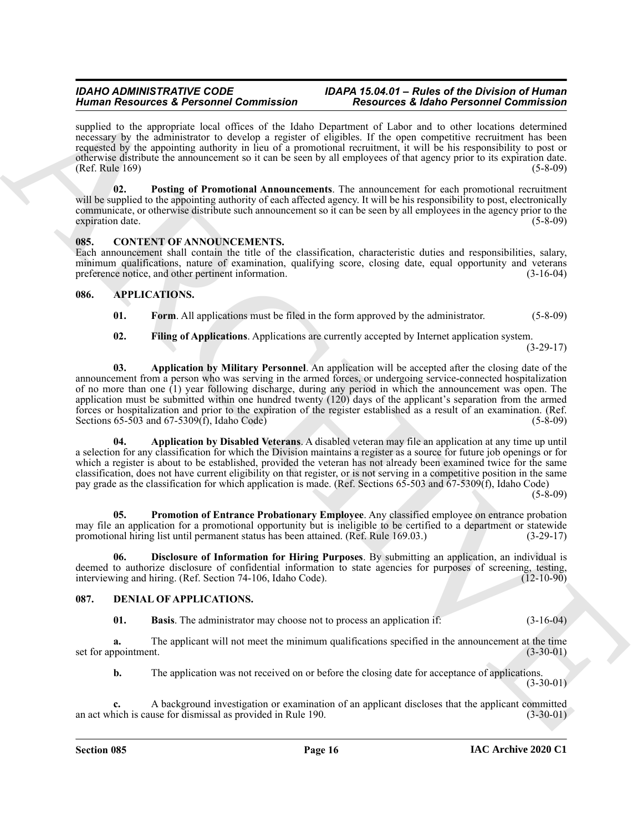### *IDAHO ADMINISTRATIVE CODE IDAPA 15.04.01 – Rules of the Division of Human*

supplied to the appropriate local offices of the Idaho Department of Labor and to other locations determined necessary by the administrator to develop a register of eligibles. If the open competitive recruitment has been requested by the appointing authority in lieu of a promotional recruitment, it will be his responsibility to post or otherwise distribute the announcement so it can be seen by all employees of that agency prior to its expiration date. (Ref. Rule 169) (5-8-09)

<span id="page-15-3"></span>**02. Posting of Promotional Announcements**. The announcement for each promotional recruitment will be supplied to the appointing authority of each affected agency. It will be his responsibility to post, electronically communicate, or otherwise distribute such announcement so it can be seen by all employees in the agency prior to the expiration date. (5-8-09)

#### <span id="page-15-11"></span><span id="page-15-0"></span>**085. CONTENT OF ANNOUNCEMENTS.**

Each announcement shall contain the title of the classification, characteristic duties and responsibilities, salary, minimum qualifications, nature of examination, qualifying score, closing date, equal opportunity and veterans preference notice, and other pertinent information. (3-16-04)

#### <span id="page-15-1"></span>**086. APPLICATIONS.**

- <span id="page-15-9"></span><span id="page-15-4"></span>**01. Form**. All applications must be filed in the form approved by the administrator. (5-8-09)
- <span id="page-15-8"></span><span id="page-15-6"></span>**02. Filing of Applications**. Applications are currently accepted by Internet application system.

(3-29-17)

Human Research & Personality Contracts to the Los Christian Research & Research Contracts to the specific contracts to the specific contracts to the specific contracts to the specific contracts of the specific control of **03. Application by Military Personnel**. An application will be accepted after the closing date of the announcement from a person who was serving in the armed forces, or undergoing service-connected hospitalization of no more than one (1) year following discharge, during any period in which the announcement was open. The application must be submitted within one hundred twenty (120) days of the applicant's separation from the armed forces or hospitalization and prior to the expiration of the register established as a result of an examination. (Ref. Sections 65-503 and 67-5309(f), Idaho Code) (5-8-09) (5-8-09)

<span id="page-15-5"></span>**04. Application by Disabled Veterans**. A disabled veteran may file an application at any time up until a selection for any classification for which the Division maintains a register as a source for future job openings or for which a register is about to be established, provided the veteran has not already been examined twice for the same classification, does not have current eligibility on that register, or is not serving in a competitive position in the same pay grade as the classification for which application is made. (Ref. Sections 65-503 and 67-5309(f), Idaho Code)

 $(5-8-09)$ 

<span id="page-15-10"></span>**05. Promotion of Entrance Probationary Employee**. Any classified employee on entrance probation may file an application for a promotional opportunity but is ineligible to be certified to a department or statewide<br>promotional hiring list until permanent status has been attained. (Ref. Rule 169.03.) (3-29-17) promotional hiring list until permanent status has been attained. (Ref. Rule 169.03.)

<span id="page-15-7"></span>**06. Disclosure of Information for Hiring Purposes**. By submitting an application, an individual is deemed to authorize disclosure of confidential information to state agencies for purposes of screening, testing, interviewing and hiring. (Ref. Section 74-106, Idaho Code). (12-10-90) interviewing and hiring. (Ref. Section 74-106, Idaho Code).

#### <span id="page-15-2"></span>**087. DENIAL OF APPLICATIONS.**

<span id="page-15-13"></span><span id="page-15-12"></span>**01. Basis**. The administrator may choose not to process an application if: (3-16-04)

**a.** The applicant will not meet the minimum qualifications specified in the announcement at the time set for appointment. (3-30-01)

**b.** The application was not received on or before the closing date for acceptance of applications.  $(3-30-01)$ 

**c.** A background investigation or examination of an applicant discloses that the applicant committed an act which is cause for dismissal as provided in Rule 190. (3-30-01)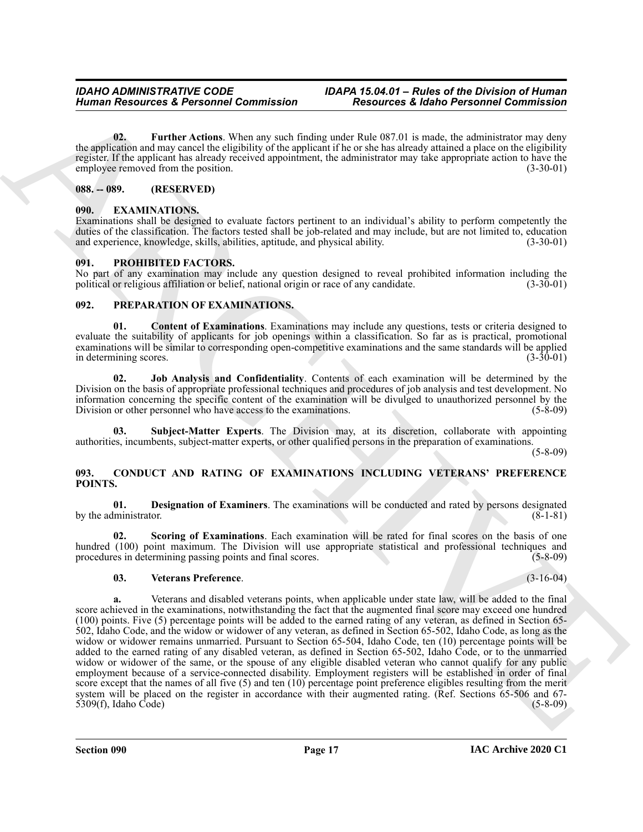<span id="page-16-9"></span>**02. Further Actions**. When any such finding under Rule 087.01 is made, the administrator may deny the application and may cancel the eligibility of the applicant if he or she has already attained a place on the eligibility register. If the applicant has already received appointment, the administrator may take appropriate action to have the employee removed from the position. (3-30-01) (3-30-01)

#### <span id="page-16-0"></span>**088. -- 089. (RESERVED)**

#### <span id="page-16-10"></span><span id="page-16-1"></span>**090. EXAMINATIONS.**

Examinations shall be designed to evaluate factors pertinent to an individual's ability to perform competently the duties of the classification. The factors tested shall be job-related and may include, but are not limited to, education and experience, knowledge, skills, abilities, aptitude, and physical ability. (3-30-01) (3-30-01)

#### <span id="page-16-15"></span><span id="page-16-2"></span>**091. PROHIBITED FACTORS.**

No part of any examination may include any question designed to reveal prohibited information including the political or religious affiliation or belief, national origin or race of any candidate. (3-30-01) political or religious affiliation or belief, national origin or race of any candidate.

#### <span id="page-16-11"></span><span id="page-16-3"></span>**092. PREPARATION OF EXAMINATIONS.**

<span id="page-16-12"></span>**01. Content of Examinations**. Examinations may include any questions, tests or criteria designed to evaluate the suitability of applicants for job openings within a classification. So far as is practical, promotional examinations will be similar to corresponding open-competitive examinations and the same standards will be applied<br>(3-30-01)<br>(3-30-01) in determining scores.

<span id="page-16-13"></span>**02. Job Analysis and Confidentiality**. Contents of each examination will be determined by the Division on the basis of appropriate professional techniques and procedures of job analysis and test development. No information concerning the specific content of the examination will be divulged to unauthorized personnel by the Division or other personnel who have access to the examinations. (5-8-09) Division or other personnel who have access to the examinations.

<span id="page-16-14"></span>**03. Subject-Matter Experts**. The Division may, at its discretion, collaborate with appointing authorities, incumbents, subject-matter experts, or other qualified persons in the preparation of examinations.

(5-8-09)

#### <span id="page-16-5"></span><span id="page-16-4"></span>**093. CONDUCT AND RATING OF EXAMINATIONS INCLUDING VETERANS' PREFERENCE POINTS.**

<span id="page-16-6"></span>**01. Designation of Examiners**. The examinations will be conducted and rated by persons designated by the administrator.

**02. Scoring of Examinations**. Each examination will be rated for final scores on the basis of one hundred (100) point maximum. The Division will use appropriate statistical and professional techniques and procedures in determining passing points and final scores. (5-8-09)

#### <span id="page-16-8"></span><span id="page-16-7"></span>**03. Veterans Preference**. (3-16-04)

Human Resources & Personnel Commission<br>
16 Fourney Resources & Render Commission<br>
16 Fourney Resources & Render Commission<br>
16 Fourney Render Commission<br>
16 Fourney Render Commission<br>
16 Fourney Render Commission<br>
16 Four **a.** Veterans and disabled veterans points, when applicable under state law, will be added to the final score achieved in the examinations, notwithstanding the fact that the augmented final score may exceed one hundred (100) points. Five (5) percentage points will be added to the earned rating of any veteran, as defined in Section 65- 502, Idaho Code, and the widow or widower of any veteran, as defined in Section 65-502, Idaho Code, as long as the widow or widower remains unmarried. Pursuant to Section 65-504, Idaho Code, ten (10) percentage points will be added to the earned rating of any disabled veteran, as defined in Section 65-502, Idaho Code, or to the unmarried widow or widower of the same, or the spouse of any eligible disabled veteran who cannot qualify for any public employment because of a service-connected disability. Employment registers will be established in order of final score except that the names of all five (5) and ten (10) percentage point preference eligibles resulting from the merit system will be placed on the register in accordance with their augmented rating. (Ref. Sections 65-506 and 67- 5309(f), Idaho Code) (5-8-09)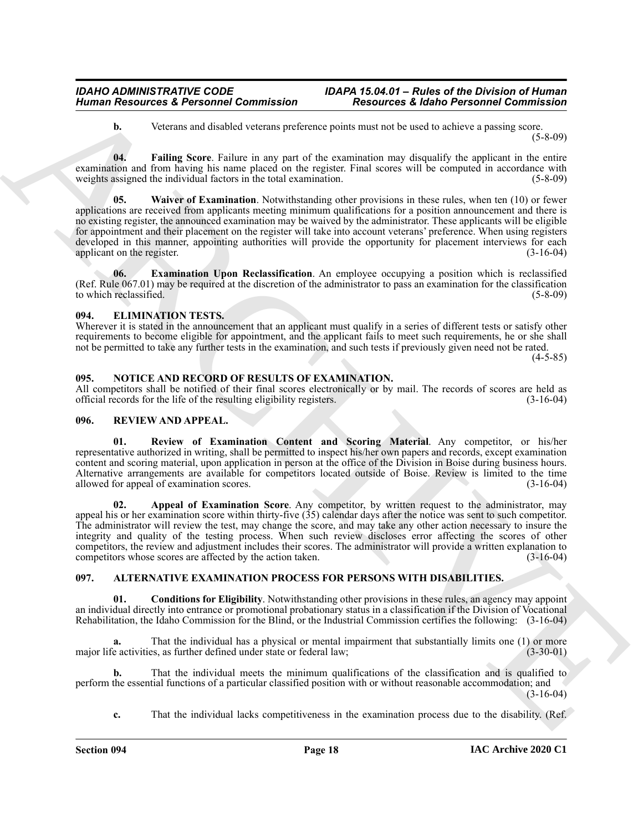<span id="page-17-8"></span><span id="page-17-7"></span>**b.** Veterans and disabled veterans preference points must not be used to achieve a passing score. (5-8-09)

**04. Failing Score**. Failure in any part of the examination may disqualify the applicant in the entire examination and from having his name placed on the register. Final scores will be computed in accordance with weights assigned the individual factors in the total examination. (5-8-09) (5-8-09)

Human Researches & Personnel Commission<br>
We also these control of the state in the state of the state of the state of the state of the state of the state of the state of the state of the state of the state of the state of **05. Waiver of Examination**. Notwithstanding other provisions in these rules, when ten (10) or fewer applications are received from applicants meeting minimum qualifications for a position announcement and there is no existing register, the announced examination may be waived by the administrator. These applicants will be eligible for appointment and their placement on the register will take into account veterans' preference. When using registers developed in this manner, appointing authorities will provide the opportunity for placement interviews for each applicant on the register. (3-16-04) applicant on the register.

<span id="page-17-6"></span>**Examination Upon Reclassification**. An employee occupying a position which is reclassified (Ref. Rule 067.01) may be required at the discretion of the administrator to pass an examination for the classification to which reclassified.

#### <span id="page-17-9"></span><span id="page-17-0"></span>**094. ELIMINATION TESTS.**

Wherever it is stated in the announcement that an applicant must qualify in a series of different tests or satisfy other requirements to become eligible for appointment, and the applicant fails to meet such requirements, he or she shall not be permitted to take any further tests in the examination, and such tests if previously given need not be rated. (4-5-85)

#### <span id="page-17-10"></span><span id="page-17-1"></span>**095. NOTICE AND RECORD OF RESULTS OF EXAMINATION.**

All competitors shall be notified of their final scores electronically or by mail. The records of scores are held as official records for the life of the resulting eligibility registers. (3-16-04)

#### <span id="page-17-11"></span><span id="page-17-2"></span>**096. REVIEW AND APPEAL.**

<span id="page-17-13"></span>**01. Review of Examination Content and Scoring Material**. Any competitor, or his/her representative authorized in writing, shall be permitted to inspect his/her own papers and records, except examination content and scoring material, upon application in person at the office of the Division in Boise during business hours. Alternative arrangements are available for competitors located outside of Boise. Review is limited to the time allowed for appeal of examination scores.

<span id="page-17-12"></span>**02. Appeal of Examination Score**. Any competitor, by written request to the administrator, may appeal his or her examination score within thirty-five (35) calendar days after the notice was sent to such competitor. The administrator will review the test, may change the score, and may take any other action necessary to insure the integrity and quality of the testing process. When such review discloses error affecting the scores of other competitors, the review and adjustment includes their scores. The administrator will provide a written explanation to competitors whose scores are affected by the action taken. (3-16-04)

#### <span id="page-17-4"></span><span id="page-17-3"></span>**097. ALTERNATIVE EXAMINATION PROCESS FOR PERSONS WITH DISABILITIES.**

<span id="page-17-5"></span>**01. Conditions for Eligibility**. Notwithstanding other provisions in these rules, an agency may appoint an individual directly into entrance or promotional probationary status in a classification if the Division of Vocational Rehabilitation, the Idaho Commission for the Blind, or the Industrial Commission certifies the following: (3-16-04)

That the individual has a physical or mental impairment that substantially limits one (1) or more major life activities, as further defined under state or federal law; (3-30-01) (3-30-01)

**b.** That the individual meets the minimum qualifications of the classification and is qualified to perform the essential functions of a particular classified position with or without reasonable accommodation; and (3-16-04)

**c.** That the individual lacks competitiveness in the examination process due to the disability. (Ref.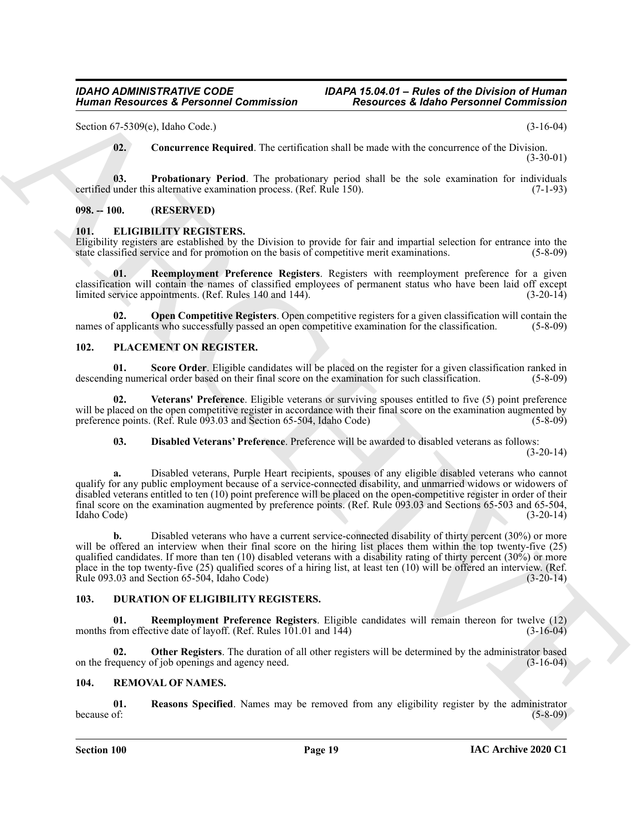Section 67-5309(e), Idaho Code.) (3-16-04)

<span id="page-18-6"></span><span id="page-18-5"></span>**02. Concurrence Required**. The certification shall be made with the concurrence of the Division. (3-30-01)

**03. Probationary Period**. The probationary period shall be the sole examination for individuals under this alternative examination process. (Ref. Rule 150). (7-1-93) certified under this alternative examination process. (Ref. Rule 150).

#### <span id="page-18-0"></span>**098. -- 100. (RESERVED)**

#### <span id="page-18-10"></span><span id="page-18-1"></span>**101. ELIGIBILITY REGISTERS.**

Eligibility registers are established by the Division to provide for fair and impartial selection for entrance into the state classified service and for promotion on the basis of competitive merit examinations. (5-8-09) state classified service and for promotion on the basis of competitive merit examinations.

<span id="page-18-12"></span>**01. Reemployment Preference Registers**. Registers with reemployment preference for a given classification will contain the names of classified employees of permanent status who have been laid off except limited service appointments. (Ref. Rules 140 and 144). limited service appointments. (Ref. Rules 140 and 144).

<span id="page-18-11"></span>**02. Open Competitive Registers**. Open competitive registers for a given classification will contain the names of applicants who successfully passed an open competitive examination for the classification. (5-8-09)

#### <span id="page-18-13"></span><span id="page-18-2"></span>**102. PLACEMENT ON REGISTER.**

<span id="page-18-15"></span>**01. Score Order**. Eligible candidates will be placed on the register for a given classification ranked in descending numerical order based on their final score on the examination for such classification. (5-8-09)

**02. Veterans' Preference**. Eligible veterans or surviving spouses entitled to five (5) point preference will be placed on the open competitive register in accordance with their final score on the examination augmented by preference points. (Ref. Rule  $0\dot{9}3.03$  and Section 65-504, Idaho Code) (5-8-09)

<span id="page-18-16"></span><span id="page-18-14"></span>**03. Disabled Veterans' Preference**. Preference will be awarded to disabled veterans as follows:

(3-20-14)

Human Resources & Personnel Commission<br>
Sensitives & Kidner Personnel Commission<br>
Sensitive Resources & Reinhoft Commission<br>
No. 2000, Case Commission<br>
(1) The Commission Repubblic Commission Commission Records and the tr **a.** Disabled veterans, Purple Heart recipients, spouses of any eligible disabled veterans who cannot qualify for any public employment because of a service-connected disability, and unmarried widows or widowers of disabled veterans entitled to ten (10) point preference will be placed on the open-competitive register in order of their final score on the examination augmented by preference points. (Ref. Rule 093.03 and Sections 65-503 and 65-504, Idaho Code) (3-20-14)

**b.** Disabled veterans who have a current service-connected disability of thirty percent (30%) or more will be offered an interview when their final score on the hiring list places them within the top twenty-five (25) qualified candidates. If more than ten (10) disabled veterans with a disability rating of thirty percent (30%) or more place in the top twenty-five (25) qualified scores of a hiring list, at least ten (10) will be offered an interview. (Ref.<br>Rule 093.03 and Section 65-504, Idaho Code) (3-20-14) Rule  $093.03$  and Section  $65-\overline{504}$ , Idaho Code)

#### <span id="page-18-7"></span><span id="page-18-3"></span>**103. DURATION OF ELIGIBILITY REGISTERS.**

<span id="page-18-9"></span>**01. Reemployment Preference Registers**. Eligible candidates will remain thereon for twelve (12) months from effective date of layoff. (Ref. Rules  $101.01$  and  $144$ )

<span id="page-18-8"></span>**02. Other Registers**. The duration of all other registers will be determined by the administrator based on the frequency of job openings and agency need. (3-16-04)

#### <span id="page-18-17"></span><span id="page-18-4"></span>**104. REMOVAL OF NAMES.**

<span id="page-18-18"></span>**01. Reasons Specified**. Names may be removed from any eligibility register by the administrator because of: (5-8-09)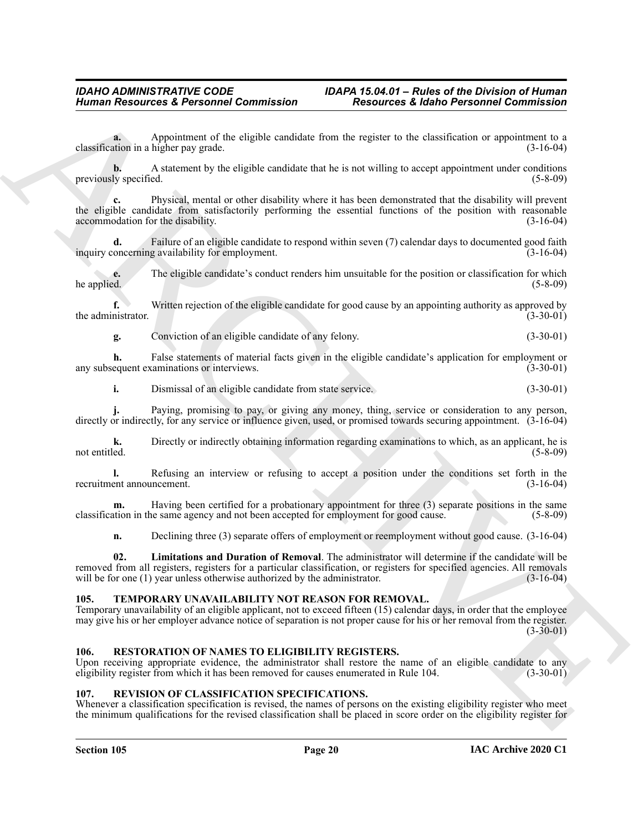**a.** Appointment of the eligible candidate from the register to the classification or appointment to a classification in a higher pay grade. (3-16-04)

**b.** A statement by the eligible candidate that he is not willing to accept appointment under conditions previously specified. (5-8-09)

Himain Resources & Personnel Commission<br>
Charles Commission<br>
Consideration of the education of the education of the education of the education of the education of the education<br>
Note that the education of the education of **c.** Physical, mental or other disability where it has been demonstrated that the disability will prevent the eligible candidate from satisfactorily performing the essential functions of the position with reasonable accommodation for the disability. (3-16-04)

**d.** Failure of an eligible candidate to respond within seven (7) calendar days to documented good faith oncerning availability for employment. inquiry concerning availability for employment.

**e.** The eligible candidate's conduct renders him unsuitable for the position or classification for which he applied. (5-8-09)  $h$  he applied.  $(5-8-09)$ 

**f.** Written rejection of the eligible candidate for good cause by an appointing authority as approved by the administrator. (3-30-01) (3-30-01)

**g.** Conviction of an eligible candidate of any felony. (3-30-01)

**h.** False statements of material facts given in the eligible candidate's application for employment or any subsequent examinations or interviews. (3-30-01)

**i.** Dismissal of an eligible candidate from state service. (3-30-01)

**j.** Paying, promising to pay, or giving any money, thing, service or consideration to any person, directly or indirectly, for any service or influence given, used, or promised towards securing appointment. (3-16-04)

**k.** Directly or indirectly obtaining information regarding examinations to which, as an applicant, he is not entitled. (5-8-09) not entitled. (5-8-09)

**l.** Refusing an interview or refusing to accept a position under the conditions set forth in the ent announcement. (3-16-04) recruitment announcement.

**m.** Having been certified for a probationary appointment for three (3) separate positions in the same classification in the same agency and not been accepted for employment for good cause. (5-8-09)

<span id="page-19-3"></span>**n.** Declining three (3) separate offers of employment or reemployment without good cause. (3-16-04)

**02. Limitations and Duration of Removal**. The administrator will determine if the candidate will be removed from all registers, registers for a particular classification, or registers for specified agencies. All removals will be for one (1) year unless otherwise authorized by the administrator. (3-16-04) will be for one  $(1)$  year unless otherwise authorized by the administrator.

#### <span id="page-19-6"></span><span id="page-19-0"></span>**105. TEMPORARY UNAVAILABILITY NOT REASON FOR REMOVAL.**

Temporary unavailability of an eligible applicant, not to exceed fifteen (15) calendar days, in order that the employee may give his or her employer advance notice of separation is not proper cause for his or her removal from the register.  $(3-30-01)$ 

#### <span id="page-19-4"></span><span id="page-19-1"></span>**106. RESTORATION OF NAMES TO ELIGIBILITY REGISTERS.**

Upon receiving appropriate evidence, the administrator shall restore the name of an eligible candidate to any eligibility register from which it has been removed for causes enumerated in Rule 104. (3-30-01)

#### <span id="page-19-5"></span><span id="page-19-2"></span>**107. REVISION OF CLASSIFICATION SPECIFICATIONS.**

Whenever a classification specification is revised, the names of persons on the existing eligibility register who meet the minimum qualifications for the revised classification shall be placed in score order on the eligibility register for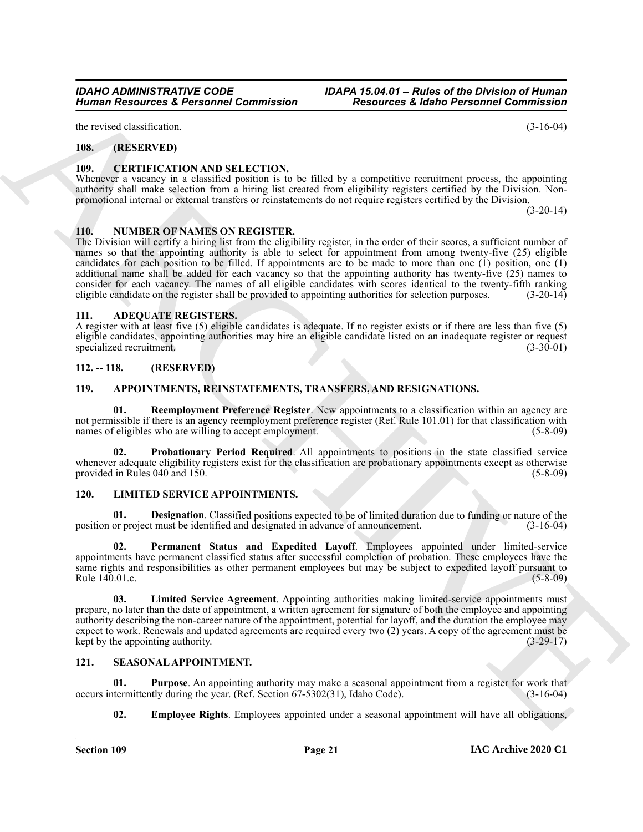the revised classification. (3-16-04)

#### <span id="page-20-0"></span>**108. (RESERVED)**

#### <span id="page-20-12"></span><span id="page-20-1"></span>**109. CERTIFICATION AND SELECTION.**

Whenever a vacancy in a classified position is to be filled by a competitive recruitment process, the appointing authority shall make selection from a hiring list created from eligibility registers certified by the Division. Nonpromotional internal or external transfers or reinstatements do not require registers certified by the Division.

<span id="page-20-17"></span><span id="page-20-2"></span>**110. NUMBER OF NAMES ON REGISTER.**

Human Resources & Personnel Commission<br>
The system of the system of Commission<br>
The system of the system of Commission<br>
The system of the system of the system of the system of the system of the system of the system of the The Division will certify a hiring list from the eligibility register, in the order of their scores, a sufficient number of names so that the appointing authority is able to select for appointment from among twenty-five (25) eligible candidates for each position to be filled. If appointments are to be made to more than one (1) position, one (1) additional name shall be added for each vacancy so that the appointing authority has twenty-five (25) names to consider for each vacancy. The names of all eligible candidates with scores identical to the twenty-fifth ranking eligible candidate on the register shall be provided to appointing authorities for selection purposes. (3-20-14)

#### <span id="page-20-8"></span><span id="page-20-3"></span>**111. ADEQUATE REGISTERS.**

A register with at least five (5) eligible candidates is adequate. If no register exists or if there are less than five (5) eligible candidates, appointing authorities may hire an eligible candidate listed on an inadequate register or request specialized recruitment.

#### <span id="page-20-4"></span>**112. -- 118. (RESERVED)**

#### <span id="page-20-9"></span><span id="page-20-5"></span>**119. APPOINTMENTS, REINSTATEMENTS, TRANSFERS, AND RESIGNATIONS.**

<span id="page-20-11"></span>**01. Reemployment Preference Register**. New appointments to a classification within an agency are not permissible if there is an agency reemployment preference register (Ref. Rule 101.01) for that classification with names of eligibles who are willing to accept employment. (5-8-09)

<span id="page-20-10"></span>**02. Probationary Period Required**. All appointments to positions in the state classified service whenever adequate eligibility registers exist for the classification are probationary appointments except as otherwise provided in Rules 040 and 150. (5-8-09) (5-8-09)

#### <span id="page-20-13"></span><span id="page-20-6"></span>**120. LIMITED SERVICE APPOINTMENTS.**

<span id="page-20-14"></span>**01. Designation**. Classified positions expected to be of limited duration due to funding or nature of the position or project must be identified and designated in advance of announcement. (3-16-04)

<span id="page-20-16"></span>**Permanent Status and Expedited Layoff.** Employees appointed under limited-service appointments have permanent classified status after successful completion of probation. These employees have the same rights and responsibilities as other permanent employees but may be subject to expedited layoff pursuant to Rule 140.01.c. (5-8-09)

<span id="page-20-15"></span>**03. Limited Service Agreement**. Appointing authorities making limited-service appointments must prepare, no later than the date of appointment, a written agreement for signature of both the employee and appointing authority describing the non-career nature of the appointment, potential for layoff, and the duration the employee may expect to work. Renewals and updated agreements are required every two (2) years. A copy of the agreement must be kept by the appointing authority. (3-29-17) kept by the appointing authority.

#### <span id="page-20-18"></span><span id="page-20-7"></span>**121. SEASONAL APPOINTMENT.**

**01. Purpose**. An appointing authority may make a seasonal appointment from a register for work that termittently during the year. (Ref. Section 67-5302(31), Idaho Code). (3-16-04) occurs intermittently during the year. (Ref. Section  $67-5302(31)$ , Idaho Code).

<span id="page-20-20"></span><span id="page-20-19"></span>**02.** Employee Rights. Employees appointed under a seasonal appointment will have all obligations,

 $(3-20-14)$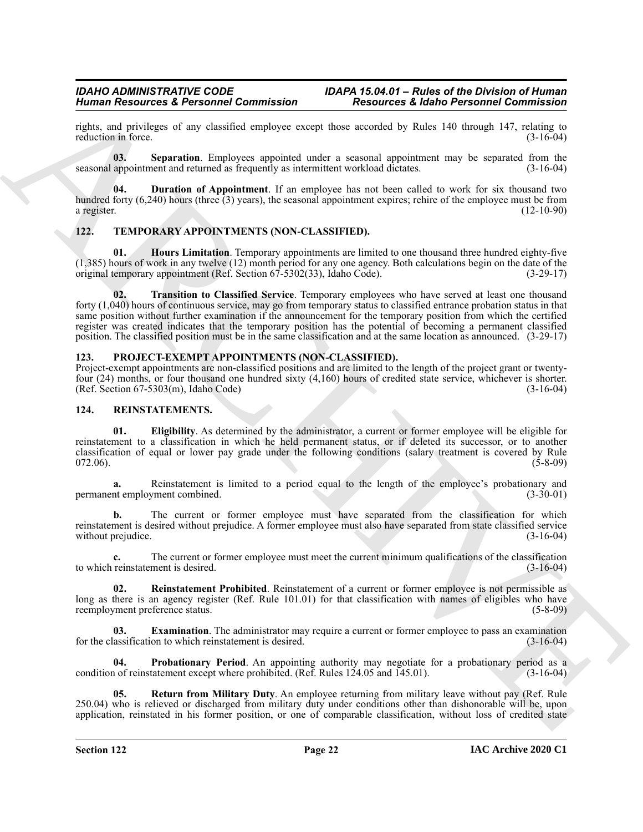rights, and privileges of any classified employee except those accorded by Rules 140 through 147, relating to reduction in force.

<span id="page-21-11"></span>**03. Separation**. Employees appointed under a seasonal appointment may be separated from the seasonal appointment and returned as frequently as intermittent workload dictates. (3-16-04)

<span id="page-21-10"></span>**04. Duration of Appointment**. If an employee has not been called to work for six thousand two hundred forty  $(6,240)$  hours (three  $(3)$  years), the seasonal appointment expires; rehire of the employee must be from a register. (12-10-90)

#### <span id="page-21-12"></span><span id="page-21-0"></span>**122. TEMPORARY APPOINTMENTS (NON-CLASSIFIED).**

<span id="page-21-14"></span><span id="page-21-13"></span>**01. Hours Limitation**. Temporary appointments are limited to one thousand three hundred eighty-five (1,385) hours of work in any twelve (12) month period for any one agency. Both calculations begin on the date of the original temporary appointment (Ref. Section 67-5302(33), Idaho Code). (3-29-17)

ARCHIVE **02. Transition to Classified Service**. Temporary employees who have served at least one thousand forty (1,040) hours of continuous service, may go from temporary status to classified entrance probation status in that same position without further examination if the announcement for the temporary position from which the certified register was created indicates that the temporary position has the potential of becoming a permanent classified position. The classified position must be in the same classification and at the same location as announced. (3-29-17)

#### <span id="page-21-3"></span><span id="page-21-1"></span>**123. PROJECT-EXEMPT APPOINTMENTS (NON-CLASSIFIED).**

Project-exempt appointments are non-classified positions and are limited to the length of the project grant or twentyfour (24) months, or four thousand one hundred sixty (4,160) hours of credited state service, whichever is shorter.<br>(Ref. Section 67-5303(m), Idaho Code) (3-16-04)  $(Ref. Section 67-5303(m), Idaho Code)$ 

#### <span id="page-21-4"></span><span id="page-21-2"></span>**124. REINSTATEMENTS.**

<span id="page-21-5"></span>**01. Eligibility**. As determined by the administrator, a current or former employee will be eligible for reinstatement to a classification in which he held permanent status, or if deleted its successor, or to another classification of equal or lower pay grade under the following conditions (salary treatment is covered by Rule  $072.06$ ). (5-8-09)

**a.** Reinstatement is limited to a period equal to the length of the employee's probationary and permanent employment combined. (3-30-01)

**b.** The current or former employee must have separated from the classification for which reinstatement is desired without prejudice. A former employee must also have separated from state classified service<br>without prejudice. (3-16-04) without prejudice.

**c.** The current or former employee must meet the current minimum qualifications of the classification to which reinstatement is desired. (3-16-04)

<span id="page-21-8"></span>**02. Reinstatement Prohibited**. Reinstatement of a current or former employee is not permissible as long as there is an agency register (Ref. Rule 101.01) for that classification with names of eligibles who have reemployment preference status. (5-8-09)

<span id="page-21-6"></span>**03. Examination**. The administrator may require a current or former employee to pass an examination assification to which reinstatement is desired. (3-16-04) for the classification to which reinstatement is desired.

<span id="page-21-7"></span>**Probationary Period**. An appointing authority may negotiate for a probationary period as a tatement except where prohibited. (Ref. Rules 124.05 and 145.01). (3-16-04) condition of reinstatement except where prohibited. (Ref. Rules  $124.05$  and  $145.01$ ).

<span id="page-21-9"></span>**05. Return from Military Duty**. An employee returning from military leave without pay (Ref. Rule 250.04) who is relieved or discharged from military duty under conditions other than dishonorable will be, upon application, reinstated in his former position, or one of comparable classification, without loss of credited state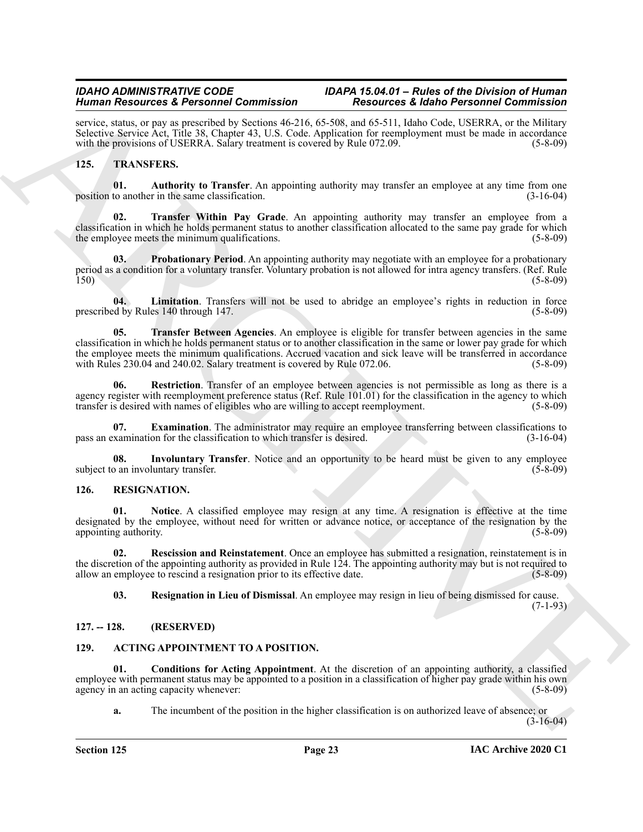service, status, or pay as prescribed by Sections 46-216, 65-508, and 65-511, Idaho Code, USERRA, or the Military Selective Service Act, Title 38, Chapter 43, U.S. Code. Application for reemployment must be made in accordance with the provisions of USERRA. Salary treatment is covered by Rule 072.09. (5-8-09)

#### <span id="page-22-11"></span><span id="page-22-10"></span><span id="page-22-0"></span>**125. TRANSFERS.**

**01. Authority to Transfer**. An appointing authority may transfer an employee at any time from one position to another in the same classification.  $(3-16-04)$ 

<span id="page-22-18"></span>**02. Transfer Within Pay Grade**. An appointing authority may transfer an employee from a classification in which he holds permanent status to another classification allocated to the same pay grade for which the employee meets the minimum qualifications. (5-8-09) (5-8-09)

<span id="page-22-15"></span>**03. Probationary Period**. An appointing authority may negotiate with an employee for a probationary period as a condition for a voluntary transfer. Voluntary probation is not allowed for intra agency transfers. (Ref. Rule 150) (5-8-09)

<span id="page-22-17"></span><span id="page-22-14"></span>**04.** Limitation. Transfers will not be used to abridge an employee's rights in reduction in force of by Rules 140 through 147. prescribed by Rules 140 through 147.

Hence the constraints of Production Control (1) The constraints of the constraints of Control (1) Control (1) Control (1) Control (1) Control (1) Control (1) Control (1) Control (1) Control (1) Control (1) Control (1) Con **05. Transfer Between Agencies**. An employee is eligible for transfer between agencies in the same classification in which he holds permanent status or to another classification in the same or lower pay grade for which the employee meets the minimum qualifications. Accrued vacation and sick leave will be transferred in accordance with Rules 230.04 and 240.02. Salary treatment is covered by Rule 072.06. (5-8-09) (5-8-09)

<span id="page-22-16"></span>**06. Restriction**. Transfer of an employee between agencies is not permissible as long as there is a agency register with reemployment preference status (Ref. Rule 101.01) for the classification in the agency to which transfer is desired with names of eligibles who are willing to accept reemployment. (5-8-09)

<span id="page-22-12"></span>**07. Examination**. The administrator may require an employee transferring between classifications to xamination for the classification to which transfer is desired. (3-16-04) pass an examination for the classification to which transfer is desired.

<span id="page-22-13"></span>**08.** Involuntary Transfer. Notice and an opportunity to be heard must be given to any employee o an involuntary transfer. (5-8-09) subject to an involuntary transfer.

#### <span id="page-22-6"></span><span id="page-22-1"></span>**126. RESIGNATION.**

<span id="page-22-7"></span>**01. Notice**. A classified employee may resign at any time. A resignation is effective at the time designated by the employee, without need for written or advance notice, or acceptance of the resignation by the appointing authority. (5-8-09) appointing authority.

**02. Rescission and Reinstatement**. Once an employee has submitted a resignation, reinstatement is in the discretion of the appointing authority as provided in Rule 124. The appointing authority may but is not required to allow an employee to rescind a resignation prior to its effective date. (5-8-09)

<span id="page-22-9"></span><span id="page-22-8"></span>**03. Resignation in Lieu of Dismissal**. An employee may resign in lieu of being dismissed for cause.

(7-1-93)

#### <span id="page-22-2"></span>**127. -- 128. (RESERVED)**

#### <span id="page-22-4"></span><span id="page-22-3"></span>**129. ACTING APPOINTMENT TO A POSITION.**

**01. Conditions for Acting Appointment**. At the discretion of an appointing authority, a classified employee with permanent status may be appointed to a position in a classification of higher pay grade within his own agency in an acting capacity whenever: (5-8-09)  $(5-8-0)$ 

<span id="page-22-5"></span>**a.** The incumbent of the position in the higher classification is on authorized leave of absence; or (3-16-04)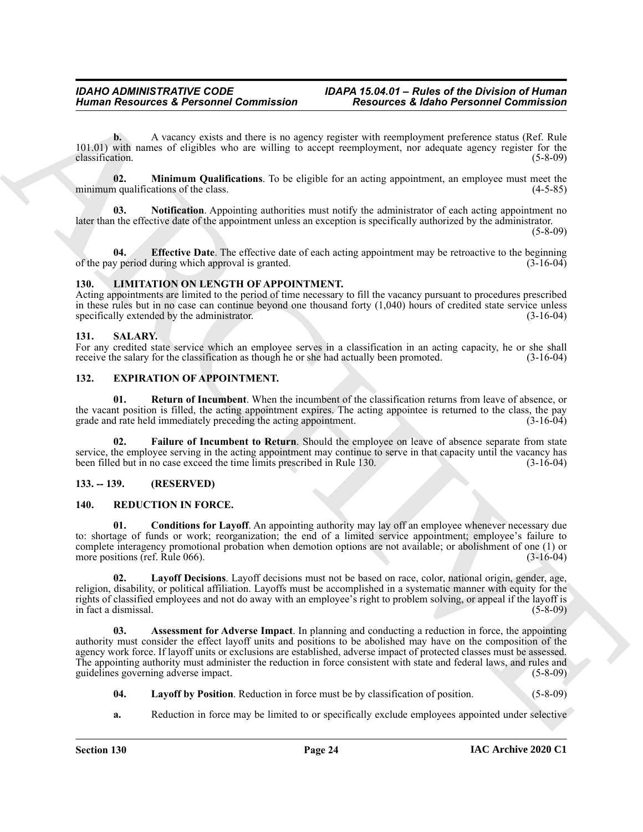**b.** A vacancy exists and there is no agency register with reemployment preference status (Ref. Rule 101.01) with names of eligibles who are willing to accept reemployment, nor adequate agency register for the classification. (5-8-09)

<span id="page-23-6"></span>**02. Minimum Qualifications**. To be eligible for an acting appointment, an employee must meet the minimum qualifications of the class.

<span id="page-23-7"></span>**03. Notification**. Appointing authorities must notify the administrator of each acting appointment no later than the effective date of the appointment unless an exception is specifically authorized by the administrator.

(5-8-09)

<span id="page-23-5"></span>**04. Effective Date**. The effective date of each acting appointment may be retroactive to the beginning of the pay period during which approval is granted. (3-16-04)

#### <span id="page-23-11"></span><span id="page-23-0"></span>**130. LIMITATION ON LENGTH OF APPOINTMENT.**

Acting appointments are limited to the period of time necessary to fill the vacancy pursuant to procedures prescribed in these rules but in no case can continue beyond one thousand forty (1,040) hours of credited state service unless specifically extended by the administrator. (3-16-04)

#### <span id="page-23-17"></span><span id="page-23-1"></span>**131. SALARY.**

For any credited state service which an employee serves in a classification in an acting capacity, he or she shall receive the salary for the classification as though he or she had actually been promoted. (3-16-04) receive the salary for the classification as though he or she had actually been promoted.

#### <span id="page-23-8"></span><span id="page-23-2"></span>**132. EXPIRATION OF APPOINTMENT.**

<span id="page-23-10"></span>**01. Return of Incumbent**. When the incumbent of the classification returns from leave of absence, or the vacant position is filled, the acting appointment expires. The acting appointee is returned to the class, the pay grade and rate held immediately preceding the acting appointment. (3-16-04) grade and rate held immediately preceding the acting appointment.

<span id="page-23-9"></span>**02. Failure of Incumbent to Return**. Should the employee on leave of absence separate from state service, the employee serving in the acting appointment may continue to serve in that capacity until the vacancy has been filled but in no case exceed the time limits prescribed in Rule 130. (3-16-04)

#### <span id="page-23-3"></span>**133. -- 139. (RESERVED)**

#### <span id="page-23-14"></span><span id="page-23-12"></span><span id="page-23-4"></span>**140. REDUCTION IN FORCE.**

**01. Conditions for Layoff**. An appointing authority may lay off an employee whenever necessary due to: shortage of funds or work; reorganization; the end of a limited service appointment; employee's failure to complete interagency promotional probation when demotion options are not available; or abolishment of one (1) or more positions (ref. Rule 066). (3-16-04)

<span id="page-23-16"></span>**02. Layoff Decisions**. Layoff decisions must not be based on race, color, national origin, gender, age, religion, disability, or political affiliation. Layoffs must be accomplished in a systematic manner with equity for the rights of classified employees and not do away with an employee's right to problem solving, or appeal if the layoff is in fact a dismissal. (5-8-09)

Human Resources & Personnel Commission<br>
(Account a Resources & Personnel Commission)<br>
(Account a Mayna Mayna Mayna Mayna Mayna Mayna Mayna Mayna Mayna Mayna Mayna Mayna Mayna Mayna Mayna Mayna Mayna Mayna Mayna Mayna Mayn **03. Assessment for Adverse Impact**. In planning and conducting a reduction in force, the appointing authority must consider the effect layoff units and positions to be abolished may have on the composition of the agency work force. If layoff units or exclusions are established, adverse impact of protected classes must be assessed. The appointing authority must administer the reduction in force consistent with state and federal laws, and rules and guidelines governing adverse impact. (5-8-09)

- <span id="page-23-15"></span><span id="page-23-13"></span>**04. Layoff by Position**. Reduction in force must be by classification of position. (5-8-09)
- **a.** Reduction in force may be limited to or specifically exclude employees appointed under selective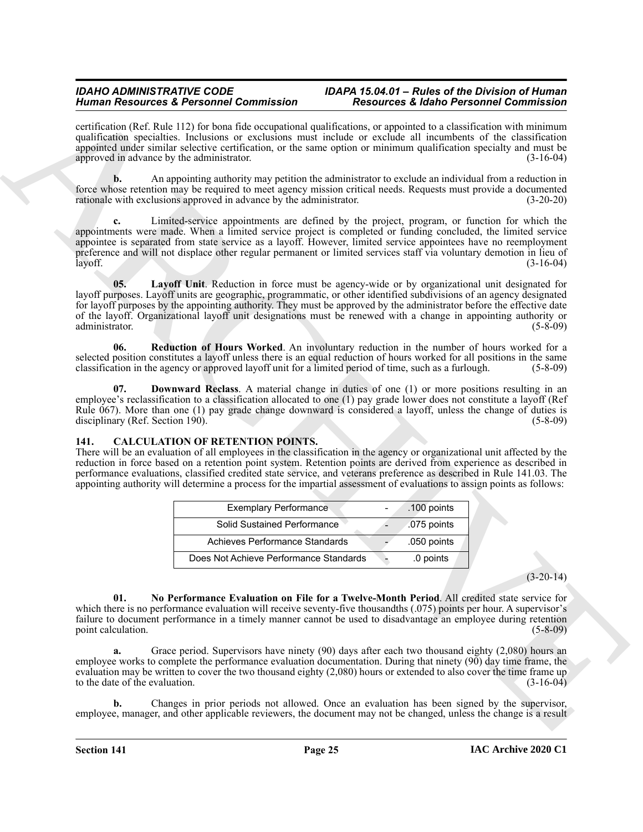certification (Ref. Rule 112) for bona fide occupational qualifications, or appointed to a classification with minimum qualification specialties. Inclusions or exclusions must include or exclude all incumbents of the classification appointed under similar selective certification, or the same option or minimum qualification specialty and must be approved in advance by the administrator. (3-16-04) approved in advance by the administrator.

**b.** An appointing authority may petition the administrator to exclude an individual from a reduction in force whose retention may be required to meet agency mission critical needs. Requests must provide a documented rationale with exclusions approved in advance by the administrator. (3-20-20)

Human Research & President Generality since the state of Euler Constitution and the state of Constitution and the state of Constitution and the state of Constitution and the state of Constitution of the state of Constitut **c.** Limited-service appointments are defined by the project, program, or function for which the appointments were made. When a limited service project is completed or funding concluded, the limited service appointee is separated from state service as a layoff. However, limited service appointees have no reemployment preference and will not displace other regular permanent or limited services staff via voluntary demotion in lieu of layoff. (3-16-04)

<span id="page-24-4"></span>**05. Layoff Unit**. Reduction in force must be agency-wide or by organizational unit designated for layoff purposes. Layoff units are geographic, programmatic, or other identified subdivisions of an agency designated for layoff purposes by the appointing authority. They must be approved by the administrator before the effective date of the layoff. Organizational layoff unit designations must be renewed with a change in appointing authority or<br>(5-8-09) administrator. (5-8-09)

<span id="page-24-5"></span>**06. Reduction of Hours Worked**. An involuntary reduction in the number of hours worked for a selected position constitutes a layoff unless there is an equal reduction of hours worked for all positions in the same classification in the agency or approved layoff unit for a limited period of time, such as a furlough. (5-8-09)

<span id="page-24-3"></span>**07. Downward Reclass**. A material change in duties of one (1) or more positions resulting in an employee's reclassification to a classification allocated to one (1) pay grade lower does not constitute a layoff (Ref Rule 067). More than one (1) pay grade change downward is considered a layoff, unless the change of duties is disciplinary (Ref. Section 190). (5-8-09) disciplinary (Ref. Section  $190$ ).

#### <span id="page-24-1"></span><span id="page-24-0"></span>**141. CALCULATION OF RETENTION POINTS.**

There will be an evaluation of all employees in the classification in the agency or organizational unit affected by the reduction in force based on a retention point system. Retention points are derived from experience as described in performance evaluations, classified credited state service, and veterans preference as described in Rule 141.03. The appointing authority will determine a process for the impartial assessment of evaluations to assign points as follows:

| <b>Exemplary Performance</b>           | .100 points |
|----------------------------------------|-------------|
| Solid Sustained Performance            | .075 points |
| Achieves Performance Standards         | .050 points |
| Does Not Achieve Performance Standards | .0 points   |

 $(3-20-14)$ 

<span id="page-24-2"></span>**01. No Performance Evaluation on File for a Twelve-Month Period**. All credited state service for which there is no performance evaluation will receive seventy-five thousandths (.075) points per hour. A supervisor's failure to document performance in a timely manner cannot be used to disadvantage an employee during retention point calculation. (5-8-09)

**a.** Grace period. Supervisors have ninety (90) days after each two thousand eighty (2,080) hours an employee works to complete the performance evaluation documentation. During that ninety  $(90)$  day time frame, the evaluation may be written to cover the two thousand eighty (2,080) hours or extended to also cover the time frame up<br>to the date of the evaluation. (3-16-04) to the date of the evaluation.

**b.** Changes in prior periods not allowed. Once an evaluation has been signed by the supervisor, employee, manager, and other applicable reviewers, the document may not be changed, unless the change is a result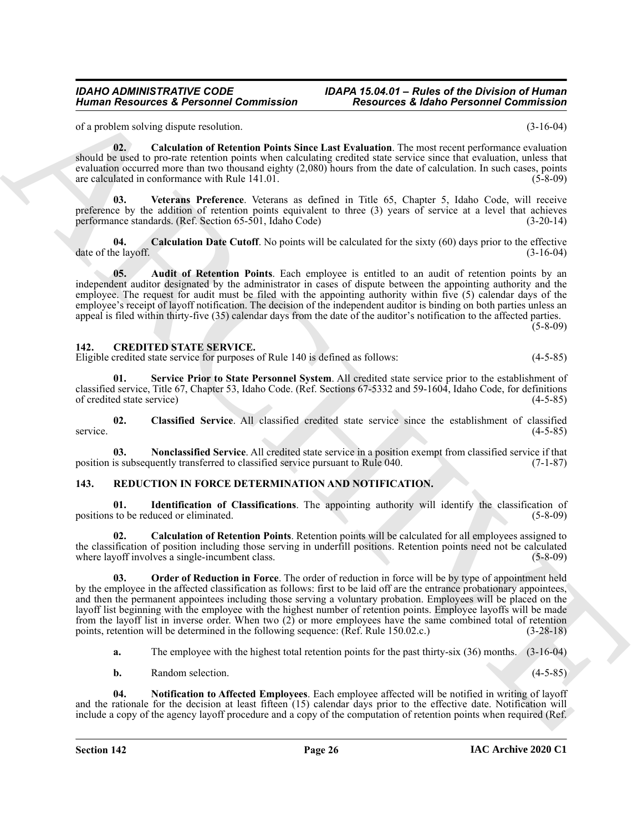*IDAHO ADMINISTRATIVE CODE IDAPA 15.04.01 – Rules of the Division of Human*

of a problem solving dispute resolution. (3-16-04)

<span id="page-25-4"></span>**02. Calculation of Retention Points Since Last Evaluation**. The most recent performance evaluation should be used to pro-rate retention points when calculating credited state service since that evaluation, unless that evaluation occurred more than two thousand eighty (2,080) hours from the date of calculation. In such cases, points are calculated in conformance with Rule 141.01. (5-8-09)

<span id="page-25-5"></span>**03. Veterans Preference**. Veterans as defined in Title 65, Chapter 5, Idaho Code, will receive preference by the addition of retention points equivalent to three (3) years of service at a level that achieves performance standards. (Ref. Section 65-501, Idaho Code) (3-20-14)

<span id="page-25-3"></span>**04.** Calculation Date Cutoff. No points will be calculated for the sixty (60) days prior to the effective is layoff. date of the layoff.

<span id="page-25-2"></span>**05. Audit of Retention Points**. Each employee is entitled to an audit of retention points by an independent auditor designated by the administrator in cases of dispute between the appointing authority and the employee. The request for audit must be filed with the appointing authority within five (5) calendar days of the employee's receipt of layoff notification. The decision of the independent auditor is binding on both parties unless an appeal is filed within thirty-five (35) calendar days from the date of the auditor's notification to the affected parties. (5-8-09)

#### <span id="page-25-6"></span><span id="page-25-0"></span>**142. CREDITED STATE SERVICE.**

Eligible credited state service for purposes of Rule 140 is defined as follows: (4-5-85)

<span id="page-25-9"></span>**01. Service Prior to State Personnel System**. All credited state service prior to the establishment of classified service, Title 67, Chapter 53, Idaho Code. (Ref. Sections 67-5332 and 59-1604, Idaho Code, for definitions of credited state service) (4-5-85)

<span id="page-25-7"></span>**02. Classified Service**. All classified credited state service since the establishment of classified service. (4-5-85)

<span id="page-25-8"></span>**03. Nonclassified Service**. All credited state service in a position exempt from classified service if that position is subsequently transferred to classified service pursuant to Rule 040. (7-1-87)

#### <span id="page-25-10"></span><span id="page-25-1"></span>**143. REDUCTION IN FORCE DETERMINATION AND NOTIFICATION.**

<span id="page-25-12"></span>**01. Identification of Classifications**. The appointing authority will identify the classification of positions to be reduced or eliminated. (5-8-09)

<span id="page-25-14"></span><span id="page-25-11"></span>**02. Calculation of Retention Points**. Retention points will be calculated for all employees assigned to the classification of position including those serving in underfill positions. Retention points need not be calculated where layoff involves a single-incumbent class. (5-8-09)

Human Research at *Revisions* Commission<br>
(a) politic order at the state of the state of the state of the state of the state of the state of the state of the state of the state of the state of the state of the state of th **03. Order of Reduction in Force**. The order of reduction in force will be by type of appointment held by the employee in the affected classification as follows: first to be laid off are the entrance probationary appointees, and then the permanent appointees including those serving a voluntary probation. Employees will be placed on the layoff list beginning with the employee with the highest number of retention points. Employee layoffs will be made from the layoff list in inverse order. When two (2) or more employees have the same combined total of retention points, retention will be determined in the following sequence: (Ref. Rule 150.02.c.) (3-28-18)

**a.** The employee with the highest total retention points for the past thirty-six (36) months. (3-16-04)

<span id="page-25-13"></span>**b.** Random selection. (4-5-85)

**04. Notification to Affected Employees**. Each employee affected will be notified in writing of layoff and the rationale for the decision at least fifteen (15) calendar days prior to the effective date. Notification will include a copy of the agency layoff procedure and a copy of the computation of retention points when required (Ref.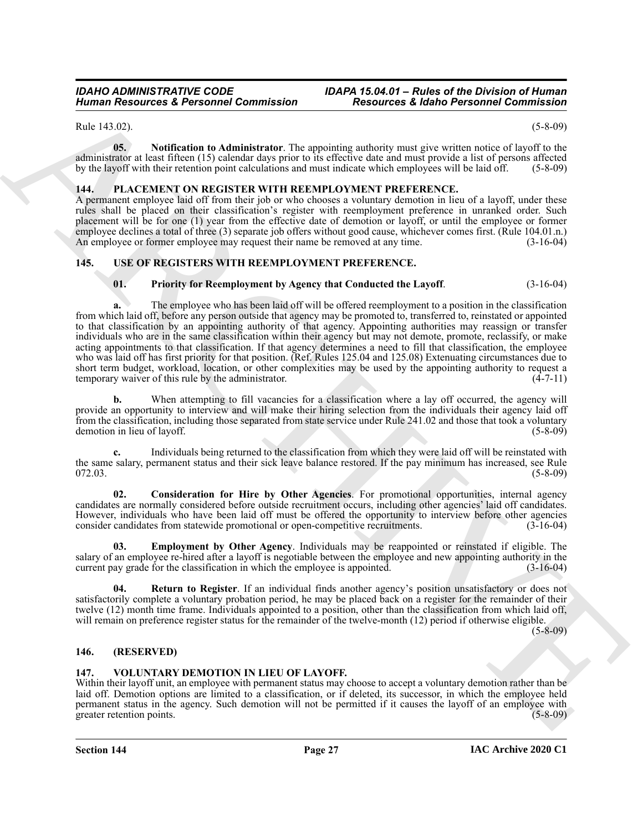### *IDAHO ADMINISTRATIVE CODE IDAPA 15.04.01 – Rules of the Division of Human*

Rule 143.02). (5-8-09)

<span id="page-26-5"></span>**05. Notification to Administrator**. The appointing authority must give written notice of layoff to the administrator at least fifteen (15) calendar days prior to its effective date and must provide a list of persons affected by the layoff with their retention point calculations and must indicate which employees will be laid off. (5-8-09)

#### <span id="page-26-4"></span><span id="page-26-0"></span>**144. PLACEMENT ON REGISTER WITH REEMPLOYMENT PREFERENCE.**

A permanent employee laid off from their job or who chooses a voluntary demotion in lieu of a layoff, under these rules shall be placed on their classification's register with reemployment preference in unranked order. Such placement will be for one (1) year from the effective date of demotion or layoff, or until the employee or former employee declines a total of three (3) separate job offers without good cause, whichever comes first. (Rule 104.01.n.) An employee or former employee may request their name be removed at any time.  $(3-16-04)$ 

#### <span id="page-26-1"></span>**145. USE OF REGISTERS WITH REEMPLOYMENT PREFERENCE.**

#### <span id="page-26-9"></span><span id="page-26-6"></span>**01. Priority for Reemployment by Agency that Conducted the Layoff**. (3-16-04)

Human Research at *Revisions* Commission<br>
(*bia 1932)*<br>
Research at *Revisions* Commission<br>
(*bia 1933)*<br>
(*bia 1933)*<br>
(*bia 1933)*<br>
(**ARCHIVE ARCHIPS ARTIFIC AND ARCHIPS ARTIFIC AND CONTROL**<br>
(**ARCHIPS ARTIFIC ARCHIPS A a.** The employee who has been laid off will be offered reemployment to a position in the classification from which laid off, before any person outside that agency may be promoted to, transferred to, reinstated or appointed to that classification by an appointing authority of that agency. Appointing authorities may reassign or transfer individuals who are in the same classification within their agency but may not demote, promote, reclassify, or make acting appointments to that classification. If that agency determines a need to fill that classification, the employee who was laid off has first priority for that position. (Ref. Rules 125.04 and 125.08) Extenuating circumstances due to short term budget, workload, location, or other complexities may be used by the appointing authority to request a temporary waiver of this rule by the administrator. (4-7-11)

**b.** When attempting to fill vacancies for a classification where a lay off occurred, the agency will provide an opportunity to interview and will make their hiring selection from the individuals their agency laid off from the classification, including those separated from state service under Rule 241.02 and those that took a voluntary demotion in lieu of layoff. (5-8-09)

**c.** Individuals being returned to the classification from which they were laid off will be reinstated with the same salary, permanent status and their sick leave balance restored. If the pay minimum has increased, see Rule 072.03. (5-8-09)

<span id="page-26-7"></span>**02. Consideration for Hire by Other Agencies**. For promotional opportunities, internal agency candidates are normally considered before outside recruitment occurs, including other agencies' laid off candidates. However, individuals who have been laid off must be offered the opportunity to interview before other agencies consider candidates from statewide promotional or open-competitive recruitments. (3-16-04)

<span id="page-26-8"></span>**03. Employment by Other Agency**. Individuals may be reappointed or reinstated if eligible. The salary of an employee re-hired after a layoff is negotiable between the employee and new appointing authority in the current pay grade for the classification in which the employee is appointed. (3-16-04)

<span id="page-26-10"></span>**04. Return to Register**. If an individual finds another agency's position unsatisfactory or does not satisfactorily complete a voluntary probation period, he may be placed back on a register for the remainder of their twelve (12) month time frame. Individuals appointed to a position, other than the classification from which laid off, will remain on preference register status for the remainder of the twelve-month (12) period if otherwise eligible.

 $(5 - 8 - 09)$ 

#### <span id="page-26-2"></span>**146. (RESERVED)**

#### <span id="page-26-11"></span><span id="page-26-3"></span>**147. VOLUNTARY DEMOTION IN LIEU OF LAYOFF.**

Within their layoff unit, an employee with permanent status may choose to accept a voluntary demotion rather than be laid off. Demotion options are limited to a classification, or if deleted, its successor, in which the employee held permanent status in the agency. Such demotion will not be permitted if it causes the layoff of an employee with greater retention points. (5-8-09)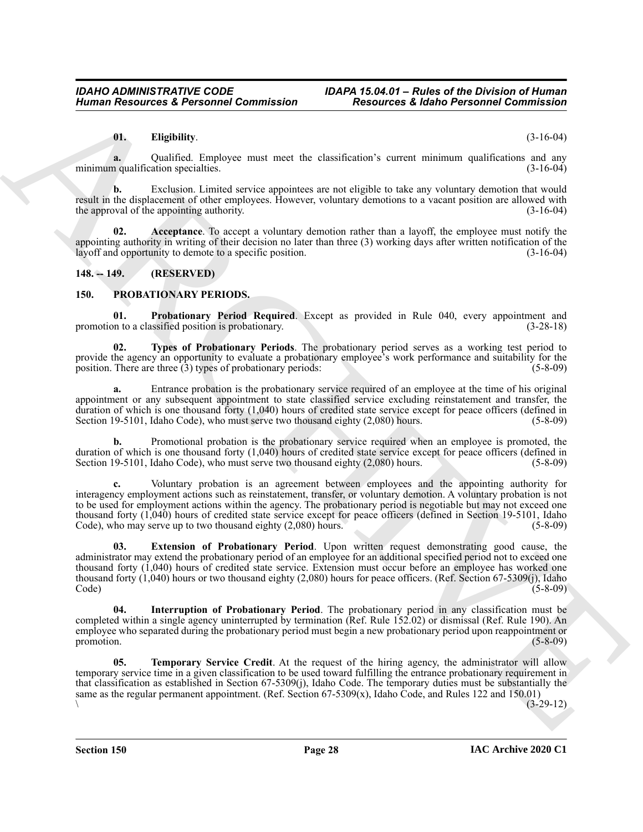#### <span id="page-27-9"></span>**01. Eligibility**. (3-16-04)

**a.** Qualified. Employee must meet the classification's current minimum qualifications and any minimum qualification specialties. (3-16-04)

**b.** Exclusion. Limited service appointees are not eligible to take any voluntary demotion that would result in the displacement of other employees. However, voluntary demotions to a vacant position are allowed with the approval of the appointing authority. (3-16-04)

<span id="page-27-8"></span>**02. Acceptance**. To accept a voluntary demotion rather than a layoff, the employee must notify the appointing authority in writing of their decision no later than three  $(3)$  working days after written notification of the layoff and opportunity to demote to a specific position. layoff and opportunity to demote to a specific position.

#### <span id="page-27-0"></span>**148. -- 149. (RESERVED)**

#### <span id="page-27-5"></span><span id="page-27-2"></span><span id="page-27-1"></span>**150. PROBATIONARY PERIODS.**

**01. Probationary Period Required**. Except as provided in Rule 040, every appointment and in to a classified position is probationary. (3-28-18) promotion to a classified position is probationary.

<span id="page-27-7"></span>**02. Types of Probationary Periods**. The probationary period serves as a working test period to provide the agency an opportunity to evaluate a probationary employee's work performance and suitability for the position. There are three (3) types of probationary periods: (5-8-09)

**a.** Entrance probation is the probationary service required of an employee at the time of his original appointment or any subsequent appointment to state classified service excluding reinstatement and transfer, the duration of which is one thousand forty (1,040) hours of credited state service except for peace officers (defined in Section 19-5101, Idaho Code), who must serve two thousand eighty (2,080) hours. (5-8-09)

**b.** Promotional probation is the probationary service required when an employee is promoted, the duration of which is one thousand forty (1,040) hours of credited state service except for peace officers (defined in Section 19-5101, Idaho Code), who must serve two thousand eighty (2,080) hours. (5-8-09)

<span id="page-27-3"></span>**c.** Voluntary probation is an agreement between employees and the appointing authority for interagency employment actions such as reinstatement, transfer, or voluntary demotion. A voluntary probation is not to be used for employment actions within the agency. The probationary period is negotiable but may not exceed one thousand forty (1,040) hours of credited state service except for peace officers (defined in Section 19-5101, Idaho Code), who may serve up to two thousand eighty (2,080) hours. (5-8-09)

Human Resources & Personne Commission<br>
(Exception Commission Commission Commission Commission Commission Commission Commission Commission<br>
(Columbus Commission Commission Commission Commission Commission Commission Commis **03. Extension of Probationary Period**. Upon written request demonstrating good cause, the administrator may extend the probationary period of an employee for an additional specified period not to exceed one thousand forty (1,040) hours of credited state service. Extension must occur before an employee has worked one thousand forty  $(1,040)$  hours or two thousand eighty  $(2,080)$  hours for peace officers. (Ref. Section 67-5309(j), Idaho Code) (5-8-09) Code) (5-8-09)

<span id="page-27-4"></span>**04. Interruption of Probationary Period**. The probationary period in any classification must be completed within a single agency uninterrupted by termination (Ref. Rule 152.02) or dismissal (Ref. Rule 190). An employee who separated during the probationary period must begin a new probationary period upon reappointment or promotion. (5-8-09) promotion. (5-8-09)

<span id="page-27-6"></span>**Temporary Service Credit**. At the request of the hiring agency, the administrator will allow temporary service time in a given classification to be used toward fulfilling the entrance probationary requirement in that classification as established in Section 67-5309(j), Idaho Code. The temporary duties must be substantially the same as the regular permanent appointment. (Ref. Section 67-5309(x), Idaho Code, and Rules 122 and 150.01)<br>(3-29-12)  $\sqrt{3-29-12}$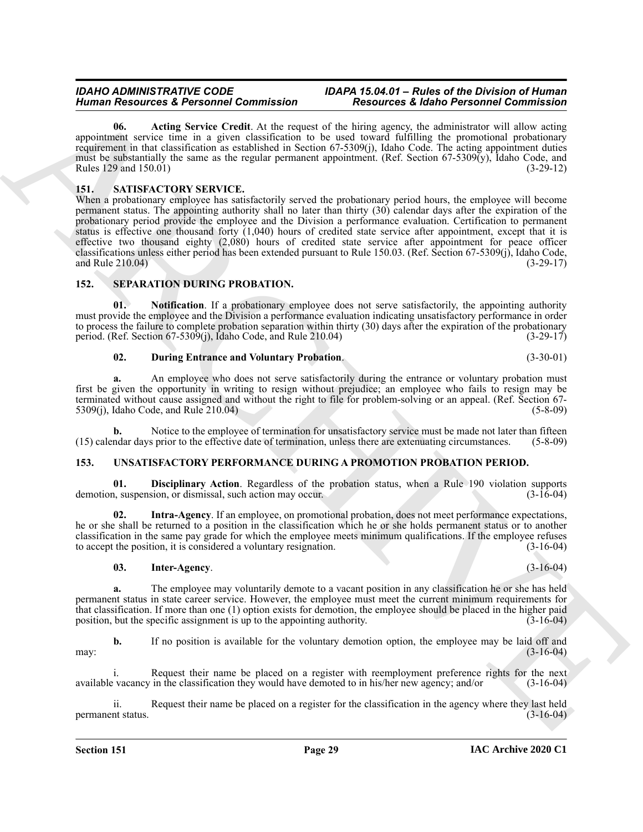<span id="page-28-3"></span>**06. Acting Service Credit**. At the request of the hiring agency, the administrator will allow acting appointment service time in a given classification to be used toward fulfilling the promotional probationary requirement in that classification as established in Section 67-5309(j), Idaho Code. The acting appointment duties must be substantially the same as the regular permanent appointment. (Ref. Section 67-5309(y), Idaho Code, and Rules 129 and 150.01) (3-29-12)

#### <span id="page-28-4"></span><span id="page-28-0"></span>**151. SATISFACTORY SERVICE.**

Human Resources Electronic Control into the state of the bisocher control into the state Proposition Control into the state of the state of the state of the state of the state of the state of the state of the state of the When a probationary employee has satisfactorily served the probationary period hours, the employee will become permanent status. The appointing authority shall no later than thirty (30) calendar days after the expiration of the probationary period provide the employee and the Division a performance evaluation. Certification to permanent status is effective one thousand forty (1,040) hours of credited state service after appointment, except that it is effective two thousand eighty (2,080) hours of credited state service after appointment for peace officer classifications unless either period has been extended pursuant to Rule 150.03. (Ref. Section 67-5309(j), Idaho Code, and Rule 210.04) (3-29-17)

#### <span id="page-28-5"></span><span id="page-28-1"></span>**152. SEPARATION DURING PROBATION.**

**01. Notification**. If a probationary employee does not serve satisfactorily, the appointing authority must provide the employee and the Division a performance evaluation indicating unsatisfactory performance in order to process the failure to complete probation separation within thirty (30) days after the expiration of the probationary period. (Ref. Section 67-5309(j), Idaho Code, and Rule 210.04) (3-29-17)

<span id="page-28-7"></span><span id="page-28-6"></span>**02. During Entrance and Voluntary Probation**. (3-30-01)

**a.** An employee who does not serve satisfactorily during the entrance or voluntary probation must first be given the opportunity in writing to resign without prejudice; an employee who fails to resign may be terminated without cause assigned and without the right to file for problem-solving or an appeal. (Ref. Section 67-<br>5309(i), Idaho Code, and Rule 210.04) (5-8-09)  $5309(i)$ , Idaho Code, and Rule  $210.04$ )

**b.** Notice to the employee of termination for unsatisfactory service must be made not later than fifteen (15) calendar days prior to the effective date of termination, unless there are extenuating circumstances. (5-8-09)

#### <span id="page-28-8"></span><span id="page-28-2"></span>**153. UNSATISFACTORY PERFORMANCE DURING A PROMOTION PROBATION PERIOD.**

<span id="page-28-9"></span>**01. Disciplinary Action**. Regardless of the probation status, when a Rule 190 violation supports demotion, suspension, or dismissal, such action may occur. (3-16-04)

**02. Intra-Agency**. If an employee, on promotional probation, does not meet performance expectations, he or she shall be returned to a position in the classification which he or she holds permanent status or to another classification in the same pay grade for which the employee meets minimum qualifications. If the employee refuses to accept the position, it is considered a voluntary resignation. (3-16-04)

#### <span id="page-28-11"></span><span id="page-28-10"></span>**03. Inter-Agency**. (3-16-04)

**a.** The employee may voluntarily demote to a vacant position in any classification he or she has held permanent status in state career service. However, the employee must meet the current minimum requirements for that classification. If more than one (1) option exists for demotion, the employee should be placed in the higher paid position, but the specific assignment is up to the appointing authority. (3-16-04)

**b.** If no position is available for the voluntary demotion option, the employee may be laid off and may: (3-16-04)

i. Request their name be placed on a register with reemployment preference rights for the next available vacancy in the classification they would have demoted to in his/her new agency; and/or (3-16-04)

ii. Request their name be placed on a register for the classification in the agency where they last held permanent status.  $(3-16-04)$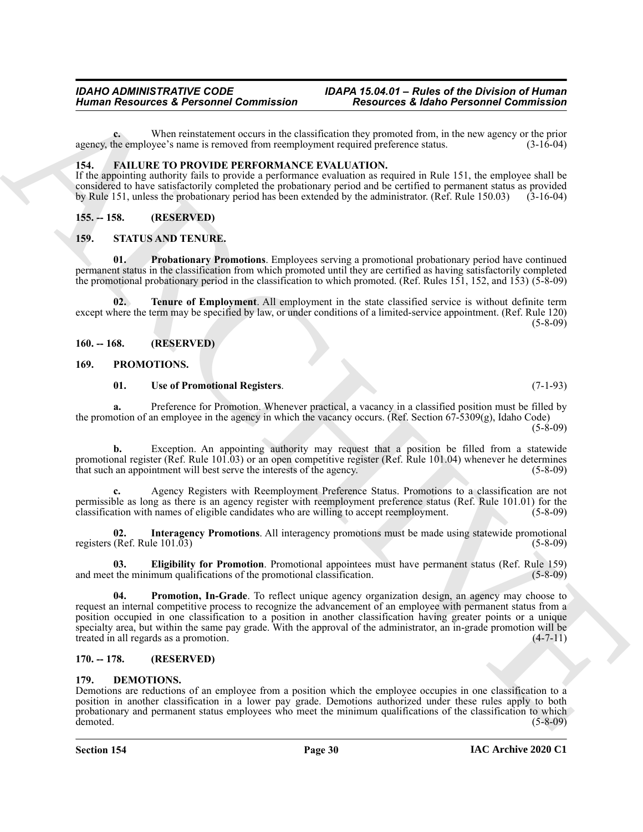**c.** When reinstatement occurs in the classification they promoted from, in the new agency or the prior the employee's name is removed from reemployment required preference status.  $(3-16-04)$ agency, the employee's name is removed from reemployment required preference status.

#### <span id="page-29-8"></span><span id="page-29-0"></span>**154. FAILURE TO PROVIDE PERFORMANCE EVALUATION.**

If the appointing authority fails to provide a performance evaluation as required in Rule 151, the employee shall be considered to have satisfactorily completed the probationary period and be certified to permanent status as provided by Rule 151, unless the probationary period has been extended by the administrator. (Ref. Rule 150.03) (3-16-04)

#### <span id="page-29-1"></span>**155. -- 158. (RESERVED)**

#### <span id="page-29-15"></span><span id="page-29-14"></span><span id="page-29-2"></span>**159. STATUS AND TENURE.**

**01. Probationary Promotions**. Employees serving a promotional probationary period have continued permanent status in the classification from which promoted until they are certified as having satisfactorily completed the promotional probationary period in the classification to which promoted. (Ref. Rules 151, 152, and 153) (5-8-09)

<span id="page-29-16"></span>**02. Tenure of Employment**. All employment in the state classified service is without definite term except where the term may be specified by law, or under conditions of a limited-service appointment. (Ref. Rule 120)  $(5-8-09)$ 

<span id="page-29-3"></span>**160. -- 168. (RESERVED)**

#### <span id="page-29-4"></span>**169. PROMOTIONS.**

#### <span id="page-29-13"></span><span id="page-29-9"></span>**01. Use of Promotional Registers**. (7-1-93)

**a.** Preference for Promotion. Whenever practical, a vacancy in a classified position must be filled by the promotion of an employee in the agency in which the vacancy occurs. (Ref. Section 67-5309(g), Idaho Code)  $(5-8-09)$ 

**b.** Exception. An appointing authority may request that a position be filled from a statewide promotional register (Ref. Rule 101.03) or an open competitive register (Ref. Rule 101.04) whenever he determines that such an appointment will best serve the interests of the agency. (5-8-09)

**c.** Agency Registers with Reemployment Preference Status. Promotions to a classification are not permissible as long as there is an agency register with reemployment preference status (Ref. Rule 101.01) for the classification with names of eligible candidates who are willing to accept reemployment. (5-8-09)

<span id="page-29-11"></span>**02. Interagency Promotions**. All interagency promotions must be made using statewide promotional registers (Ref. Rule  $101.\overline{03}$ ) (5-8-09)

<span id="page-29-12"></span><span id="page-29-10"></span>**03. Eligibility for Promotion**. Promotional appointees must have permanent status (Ref. Rule 159) and meet the minimum qualifications of the promotional classification.

Human Resources & Personnel Commission<br>
Warner Water (Water Street External Post Commission Commission Commission Commission Commission Commission Commission Commission Commission Commission Commission Commission Commissi **Promotion, In-Grade**. To reflect unique agency organization design, an agency may choose to request an internal competitive process to recognize the advancement of an employee with permanent status from a position occupied in one classification to a position in another classification having greater points or a unique specialty area, but within the same pay grade. With the approval of the administrator, an in-grade promotion will be treated in all regards as a promotion. (4-7-11)

#### <span id="page-29-5"></span>**170. -- 178. (RESERVED)**

#### <span id="page-29-7"></span><span id="page-29-6"></span>**179. DEMOTIONS.**

Demotions are reductions of an employee from a position which the employee occupies in one classification to a position in another classification in a lower pay grade. Demotions authorized under these rules apply to both probationary and permanent status employees who meet the minimum qualifications of the classification to which demoted. (5-8-09)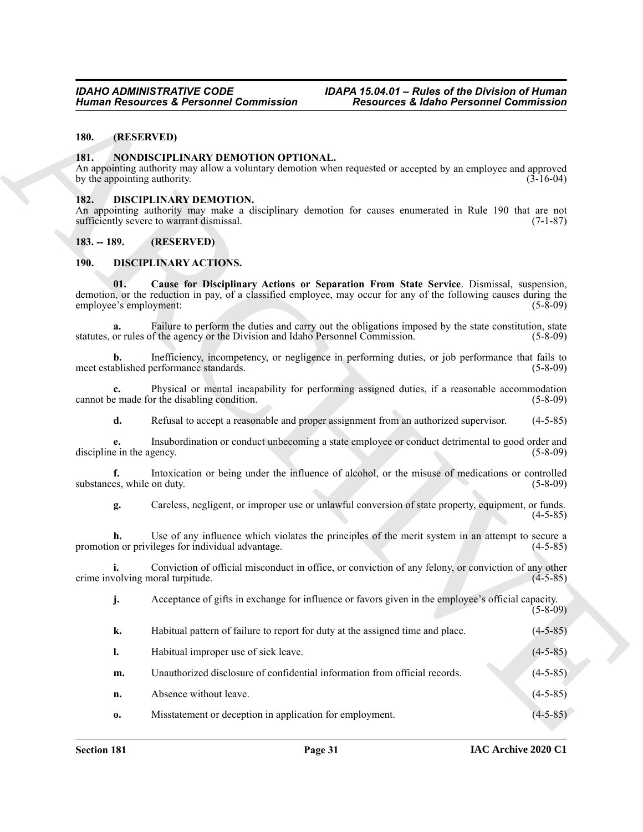#### <span id="page-30-0"></span>**180. (RESERVED)**

#### <span id="page-30-8"></span><span id="page-30-1"></span>**181. NONDISCIPLINARY DEMOTION OPTIONAL.**

#### <span id="page-30-7"></span><span id="page-30-2"></span>**182. DISCIPLINARY DEMOTION.**

#### <span id="page-30-6"></span><span id="page-30-5"></span><span id="page-30-4"></span><span id="page-30-3"></span>**190. DISCIPLINARY ACTIONS.**

|                                      | <b>Human Resources &amp; Personnel Commission</b>                                | <b>Resources &amp; Idaho Personnel Commission</b>                                                                                                                                                            |             |
|--------------------------------------|----------------------------------------------------------------------------------|--------------------------------------------------------------------------------------------------------------------------------------------------------------------------------------------------------------|-------------|
| (RESERVED)<br>180.                   |                                                                                  |                                                                                                                                                                                                              |             |
| 181.<br>by the appointing authority. | NONDISCIPLINARY DEMOTION OPTIONAL.                                               | An appointing authority may allow a voluntary demotion when requested or accepted by an employee and approved                                                                                                | $(3-16-04)$ |
| 182.                                 | <b>DISCIPLINARY DEMOTION.</b><br>sufficiently severe to warrant dismissal.       | An appointing authority may make a disciplinary demotion for causes enumerated in Rule 190 that are not                                                                                                      | $(7-1-87)$  |
| $183. - 189.$                        | (RESERVED)                                                                       |                                                                                                                                                                                                              |             |
| <b>190.</b>                          | DISCIPLINARY ACTIONS.                                                            |                                                                                                                                                                                                              |             |
| 01.<br>employee's employment:        |                                                                                  | Cause for Disciplinary Actions or Separation From State Service. Dismissal, suspension,<br>demotion, or the reduction in pay, of a classified employee, may occur for any of the following causes during the | $(5-8-09)$  |
| a.                                   | statutes, or rules of the agency or the Division and Idaho Personnel Commission. | Failure to perform the duties and carry out the obligations imposed by the state constitution, state                                                                                                         | $(5-8-09)$  |
| b.                                   | meet established performance standards.                                          | Inefficiency, incompetency, or negligence in performing duties, or job performance that fails to                                                                                                             | $(5-8-09)$  |
| $c_{\cdot}$                          | cannot be made for the disabling condition.                                      | Physical or mental incapability for performing assigned duties, if a reasonable accommodation                                                                                                                | $(5-8-09)$  |
| d.                                   |                                                                                  | Refusal to accept a reasonable and proper assignment from an authorized supervisor.                                                                                                                          | $(4-5-85)$  |
| е.<br>discipline in the agency.      |                                                                                  | Insubordination or conduct unbecoming a state employee or conduct detrimental to good order and                                                                                                              | $(5-8-09)$  |
| f.<br>substances, while on duty.     |                                                                                  | Intoxication or being under the influence of alcohol, or the misuse of medications or controlled                                                                                                             | $(5-8-09)$  |
| g.                                   |                                                                                  | Careless, negligent, or improper use or unlawful conversion of state property, equipment, or funds.                                                                                                          | $(4-5-85)$  |
| h.                                   | promotion or privileges for individual advantage.                                | Use of any influence which violates the principles of the merit system in an attempt to secure a                                                                                                             | $(4-5-85)$  |
| crime involving moral turpitude.     |                                                                                  | Conviction of official misconduct in office, or conviction of any felony, or conviction of any other                                                                                                         | $(4-5-85)$  |
| j.                                   |                                                                                  | Acceptance of gifts in exchange for influence or favors given in the employee's official capacity.                                                                                                           | $(5-8-09)$  |
| k.                                   | Habitual pattern of failure to report for duty at the assigned time and place.   |                                                                                                                                                                                                              | $(4-5-85)$  |
| $\mathbf{l}$ .                       | Habitual improper use of sick leave.                                             |                                                                                                                                                                                                              | $(4-5-85)$  |
| m.                                   | Unauthorized disclosure of confidential information from official records.       |                                                                                                                                                                                                              | $(4-5-85)$  |
| n.                                   | Absence without leave.                                                           |                                                                                                                                                                                                              | $(4-5-85)$  |
| 0.                                   | Misstatement or deception in application for employment.                         |                                                                                                                                                                                                              | $(4-5-85)$  |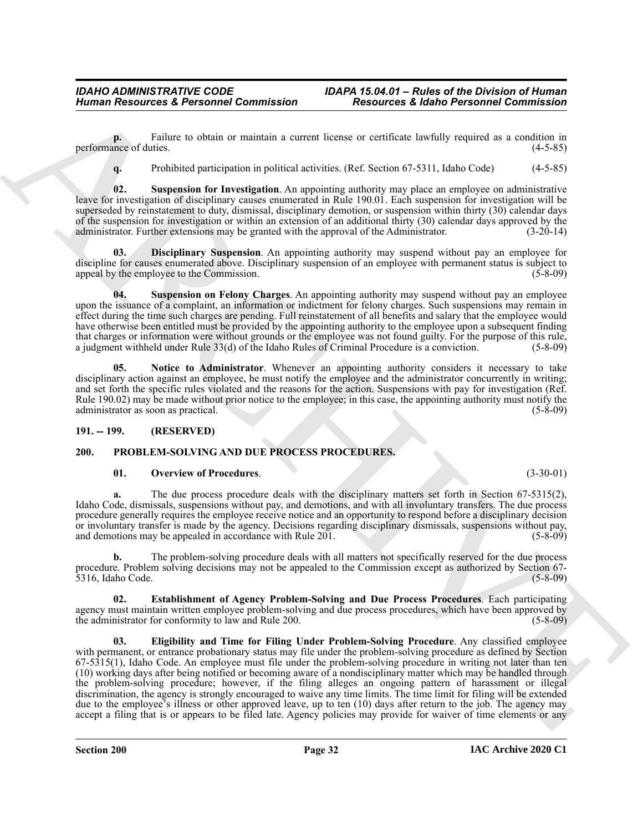**p.** Failure to obtain or maintain a current license or certificate lawfully required as a condition in performance of duties. (4-5-85)

<span id="page-31-4"></span>**q.** Prohibited participation in political activities. (Ref. Section 67-5311, Idaho Code) (4-5-85)

**02. Suspension for Investigation**. An appointing authority may place an employee on administrative leave for investigation of disciplinary causes enumerated in Rule 190.01. Each suspension for investigation will be superseded by reinstatement to duty, dismissal, disciplinary demotion, or suspension within thirty (30) calendar days of the suspension for investigation or within an extension of an additional thirty (30) calendar days approved by the administrator. Further extensions may be granted with the approval of the Administrator. (3-20-14) administrator. Further extensions may be granted with the approval of the Administrator.

<span id="page-31-2"></span>**03. Disciplinary Suspension**. An appointing authority may suspend without pay an employee for discipline for causes enumerated above. Disciplinary suspension of an employee with permanent status is subject to appeal by the employee to the Commission. (5-8-09)

<span id="page-31-5"></span>**04. Suspension on Felony Charges**. An appointing authority may suspend without pay an employee upon the issuance of a complaint, an information or indictment for felony charges. Such suspensions may remain in effect during the time such charges are pending. Full reinstatement of all benefits and salary that the employee would have otherwise been entitled must be provided by the appointing authority to the employee upon a subsequent finding that charges or information were without grounds or the employee was not found guilty. For the purpose of this rule, a judgment withheld under Rule 33(d) of the Idaho Rules of Criminal Procedure is a conviction. (5-8-09) a judgment withheld under Rule  $33(d)$  of the Idaho Rules of Criminal Procedure is a conviction.

<span id="page-31-3"></span>**05. Notice to Administrator**. Whenever an appointing authority considers it necessary to take disciplinary action against an employee, he must notify the employee and the administrator concurrently in writing; and set forth the specific rules violated and the reasons for the action. Suspensions with pay for investigation (Ref. Rule 190.02) may be made without prior notice to the employee; in this case, the appointing authority must notify the administrator as soon as practical. (5-8-09) administrator as soon as practical.

#### <span id="page-31-0"></span>**191. -- 199. (RESERVED)**

#### <span id="page-31-1"></span>**200. PROBLEM-SOLVING AND DUE PROCESS PROCEDURES.**

#### <span id="page-31-9"></span><span id="page-31-6"></span>**01. Overview of Procedures**. (3-30-01)

**a.** The due process procedure deals with the disciplinary matters set forth in Section 67-5315(2), Idaho Code, dismissals, suspensions without pay, and demotions, and with all involuntary transfers. The due process procedure generally requires the employee receive notice and an opportunity to respond before a disciplinary decision or involuntary transfer is made by the agency. Decisions regarding disciplinary dismissals, suspensions without pay, and demotions may be appealed in accordance with Rule 201. (5-8-09) and demotions may be appealed in accordance with Rule 201.

**b.** The problem-solving procedure deals with all matters not specifically reserved for the due process procedure. Problem solving decisions may not be appealed to the Commission except as authorized by Section 67- 5316, Idaho Code.

<span id="page-31-8"></span><span id="page-31-7"></span>**02. Establishment of Agency Problem-Solving and Due Process Procedures**. Each participating agency must maintain written employee problem-solving and due process procedures, which have been approved by the administrator for conformity to law and Rule 200. (5-8-09) (5-8-09)

Human Resources & Personnel Commission<br>
Freedom Commission (and the state of the state of the state of the state of the state of the state of the state of the state of the state of the state of the state of the state of t **03. Eligibility and Time for Filing Under Problem-Solving Procedure**. Any classified employee with permanent, or entrance probationary status may file under the problem-solving procedure as defined by Section 67-5315(1), Idaho Code. An employee must file under the problem-solving procedure in writing not later than ten (10) working days after being notified or becoming aware of a nondisciplinary matter which may be handled through the problem-solving procedure; however, if the filing alleges an ongoing pattern of harassment or illegal discrimination, the agency is strongly encouraged to waive any time limits. The time limit for filing will be extended due to the employee's illness or other approved leave, up to ten (10) days after return to the job. The agency may accept a filing that is or appears to be filed late. Agency policies may provide for waiver of time elements or any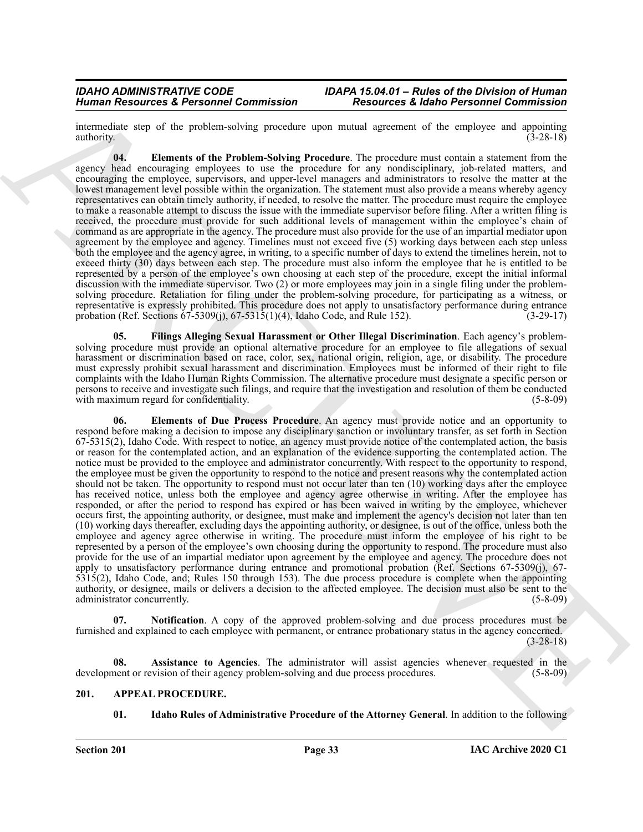intermediate step of the problem-solving procedure upon mutual agreement of the employee and appointing authority.  $(3-28-18)$ 

<span id="page-32-5"></span>**04. Elements of the Problem-Solving Procedure**. The procedure must contain a statement from the agency head encouraging employees to use the procedure for any nondisciplinary, job-related matters, and encouraging the employee, supervisors, and upper-level managers and administrators to resolve the matter at the lowest management level possible within the organization. The statement must also provide a means whereby agency representatives can obtain timely authority, if needed, to resolve the matter. The procedure must require the employee to make a reasonable attempt to discuss the issue with the immediate supervisor before filing. After a written filing is received, the procedure must provide for such additional levels of management within the employee's chain of command as are appropriate in the agency. The procedure must also provide for the use of an impartial mediator upon agreement by the employee and agency. Timelines must not exceed five (5) working days between each step unless both the employee and the agency agree, in writing, to a specific number of days to extend the timelines herein, not to exceed thirty (30) days between each step. The procedure must also inform the employee that he is entitled to be represented by a person of the employee's own choosing at each step of the procedure, except the initial informal discussion with the immediate supervisor. Two (2) or more employees may join in a single filing under the problemsolving procedure. Retaliation for filing under the problem-solving procedure, for participating as a witness, or representative is expressly prohibited. This procedure does not apply to unsatisfactory performance during entrance probation (Ref. Sections 67-5309(j), 67-5315(1)(4), Idaho Code, and Rule 152). (3-29-17)

<span id="page-32-6"></span><span id="page-32-4"></span>**05. Filings Alleging Sexual Harassment or Other Illegal Discrimination**. Each agency's problemsolving procedure must provide an optional alternative procedure for an employee to file allegations of sexual harassment or discrimination based on race, color, sex, national origin, religion, age, or disability. The procedure must expressly prohibit sexual harassment and discrimination. Employees must be informed of their right to file complaints with the Idaho Human Rights Commission. The alternative procedure must designate a specific person or persons to receive and investigate such filings, and require that the investigation and resolution of them be conducted with maximum regard for confidentiality. (5-8-09)

Human Newsletter & Personnel Commission<br>
and the transformation of the procedure and the procedure and system and the system of the origins of the system of the system of the system of the system of the system of the syst **06. Elements of Due Process Procedure**. An agency must provide notice and an opportunity to respond before making a decision to impose any disciplinary sanction or involuntary transfer, as set forth in Section 67-5315(2), Idaho Code. With respect to notice, an agency must provide notice of the contemplated action, the basis or reason for the contemplated action, and an explanation of the evidence supporting the contemplated action. The notice must be provided to the employee and administrator concurrently. With respect to the opportunity to respond, the employee must be given the opportunity to respond to the notice and present reasons why the contemplated action should not be taken. The opportunity to respond must not occur later than ten (10) working days after the employee has received notice, unless both the employee and agency agree otherwise in writing. After the employee has responded, or after the period to respond has expired or has been waived in writing by the employee, whichever occurs first, the appointing authority, or designee, must make and implement the agency's decision not later than ten (10) working days thereafter, excluding days the appointing authority, or designee, is out of the office, unless both the employee and agency agree otherwise in writing. The procedure must inform the employee of his right to be represented by a person of the employee's own choosing during the opportunity to respond. The procedure must also provide for the use of an impartial mediator upon agreement by the employee and agency. The procedure does not apply to unsatisfactory performance during entrance and promotional probation (Ref. Sections 67-5309(j), 67- 5315(2), Idaho Code, and; Rules 150 through 153). The due process procedure is complete when the appointing authority, or designee, mails or delivers a decision to the affected employee. The decision must also be sent to the administrator concurrently.

<span id="page-32-7"></span>**Notification**. A copy of the approved problem-solving and due process procedures must be furnished and explained to each employee with permanent, or entrance probationary status in the agency concerned. (3-28-18)

**Assistance to Agencies**. The administrator will assist agencies whenever requested in the development or revision of their agency problem-solving and due process procedures. (5-8-09)

#### <span id="page-32-0"></span>**201. APPEAL PROCEDURE.**

<span id="page-32-3"></span><span id="page-32-2"></span><span id="page-32-1"></span>**01. Idaho Rules of Administrative Procedure of the Attorney General**. In addition to the following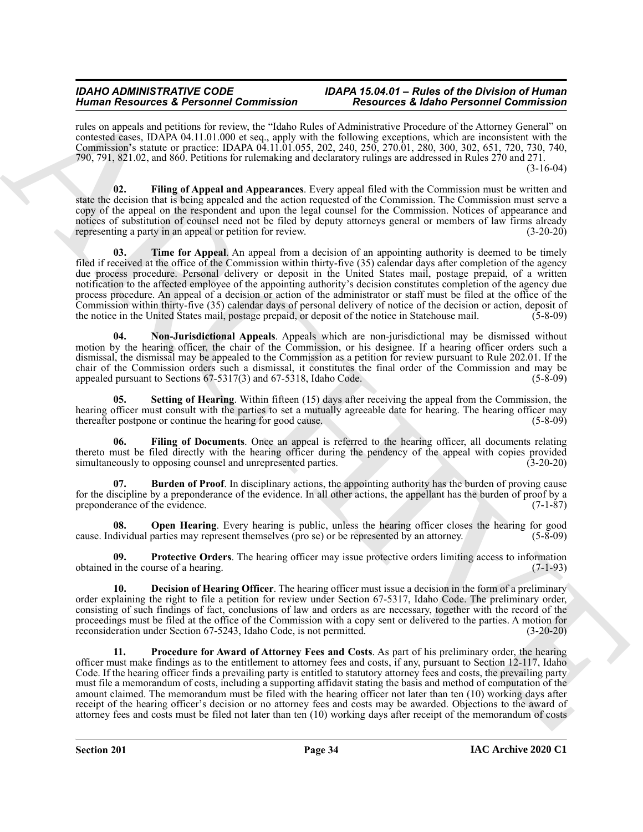#### *IDAHO ADMINISTRATIVE CODE IDAPA 15.04.01 – Rules of the Division of Human Human Resources & Personnel Commission Resources & Idaho Personnel Commission*

rules on appeals and petitions for review, the "Idaho Rules of Administrative Procedure of the Attorney General" on contested cases, IDAPA 04.11.01.000 et seq., apply with the following exceptions, which are inconsistent with the Commission's statute or practice: IDAPA 04.11.01.055, 202, 240, 250, 270.01, 280, 300, 302, 651, 720, 730, 740, 790, 791, 821.02, and 860. Petitions for rulemaking and declaratory rulings are addressed in Rules 270 and 271. (3-16-04)

<span id="page-33-9"></span><span id="page-33-2"></span>**02. Filing of Appeal and Appearances**. Every appeal filed with the Commission must be written and state the decision that is being appealed and the action requested of the Commission. The Commission must serve a copy of the appeal on the respondent and upon the legal counsel for the Commission. Notices of appearance and notices of substitution of counsel need not be filed by deputy attorneys general or members of law firms already representing a party in an appeal or petition for review. (3-20-20)

Human Research & Pershami Schwarzh (1990), and the statistics of Research & Research & Research & Research & Research & Research & Research & Research & Research & Research & Research & Research & Research & Research & Re **03. Time for Appeal**. An appeal from a decision of an appointing authority is deemed to be timely filed if received at the office of the Commission within thirty-five (35) calendar days after completion of the agency due process procedure. Personal delivery or deposit in the United States mail, postage prepaid, of a written notification to the affected employee of the appointing authority's decision constitutes completion of the agency due process procedure. An appeal of a decision or action of the administrator or staff must be filed at the office of the Commission within thirty-five (35) calendar days of personal delivery of notice of the decision or action, deposit of the notice in the United States mail, postage prepaid, or deposit of the notice in Statehouse mail. (5-8-09)

<span id="page-33-4"></span>**04. Non-Jurisdictional Appeals**. Appeals which are non-jurisdictional may be dismissed without motion by the hearing officer, the chair of the Commission, or his designee. If a hearing officer orders such a dismissal, the dismissal may be appealed to the Commission as a petition for review pursuant to Rule 202.01. If the chair of the Commission orders such a dismissal, it constitutes the final order of the Commission and may be appealed pursuant to Sections 67-5317(3) and 67-5318, Idaho Code. (5-8-09)

<span id="page-33-8"></span>**05. Setting of Hearing**. Within fifteen (15) days after receiving the appeal from the Commission, the hearing officer must consult with the parties to set a mutually agreeable date for hearing. The hearing officer may thereafter postpone or continue the hearing for good cause. (5-8-09) thereafter postpone or continue the hearing for good cause.

<span id="page-33-3"></span>**06. Filing of Documents**. Once an appeal is referred to the hearing officer, all documents relating thereto must be filed directly with the hearing officer during the pendency of the appeal with copies provided simultaneously to opposing counsel and unrepresented parties. (3-20-20)

<span id="page-33-0"></span>**07. Burden of Proof**. In disciplinary actions, the appointing authority has the burden of proving cause for the discipline by a preponderance of the evidence. In all other actions, the appellant has the burden of proof by a preponderance of the evidence. preponderance of the evidence.

<span id="page-33-5"></span>**08.** Open Hearing. Every hearing is public, unless the hearing officer closes the hearing for good dividual parties may represent themselves (pro se) or be represented by an attorney. (5-8-09) cause. Individual parties may represent themselves (pro se) or be represented by an attorney.

<span id="page-33-7"></span>**09. Protective Orders**. The hearing officer may issue protective orders limiting access to information obtained in the course of a hearing. (7-1-93)

<span id="page-33-1"></span>**10. Decision of Hearing Officer**. The hearing officer must issue a decision in the form of a preliminary order explaining the right to file a petition for review under Section 67-5317, Idaho Code. The preliminary order, consisting of such findings of fact, conclusions of law and orders as are necessary, together with the record of the proceedings must be filed at the office of the Commission with a copy sent or delivered to the parties. A motion for reconsideration under Section 67-5243, Idaho Code, is not permitted. (3-20-20)

<span id="page-33-6"></span>**11. Procedure for Award of Attorney Fees and Costs**. As part of his preliminary order, the hearing officer must make findings as to the entitlement to attorney fees and costs, if any, pursuant to Section 12-117, Idaho Code. If the hearing officer finds a prevailing party is entitled to statutory attorney fees and costs, the prevailing party must file a memorandum of costs, including a supporting affidavit stating the basis and method of computation of the amount claimed. The memorandum must be filed with the hearing officer not later than ten (10) working days after receipt of the hearing officer's decision or no attorney fees and costs may be awarded. Objections to the award of attorney fees and costs must be filed not later than ten (10) working days after receipt of the memorandum of costs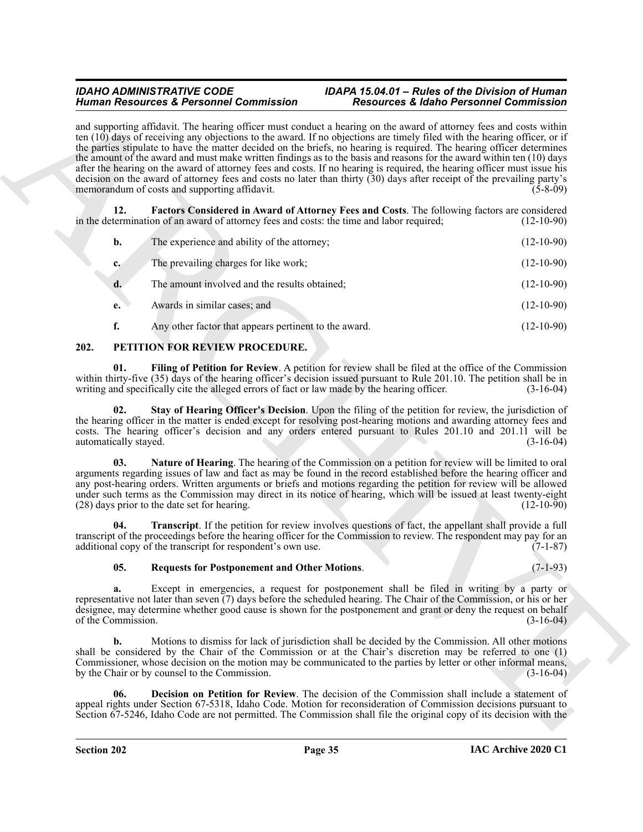### <span id="page-34-1"></span>*IDAHO ADMINISTRATIVE CODE IDAPA 15.04.01 – Rules of the Division of Human*

|                              | <b>Human Resources &amp; Personnel Commission</b>                                                                                                                                                                                                                                                                                                                                                                                                                                                                    | <b>Resources &amp; Idaho Personnel Commission</b>                                                                                                                                                                                                                                                                                                                                                                                                                                                                                                                                                                                                                                                                                                                            |              |
|------------------------------|----------------------------------------------------------------------------------------------------------------------------------------------------------------------------------------------------------------------------------------------------------------------------------------------------------------------------------------------------------------------------------------------------------------------------------------------------------------------------------------------------------------------|------------------------------------------------------------------------------------------------------------------------------------------------------------------------------------------------------------------------------------------------------------------------------------------------------------------------------------------------------------------------------------------------------------------------------------------------------------------------------------------------------------------------------------------------------------------------------------------------------------------------------------------------------------------------------------------------------------------------------------------------------------------------------|--------------|
|                              | memorandum of costs and supporting affidavit.                                                                                                                                                                                                                                                                                                                                                                                                                                                                        | and supporting affidavit. The hearing officer must conduct a hearing on the award of attorney fees and costs within<br>ten $(10)$ days of receiving any objections to the award. If no objections are timely filed with the hearing officer, or if<br>the parties stipulate to have the matter decided on the briefs, no hearing is required. The hearing officer determines<br>the amount of the award and must make written findings as to the basis and reasons for the award within ten (10) days<br>after the hearing on the award of attorney fees and costs. If no hearing is required, the hearing officer must issue his<br>decision on the award of attorney fees and costs no later than thirty $(30)$ days after receipt of the prevailing party's<br>$(5-8-09)$ |              |
| 12.                          | Factors Considered in Award of Attorney Fees and Costs. The following factors are considered<br>in the determination of an award of attorney fees and costs: the time and labor required;                                                                                                                                                                                                                                                                                                                            |                                                                                                                                                                                                                                                                                                                                                                                                                                                                                                                                                                                                                                                                                                                                                                              | $(12-10-90)$ |
| b.                           | The experience and ability of the attorney;                                                                                                                                                                                                                                                                                                                                                                                                                                                                          |                                                                                                                                                                                                                                                                                                                                                                                                                                                                                                                                                                                                                                                                                                                                                                              | $(12-10-90)$ |
| $c_{\cdot}$                  | The prevailing charges for like work;                                                                                                                                                                                                                                                                                                                                                                                                                                                                                |                                                                                                                                                                                                                                                                                                                                                                                                                                                                                                                                                                                                                                                                                                                                                                              | $(12-10-90)$ |
| d.                           | The amount involved and the results obtained;                                                                                                                                                                                                                                                                                                                                                                                                                                                                        |                                                                                                                                                                                                                                                                                                                                                                                                                                                                                                                                                                                                                                                                                                                                                                              | $(12-10-90)$ |
| e.                           | Awards in similar cases; and                                                                                                                                                                                                                                                                                                                                                                                                                                                                                         |                                                                                                                                                                                                                                                                                                                                                                                                                                                                                                                                                                                                                                                                                                                                                                              | $(12-10-90)$ |
| f.                           | Any other factor that appears pertinent to the award.                                                                                                                                                                                                                                                                                                                                                                                                                                                                |                                                                                                                                                                                                                                                                                                                                                                                                                                                                                                                                                                                                                                                                                                                                                                              | $(12-10-90)$ |
| 202.                         | PETITION FOR REVIEW PROCEDURE.                                                                                                                                                                                                                                                                                                                                                                                                                                                                                       |                                                                                                                                                                                                                                                                                                                                                                                                                                                                                                                                                                                                                                                                                                                                                                              |              |
| 01.                          | Filing of Petition for Review. A petition for review shall be filed at the office of the Commission<br>within thirty-five (35) days of the hearing officer's decision issued pursuant to Rule 201.10. The petition shall be in<br>writing and specifically cite the alleged errors of fact or law made by the hearing officer.                                                                                                                                                                                       |                                                                                                                                                                                                                                                                                                                                                                                                                                                                                                                                                                                                                                                                                                                                                                              | $(3-16-04)$  |
| 02.<br>automatically stayed. | Stay of Hearing Officer's Decision. Upon the filing of the petition for review, the jurisdiction of<br>the hearing officer in the matter is ended except for resolving post-hearing motions and awarding attorney fees and<br>costs. The hearing officer's decision and any orders entered pursuant to Rules 201.10 and 201.11 will be                                                                                                                                                                               |                                                                                                                                                                                                                                                                                                                                                                                                                                                                                                                                                                                                                                                                                                                                                                              | $(3-16-04)$  |
| 03.                          | Nature of Hearing. The hearing of the Commission on a petition for review will be limited to oral<br>arguments regarding issues of law and fact as may be found in the record established before the hearing officer and<br>any post-hearing orders. Written arguments or briefs and motions regarding the petition for review will be allowed<br>under such terms as the Commission may direct in its notice of hearing, which will be issued at least twenty-eight<br>(28) days prior to the date set for hearing. |                                                                                                                                                                                                                                                                                                                                                                                                                                                                                                                                                                                                                                                                                                                                                                              | $(12-10-90)$ |
| 04.                          | Transcript. If the petition for review involves questions of fact, the appellant shall provide a full<br>transcript of the proceedings before the hearing officer for the Commission to review. The respondent may pay for an<br>additional copy of the transcript for respondent's own use.                                                                                                                                                                                                                         |                                                                                                                                                                                                                                                                                                                                                                                                                                                                                                                                                                                                                                                                                                                                                                              | $(7-1-87)$   |
| 05.                          | <b>Requests for Postponement and Other Motions.</b>                                                                                                                                                                                                                                                                                                                                                                                                                                                                  |                                                                                                                                                                                                                                                                                                                                                                                                                                                                                                                                                                                                                                                                                                                                                                              | $(7-1-93)$   |
| a.<br>of the Commission.     | Except in emergencies, a request for postponement shall be filed in writing by a party or<br>representative not later than seven $(7)$ days before the scheduled hearing. The Chair of the Commission, or his or her<br>designee, may determine whether good cause is shown for the postponement and grant or deny the request on behalf                                                                                                                                                                             |                                                                                                                                                                                                                                                                                                                                                                                                                                                                                                                                                                                                                                                                                                                                                                              | $(3-16-04)$  |
| b.                           | Motions to dismiss for lack of jurisdiction shall be decided by the Commission. All other motions<br>shall be considered by the Chair of the Commission or at the Chair's discretion may be referred to one (1)<br>Commissioner, whose decision on the motion may be communicated to the parties by letter or other informal means,<br>by the Chair or by counsel to the Commission.                                                                                                                                 |                                                                                                                                                                                                                                                                                                                                                                                                                                                                                                                                                                                                                                                                                                                                                                              | $(3-16-04)$  |
| 06.                          | Decision on Petition for Review. The decision of the Commission shall include a statement of<br>appeal rights under Section 67-5318, Idaho Code. Motion for reconsideration of Commission decisions pursuant to                                                                                                                                                                                                                                                                                                      |                                                                                                                                                                                                                                                                                                                                                                                                                                                                                                                                                                                                                                                                                                                                                                              |              |

#### <span id="page-34-8"></span><span id="page-34-7"></span><span id="page-34-6"></span><span id="page-34-5"></span><span id="page-34-4"></span><span id="page-34-3"></span><span id="page-34-2"></span><span id="page-34-0"></span>**202. PETITION FOR REVIEW PROCEDURE.**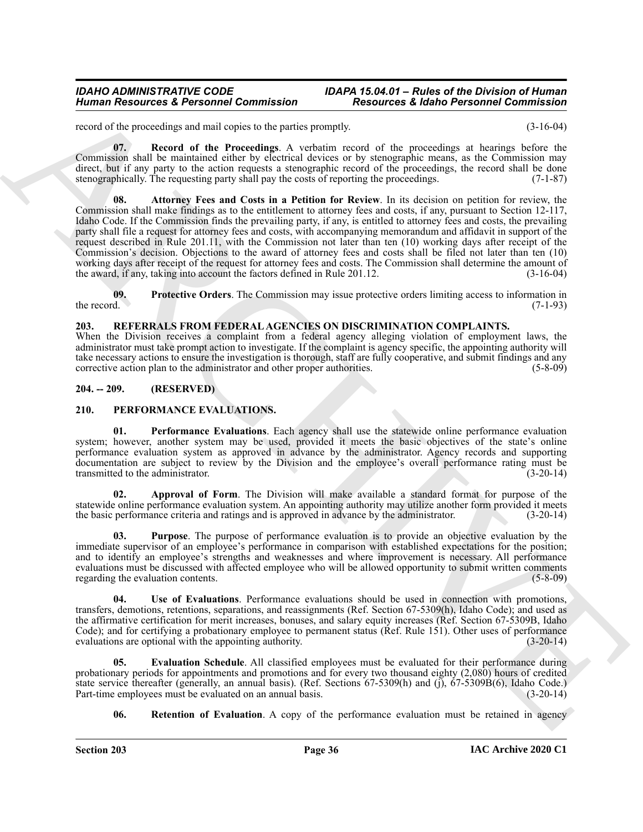### *IDAHO ADMINISTRATIVE CODE IDAPA 15.04.01 – Rules of the Division of Human*

record of the proceedings and mail copies to the parties promptly. (3-16-04)

<span id="page-35-11"></span><span id="page-35-9"></span>**07. Record of the Proceedings**. A verbatim record of the proceedings at hearings before the Commission shall be maintained either by electrical devices or by stenographic means, as the Commission may direct, but if any party to the action requests a stenographic record of the proceedings, the record shall be done stenographically. The requesting party shall pay the costs of reporting the proceedings. (7-1-87)

Human Resources & Personnel Commission<br>
Norman Resources & Personnel Commission<br>
The action of the procedure and of the procedure and of the procedure and the procedure and the procedure and the procedure and the procedur **08. Attorney Fees and Costs in a Petition for Review**. In its decision on petition for review, the Commission shall make findings as to the entitlement to attorney fees and costs, if any, pursuant to Section 12-117, Idaho Code. If the Commission finds the prevailing party, if any, is entitled to attorney fees and costs, the prevailing party shall file a request for attorney fees and costs, with accompanying memorandum and affidavit in support of the request described in Rule 201.11, with the Commission not later than ten (10) working days after receipt of the Commission's decision. Objections to the award of attorney fees and costs shall be filed not later than ten (10) working days after receipt of the request for attorney fees and costs. The Commission shall determine the amount of the award, if any, taking into account the factors defined in Rule 201.12. (3-16-04)

<span id="page-35-10"></span>**09. Protective Orders**. The Commission may issue protective orders limiting access to information in the record. (7-1-93)

#### <span id="page-35-12"></span><span id="page-35-0"></span>**203. REFERRALS FROM FEDERAL AGENCIES ON DISCRIMINATION COMPLAINTS.**

When the Division receives a complaint from a federal agency alleging violation of employment laws, the administrator must take prompt action to investigate. If the complaint is agency specific, the appointing authority will take necessary actions to ensure the investigation is thorough, staff are fully cooperative, and submit findings and any corrective action plan to the administrator and other proper authorities. (5-8-09)

#### <span id="page-35-1"></span>**204. -- 209. (RESERVED)**

#### <span id="page-35-3"></span><span id="page-35-2"></span>**210. PERFORMANCE EVALUATIONS.**

**01.** Performance Evaluations. Each agency shall use the statewide online performance evaluation system; however, another system may be used, provided it meets the basic objectives of the state's online performance evaluation system as approved in advance by the administrator. Agency records and supporting documentation are subject to review by the Division and the employee's overall performance rating must be transmitted to the administrator. (3-20-14)

<span id="page-35-4"></span>**02. Approval of Form**. The Division will make available a standard format for purpose of the statewide online performance evaluation system. An appointing authority may utilize another form provided it meets the basic performance criteria and ratings and is approved in advance by the administrator. (3-20-14)

<span id="page-35-6"></span>**03. Purpose**. The purpose of performance evaluation is to provide an objective evaluation by the immediate supervisor of an employee's performance in comparison with established expectations for the position; and to identify an employee's strengths and weaknesses and where improvement is necessary. All performance evaluations must be discussed with affected employee who will be allowed opportunity to submit written comments regarding the evaluation contents. (5-8-09) regarding the evaluation contents.

<span id="page-35-8"></span>**04. Use of Evaluations**. Performance evaluations should be used in connection with promotions, transfers, demotions, retentions, separations, and reassignments (Ref. Section 67-5309(h), Idaho Code); and used as the affirmative certification for merit increases, bonuses, and salary equity increases (Ref. Section 67-5309B, Idaho Code); and for certifying a probationary employee to permanent status (Ref. Rule 151). Other uses of performance evaluations are optional with the appointing authority. (3-20-14) evaluations are optional with the appointing authority.

**Evaluation Schedule**. All classified employees must be evaluated for their performance during probationary periods for appointments and promotions and for every two thousand eighty (2,080) hours of credited state service thereafter (generally, an annual basis). (Ref. Sections 67-5309(h) and (j), 67-5309B(6), Idaho Code.)<br>Part-time employees must be evaluated on an annual basis. (3-20-14) Part-time employees must be evaluated on an annual basis.

<span id="page-35-7"></span><span id="page-35-5"></span>**06.** Retention of Evaluation. A copy of the performance evaluation must be retained in agency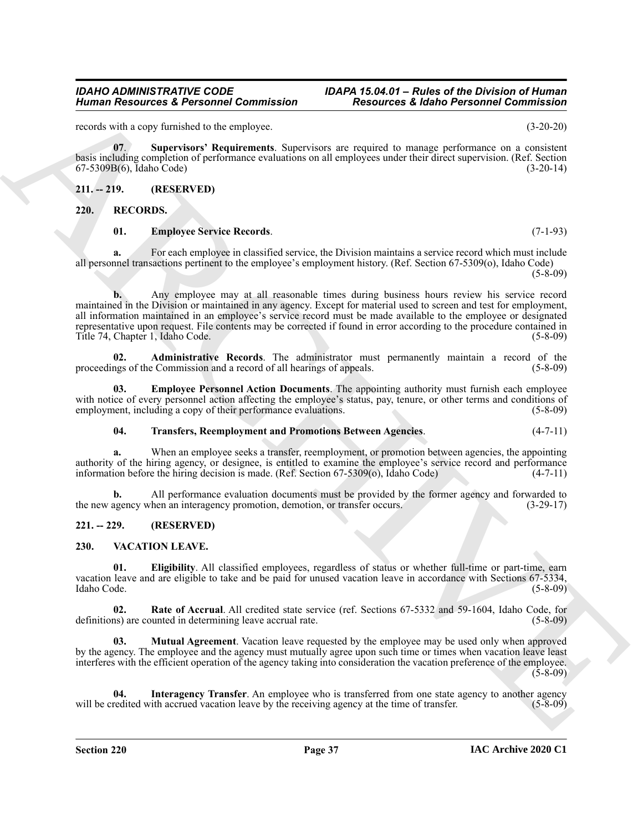#### **Section 220 Page 37**

#### **IAC Archive 2020 C1**

#### *IDAHO ADMINISTRATIVE CODE IDAPA 15.04.01 – Rules of the Division of Human Human Resources & Personnel Commission Resources & Idaho Personnel Commission*

records with a copy furnished to the employee. (3-20-20)

<span id="page-36-4"></span>**07**. **Supervisors' Requirements**. Supervisors are required to manage performance on a consistent basis including completion of performance evaluations on all employees under their direct supervision. (Ref. Section 67-5309B(6), Idaho Code) (3-20-14)

#### <span id="page-36-0"></span>**211. -- 219. (RESERVED)**

#### <span id="page-36-1"></span>**220. RECORDS.**

#### <span id="page-36-8"></span><span id="page-36-5"></span>**01. Employee Service Records**. (7-1-93)

**a.** For each employee in classified service, the Division maintains a service record which must include all personnel transactions pertinent to the employee's employment history. (Ref. Section 67-5309(o), Idaho Code)  $(5-8-09)$ 

Human Researches & Personnel Commission<br>
Northern Persons (2) the explore of the interaction of the experiment of the experiment of the experiment of the experiment of the experiment of the experiment of the experiment of **b.** Any employee may at all reasonable times during business hours review his service record maintained in the Division or maintained in any agency. Except for material used to screen and test for employment, all information maintained in an employee's service record must be made available to the employee or designated representative upon request. File contents may be corrected if found in error according to the procedure contained in Title 74, Chapter 1, Idaho Code. (5-8-09)

<span id="page-36-6"></span>**02. Administrative Records**. The administrator must permanently maintain a record of the proceedings of the Commission and a record of all hearings of appeals. (5-8-09)

**03. Employee Personnel Action Documents**. The appointing authority must furnish each employee with notice of every personnel action affecting the employee's status, pay, tenure, or other terms and conditions of employment, including a copy of their performance evaluations. (5-8-09) employment, including a copy of their performance evaluations.

#### <span id="page-36-9"></span><span id="page-36-7"></span>**04. Transfers, Reemployment and Promotions Between Agencies**. (4-7-11)

**a.** When an employee seeks a transfer, reemployment, or promotion between agencies, the appointing authority of the hiring agency, or designee, is entitled to examine the employee's service record and performance<br>information before the hiring decision is made. (Ref. Section 67-5309(o), Idaho Code) (4-7-11) information before the hiring decision is made. (Ref. Section  $67-5309$ (o), Idaho Code)

**b.** All performance evaluation documents must be provided by the former agency and forwarded to the new agency when an interagency promotion, demotion, or transfer occurs. (3-29-17)

#### <span id="page-36-2"></span>**221. -- 229. (RESERVED)**

#### <span id="page-36-10"></span><span id="page-36-3"></span>**230. VACATION LEAVE.**

<span id="page-36-11"></span>**01. Eligibility**. All classified employees, regardless of status or whether full-time or part-time, earn vacation leave and are eligible to take and be paid for unused vacation leave in accordance with Sections 67-5334,<br>(5-8-09) Idaho Code. (5-8-09)

<span id="page-36-14"></span>**02. Rate of Accrual**. All credited state service (ref. Sections 67-5332 and 59-1604, Idaho Code, for definitions) are counted in determining leave accrual rate. (5-8-09)

<span id="page-36-13"></span>**03. Mutual Agreement**. Vacation leave requested by the employee may be used only when approved by the agency. The employee and the agency must mutually agree upon such time or times when vacation leave least interferes with the efficient operation of the agency taking into consideration the vacation preference of the employee. (5-8-09)

<span id="page-36-12"></span>**04.** Interagency Transfer. An employee who is transferred from one state agency to another agency redited with accrued vacation leave by the receiving agency at the time of transfer. (5-8-09) will be credited with accrued vacation leave by the receiving agency at the time of transfer.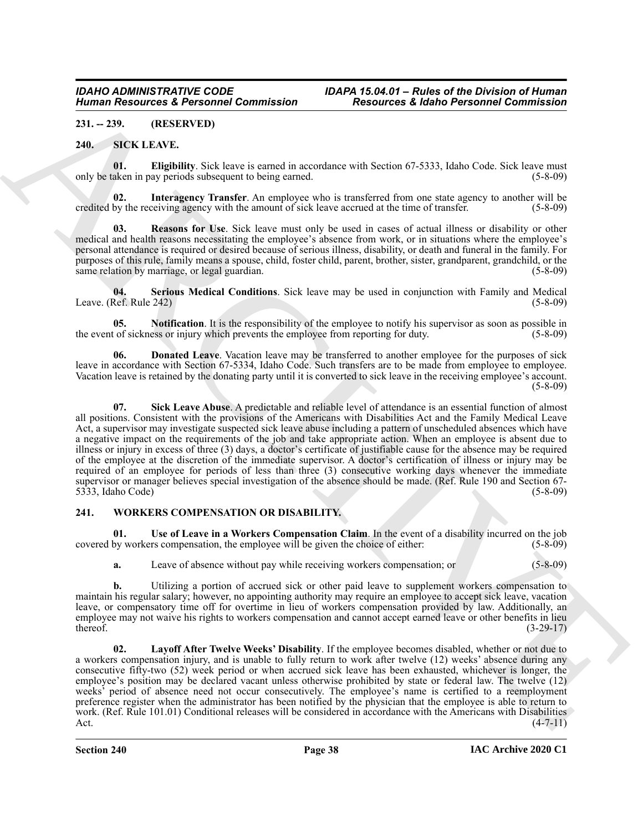#### <span id="page-37-0"></span>**231. -- 239. (RESERVED)**

#### <span id="page-37-3"></span><span id="page-37-1"></span>**240. SICK LEAVE.**

<span id="page-37-5"></span>**01. Eligibility**. Sick leave is earned in accordance with Section 67-5333, Idaho Code. Sick leave must only be taken in pay periods subsequent to being earned. (5-8-09)

<span id="page-37-6"></span>**Interagency Transfer**. An employee who is transferred from one state agency to another will be credited by the receiving agency with the amount of sick leave accrued at the time of transfer. (5-8-09)

<span id="page-37-8"></span>**03. Reasons for Use**. Sick leave must only be used in cases of actual illness or disability or other medical and health reasons necessitating the employee's absence from work, or in situations where the employee's personal attendance is required or desired because of serious illness, disability, or death and funeral in the family. For purposes of this rule, family means a spouse, child, foster child, parent, brother, sister, grandparent, grandchild, or the same relation by marriage, or legal guardian. (5-8-09) same relation by marriage, or legal guardian.

<span id="page-37-9"></span>**04. Serious Medical Conditions**. Sick leave may be used in conjunction with Family and Medical Leave. (Ref. Rule 242)  $(5-8-09)$ 

<span id="page-37-7"></span>**05. Notification**. It is the responsibility of the employee to notify his supervisor as soon as possible in the of sickness or injury which prevents the employee from reporting for duty. (5-8-09) the event of sickness or injury which prevents the employee from reporting for duty.

<span id="page-37-10"></span><span id="page-37-4"></span>**06. Donated Leave**. Vacation leave may be transferred to another employee for the purposes of sick leave in accordance with Section 67-5334, Idaho Code. Such transfers are to be made from employee to employee. Vacation leave is retained by the donating party until it is converted to sick leave in the receiving employee's account. (5-8-09)

Human Research & Revision Commission<br>
241. 229. (1838-1844) Commission <sup>22</sup> Research & Kidner Postmann Commission<br>
241. 229. (1838-1844) 201. 229. (1838-1844) 201. 229. (1838-1844) 201. 229. (1838-1844) 201. 229. (1838-18 **07. Sick Leave Abuse**. A predictable and reliable level of attendance is an essential function of almost all positions. Consistent with the provisions of the Americans with Disabilities Act and the Family Medical Leave Act, a supervisor may investigate suspected sick leave abuse including a pattern of unscheduled absences which have a negative impact on the requirements of the job and take appropriate action. When an employee is absent due to illness or injury in excess of three (3) days, a doctor's certificate of justifiable cause for the absence may be required of the employee at the discretion of the immediate supervisor. A doctor's certification of illness or injury may be required of an employee for periods of less than three (3) consecutive working days whenever the immediate supervisor or manager believes special investigation of the absence should be made. (Ref. Rule 190 and Section 67-<br>5333, Idaho Code) (5-8-09)  $5333$ , Idaho Code)

#### <span id="page-37-11"></span><span id="page-37-2"></span>**241. WORKERS COMPENSATION OR DISABILITY.**

**01.** Use of Leave in a Workers Compensation Claim. In the event of a disability incurred on the job by workers compensation, the employee will be given the choice of either: (5-8-09) covered by workers compensation, the employee will be given the choice of either:

<span id="page-37-13"></span>**a.** Leave of absence without pay while receiving workers compensation; or (5-8-09)

**b.** Utilizing a portion of accrued sick or other paid leave to supplement workers compensation to maintain his regular salary; however, no appointing authority may require an employee to accept sick leave, vacation leave, or compensatory time off for overtime in lieu of workers compensation provided by law. Additionally, an employee may not waive his rights to workers compensation and cannot accept earned leave or other benefits in lieu  $t = (3-29-17)$ 

<span id="page-37-12"></span>**02. Layoff After Twelve Weeks' Disability**. If the employee becomes disabled, whether or not due to a workers compensation injury, and is unable to fully return to work after twelve (12) weeks' absence during any consecutive fifty-two (52) week period or when accrued sick leave has been exhausted, whichever is longer, the employee's position may be declared vacant unless otherwise prohibited by state or federal law. The twelve (12) weeks' period of absence need not occur consecutively. The employee's name is certified to a reemployment preference register when the administrator has been notified by the physician that the employee is able to return to work. (Ref. Rule 101.01) Conditional releases will be considered in accordance with the Americans with Disabilities Act.  $(4-7-11)$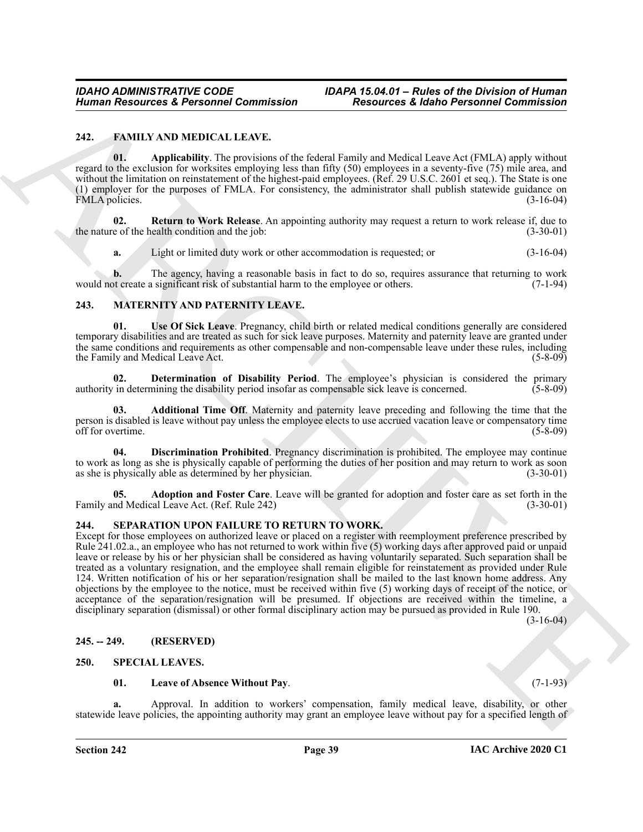#### <span id="page-38-5"></span><span id="page-38-0"></span>**242. FAMILY AND MEDICAL LEAVE.**

<span id="page-38-6"></span>**01. Applicability**. The provisions of the federal Family and Medical Leave Act (FMLA) apply without regard to the exclusion for worksites employing less than fifty (50) employees in a seventy-five (75) mile area, and without the limitation on reinstatement of the highest-paid employees. (Ref. 29 U.S.C. 2601 et seq.). The State is one (1) employer for the purposes of FMLA. For consistency, the administrator shall publish statewide guidance on FMLA policies. (3-16-04)

**02.** Return to Work Release. An appointing authority may request a return to work release if, due to e of the health condition and the job: (3-30-01) the nature of the health condition and the job:

<span id="page-38-13"></span><span id="page-38-7"></span>**a.** Light or limited duty work or other accommodation is requested; or (3-16-04)

**b.** The agency, having a reasonable basis in fact to do so, requires assurance that returning to work of create a significant risk of substantial harm to the employee or others. (7-1-94) would not create a significant risk of substantial harm to the employee or others.

#### <span id="page-38-8"></span><span id="page-38-1"></span>**243. MATERNITY AND PATERNITY LEAVE.**

**01. Use Of Sick Leave**. Pregnancy, child birth or related medical conditions generally are considered temporary disabilities and are treated as such for sick leave purposes. Maternity and paternity leave are granted under the same conditions and requirements as other compensable and non-compensable leave under these rules, including<br>the Family and Medical Leave Act. (5-8-09) the Family and Medical Leave Act.

<span id="page-38-11"></span>**02. Determination of Disability Period**. The employee's physician is considered the primary in determining the disability period insofar as compensable sick leave is concerned. (5-8-09) authority in determining the disability period insofar as compensable sick leave is concerned.

<span id="page-38-9"></span>**03. Additional Time Off**. Maternity and paternity leave preceding and following the time that the person is disabled is leave without pay unless the employee elects to use accrued vacation leave or compensatory time off for overtime. (5-8-09)

<span id="page-38-12"></span>**04. Discrimination Prohibited**. Pregnancy discrimination is prohibited. The employee may continue to work as long as she is physically capable of performing the duties of her position and may return to work as soon as she is physically able as determined by her physician. (3-30-01)

<span id="page-38-10"></span>**05. Adoption and Foster Care**. Leave will be granted for adoption and foster care as set forth in the Family and Medical Leave Act. (Ref. Rule 242) (3-30-01)

#### <span id="page-38-14"></span><span id="page-38-2"></span>**244. SEPARATION UPON FAILURE TO RETURN TO WORK.**

Human Research & Personnel Commission<br>
22. EAMIXAVED Material Commission<br>
23. EAMIXAVED Material Commission<br>
23. EAMIXAVED Material Commission Control in the following the Relation Research of Commission<br>
23. EAMIXAVED Ma Except for those employees on authorized leave or placed on a register with reemployment preference prescribed by Rule 241.02.a., an employee who has not returned to work within five (5) working days after approved paid or unpaid leave or release by his or her physician shall be considered as having voluntarily separated. Such separation shall be treated as a voluntary resignation, and the employee shall remain eligible for reinstatement as provided under Rule 124. Written notification of his or her separation/resignation shall be mailed to the last known home address. Any objections by the employee to the notice, must be received within five (5) working days of receipt of the notice, or acceptance of the separation/resignation will be presumed. If objections are received within the timeline, a disciplinary separation (dismissal) or other formal disciplinary action may be pursued as provided in Rule 190.

(3-16-04)

#### <span id="page-38-3"></span>**245. -- 249. (RESERVED)**

#### <span id="page-38-4"></span>**250. SPECIAL LEAVES.**

#### <span id="page-38-16"></span><span id="page-38-15"></span>**01. Leave of Absence Without Pay**. (7-1-93)

**a.** Approval. In addition to workers' compensation, family medical leave, disability, or other statewide leave policies, the appointing authority may grant an employee leave without pay for a specified length of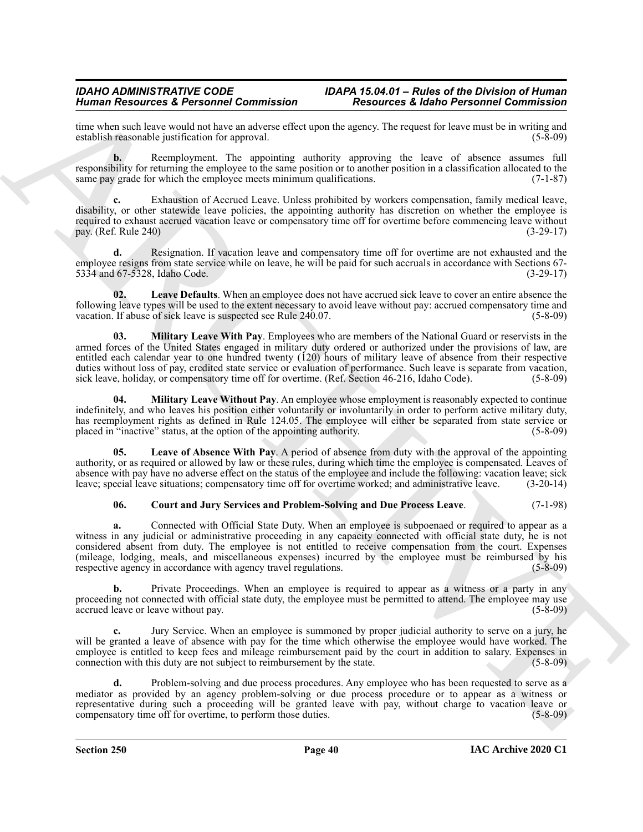time when such leave would not have an adverse effect upon the agency. The request for leave must be in writing and establish reasonable iustification for approval. establish reasonable justification for approval.

**b.** Reemployment. The appointing authority approving the leave of absence assumes full responsibility for returning the employee to the same position or to another position in a classification allocated to the same pay grade for which the employee meets minimum qualifications. (7-1-87)

**c.** Exhaustion of Accrued Leave. Unless prohibited by workers compensation, family medical leave, disability, or other statewide leave policies, the appointing authority has discretion on whether the employee is required to exhaust accrued vacation leave or compensatory time off for overtime before commencing leave without pay. (Ref. Rule 240) (3-29-17)

**d.** Resignation. If vacation leave and compensatory time off for overtime are not exhausted and the employee resigns from state service while on leave, he will be paid for such accruals in accordance with Sections 67- 5334 and 67-5328, Idaho Code. (3-29-17)

<span id="page-39-1"></span>**02. Leave Defaults**. When an employee does not have accrued sick leave to cover an entire absence the following leave types will be used to the extent necessary to avoid leave without pay: accrued compensatory time and vacation. If abuse of sick leave is suspected see Rule 240.07. (5-8-09)

<span id="page-39-3"></span>**03. Military Leave With Pay**. Employees who are members of the National Guard or reservists in the armed forces of the United States engaged in military duty ordered or authorized under the provisions of law, are entitled each calendar year to one hundred twenty (120) hours of military leave of absence from their respective duties without loss of pay, credited state service or evaluation of performance. Such leave is separate from vacation, sick leave, holiday, or compensatory time off for overtime. (Ref. Section 46-216, Idaho Code). (5-8-09)

<span id="page-39-4"></span>**04.** Military Leave Without Pay. An employee whose employment is reasonably expected to continue indefinitely, and who leaves his position either voluntarily or involuntarily in order to perform active military duty, has reemployment rights as defined in Rule 124.05. The employee will either be separated from state service or placed in "inactive" status, at the option of the appointing authority. (5-8-09)

**05. Leave of Absence With Pay**. A period of absence from duty with the approval of the appointing authority, or as required or allowed by law or these rules, during which time the employee is compensated. Leaves of absence with pay have no adverse effect on the status of the employee and include the following: vacation leave; sick leave; special leave situations; compensatory time off for overtime worked; and administrative leave. (3-20-14)

#### <span id="page-39-2"></span><span id="page-39-0"></span>**06. Court and Jury Services and Problem-Solving and Due Process Leave**. (7-1-98)

Human Research & Persishering Commission<br>
Research & Horizonta Commission<br>
Research & Figure 2003. The restriction of the state of the state of the state of the state of the state of the state of the state of the state of **a.** Connected with Official State Duty. When an employee is subpoenaed or required to appear as a witness in any judicial or administrative proceeding in any capacity connected with official state duty, he is not considered absent from duty. The employee is not entitled to receive compensation from the court. Expenses (mileage, lodging, meals, and miscellaneous expenses) incurred by the employee must be reimbursed by his respective agency in accordance with agency travel regulations. (5-8-09)

**b.** Private Proceedings. When an employee is required to appear as a witness or a party in any proceeding not connected with official state duty, the employee must be permitted to attend. The employee may use accrued leave or leave without pay. (5-8-09)

Jury Service. When an employee is summoned by proper judicial authority to serve on a jury, he will be granted a leave of absence with pay for the time which otherwise the employee would have worked. The employee is entitled to keep fees and mileage reimbursement paid by the court in addition to salary. Expenses in connection with this duty are not subject to reimbursement by the state. (5-8-09)

**d.** Problem-solving and due process procedures. Any employee who has been requested to serve as a mediator as provided by an agency problem-solving or due process procedure or to appear as a witness or representative during such a proceeding will be granted leave with pay, without charge to vacation leave or compensatory time off for overtime, to perform those duties. (5-8-09)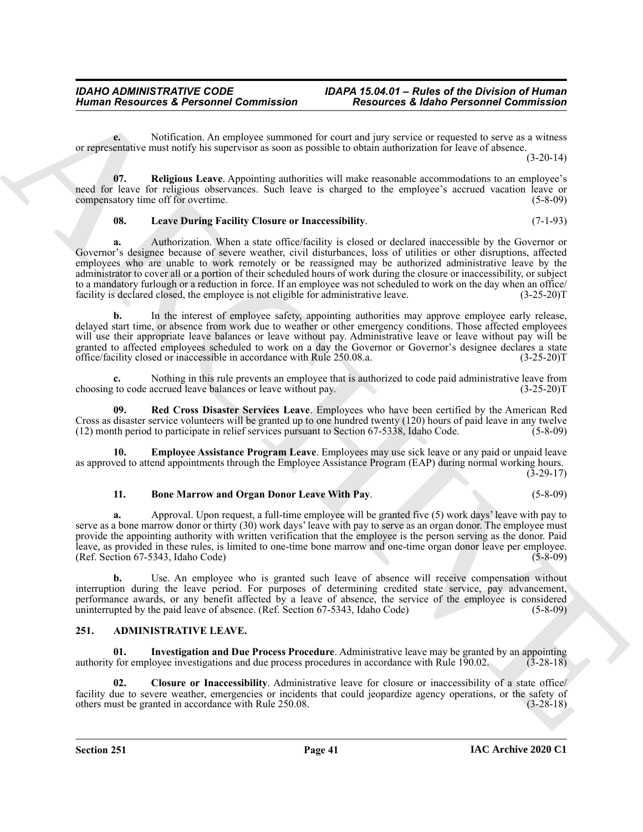**e.** Notification. An employee summoned for court and jury service or requested to serve as a witness or representative must notify his supervisor as soon as possible to obtain authorization for leave of absence.

(3-20-14)

**07. Religious Leave**. Appointing authorities will make reasonable accommodations to an employee's need for leave for religious observances. Such leave is charged to the employee's accrued vacation leave or compensatory time off for overtime. compensatory time off for overtime.

#### <span id="page-40-8"></span><span id="page-40-6"></span>**08. Leave During Facility Closure or Inaccessibility**. (7-1-93)

Human Resources & Personnel Commission<br>
Neurole A. European et al. Personnel Commission<br>
Neurole A. Commission Commission (1988)<br>
Service and the system of the system of the system of the system of the system of the syste **a.** Authorization. When a state office/facility is closed or declared inaccessible by the Governor or Governor's designee because of severe weather, civil disturbances, loss of utilities or other disruptions, affected employees who are unable to work remotely or be reassigned may be authorized administrative leave by the administrator to cover all or a portion of their scheduled hours of work during the closure or inaccessibility, or subject to a mandatory furlough or a reduction in force. If an employee was not scheduled to work on the day when an office/<br>facility is declared closed, the employee is not eligible for administrative leave. (3-25-20) facility is declared closed, the employee is not eligible for administrative leave.

**b.** In the interest of employee safety, appointing authorities may approve employee early release, delayed start time, or absence from work due to weather or other emergency conditions. Those affected employees will use their appropriate leave balances or leave without pay. Administrative leave or leave without pay will be granted to affected employees scheduled to work on a day the Governor or Governor's designee declares a state<br>office/facility closed or inaccessible in accordance with Rule 250.08.a. (3-25-20) office/facility closed or inaccessible in accordance with Rule 250.08.a.

**c.** Nothing in this rule prevents an employee that is authorized to code paid administrative leave from to code accrued leave balances or leave without pay. (3-25-20) choosing to code accrued leave balances or leave without pay.

<span id="page-40-7"></span>**09. Red Cross Disaster Services Leave**. Employees who have been certified by the American Red Cross as disaster service volunteers will be granted up to one hundred twenty (120) hours of paid leave in any twelve (12) month period to participate in relief services pursuant to Section 67-5338, Idaho Code. (5-8-09)

**10. Employee Assistance Program Leave**. Employees may use sick leave or any paid or unpaid leave as approved to attend appointments through the Employee Assistance Program (EAP) during normal working hours.  $(3-29-17)$ 

#### <span id="page-40-5"></span><span id="page-40-4"></span>**11. Bone Marrow and Organ Donor Leave With Pay**. (5-8-09)

**a.** Approval. Upon request, a full-time employee will be granted five (5) work days' leave with pay to serve as a bone marrow donor or thirty (30) work days' leave with pay to serve as an organ donor. The employee must provide the appointing authority with written verification that the employee is the person serving as the donor. Paid leave, as provided in these rules, is limited to one-time bone marrow and one-time organ donor leave per employee. (Ref. Section 67-5343, Idaho Code) (5-8-09)

**b.** Use. An employee who is granted such leave of absence will receive compensation without interruption during the leave period. For purposes of determining credited state service, pay advancement, performance awards, or any benefit affected by a leave of absence, the service of the employee is considered uninterrupted by the paid leave of absence. (Ref. Section 67-5343, Idaho Code) (5-8-09)

#### <span id="page-40-1"></span><span id="page-40-0"></span>**251. ADMINISTRATIVE LEAVE.**

<span id="page-40-3"></span>**01. Investigation and Due Process Procedure**. Administrative leave may be granted by an appointing authority for employee investigations and due process procedures in accordance with Rule 190.02. (3-28-18)

<span id="page-40-2"></span>**02. Closure or Inaccessibility**. Administrative leave for closure or inaccessibility of a state office/ facility due to severe weather, emergencies or incidents that could jeopardize agency operations, or the safety of others must be granted in accordance with Rule 250.08. (3-28-18) others must be granted in accordance with Rule 250.08.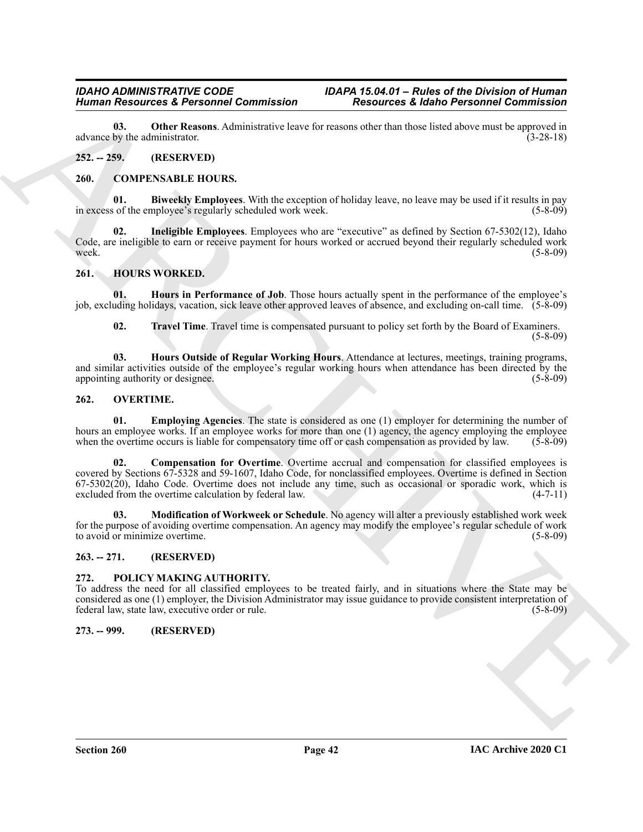<span id="page-41-7"></span>**03. Other Reasons**. Administrative leave for reasons other than those listed above must be approved in by the administratior. (3-28-18) advance by the administrator.

#### <span id="page-41-0"></span>**252. -- 259. (RESERVED)**

#### <span id="page-41-8"></span><span id="page-41-1"></span>**260. COMPENSABLE HOURS.**

<span id="page-41-9"></span>**01. Biweekly Employees**. With the exception of holiday leave, no leave may be used if it results in pay in excess of the employee's regularly scheduled work week. (5-8-09)

<span id="page-41-10"></span>**02. Ineligible Employees**. Employees who are "executive" as defined by Section 67-5302(12), Idaho Code, are ineligible to earn or receive payment for hours worked or accrued beyond their regularly scheduled work<br>(5-8-09) week. (5-8-09)

#### <span id="page-41-11"></span><span id="page-41-2"></span>**261. HOURS WORKED.**

**01. Hours in Performance of Job**. Those hours actually spent in the performance of the employee's job, excluding holidays, vacation, sick leave other approved leaves of absence, and excluding on-call time. (5-8-09)

<span id="page-41-14"></span><span id="page-41-13"></span><span id="page-41-12"></span>**02. Travel Time**. Travel time is compensated pursuant to policy set forth by the Board of Examiners.  $(5-8-09)$ 

**03. Hours Outside of Regular Working Hours**. Attendance at lectures, meetings, training programs, and similar activities outside of the employee's regular working hours when attendance has been directed by the appointing authority or designee. (5-8-09)  $(5-8-0)$ 

#### <span id="page-41-15"></span><span id="page-41-3"></span>**262. OVERTIME.**

<span id="page-41-17"></span><span id="page-41-16"></span>**01. Employing Agencies**. The state is considered as one (1) employer for determining the number of hours an employee works. If an employee works for more than one (1) agency, the agency employing the employee when the overtime occurs is liable for compensatory time off or cash compensation as provided by law. (5-8-09)

Human Resources & Protein on Commutation<br>
23. Other Resources & Radio Personnel Commutation<br>
24. Other Resources On the European Commutation<br>
24. 259. ARCHIVEN (2001)<br>
24. 259. ARCHIVENG (2001)<br>
24. 259. ARCHIVENG (2001)<br> **02. Compensation for Overtime**. Overtime accrual and compensation for classified employees is covered by Sections 67-5328 and 59-1607, Idaho Code, for nonclassified employees. Overtime is defined in Section  $67-5302(20)$ , Idaho Code. Overtime does not include any time, such as occasional or sporadic work, which is excluded from the overtime calculation by federal law. (4-7-11)

<span id="page-41-18"></span>**03. Modification of Workweek or Schedule**. No agency will alter a previously established work week for the purpose of avoiding overtime compensation. An agency may modify the employee's regular schedule of work<br>to avoid or minimize overtime. (5-8-09) to avoid or minimize overtime.

#### <span id="page-41-4"></span>**263. -- 271. (RESERVED)**

#### <span id="page-41-19"></span><span id="page-41-5"></span>**272. POLICY MAKING AUTHORITY.**

To address the need for all classified employees to be treated fairly, and in situations where the State may be considered as one (1) employer, the Division Administrator may issue guidance to provide consistent interpretation of federal law, state law, executive order or rule. (5-8-09)

#### <span id="page-41-6"></span>**273. -- 999. (RESERVED)**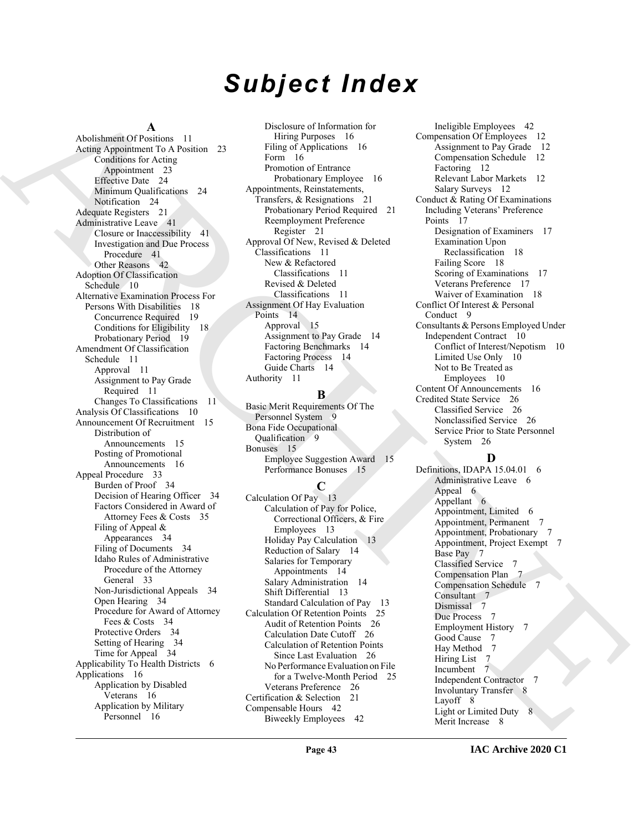# *Subject Index*

#### **A**

[A](#page-22-5)bout a consider the constraints of the constraints of the constraints of the constraints of the constraints of the constraints of the constraints of the constraints of the constraints of the constraints of the constraint Abolishment Of Positions 11 Acting Appointment To A Position 23 Conditions for Acting Appointment 23 Effective Date 24 Minimum Qualifications 24 Notification 24 Adequate Registers 21 Administrative Leave 41 Closure or Inaccessibility 41 Investigation and Due Process Procedure 41 Other Reasons 42 Adoption Of Classification Schedule 10 Alternative Examination Process For Persons With Disabilities 18 Concurrence Required 19 Conditions for Eligibility 18 Probationary Period 19 Amendment Of Classification Schedule 11 Approval 11 Assignment to Pay Grade Required 11 Changes To Classifications 11 Analysis Of Classifications 10 Announcement Of Recruitment 15 Distribution of Announcements 15 Posting of Promotional Announcements 16 Appeal Procedure 33 Burden of Proof 34 Decision of Hearing Officer 34 Factors Considered in Award of Attorney Fees & Costs 35 Filing of Appeal & Appearances 34 Filing of Documents 34 Idaho Rules of Administrative Procedure of the Attorney General 33 Non-Jurisdictional Appeals 34 Open Hearing 34 Procedure for Award of Attorney Fees & Costs 34 Protective Orders 34 Setting of Hearing 34 Time for Appeal 34 Applicability To Health Districts 6 Applications 16 Application by Disabled Veterans 16 Application by Military Personnel 16

Disclosure of Information for Hiring Purposes 16 Filing of Applications 16 Form 16 Promotion of Entrance Probationary Employee 16 Appointments, Reinstatements, Transfers, & Resignations 21 Probationary Period Required 21 Reemployment Preference Register 21 Approval Of New, Revised & Deleted Classifications 11 New & Refactored Classifications 11 Revised & Deleted Classifications 11 Assignment Of Hay Evaluation Points 14 Approval 15 Assignment to Pay Grade 14 Factoring Benchmarks 14 Factoring Process 14 Guide Charts 14 Authority 11

#### **B**

Basic Merit Requirements Of The Personnel System 9 Bona Fide Occupational Qualification 9 Bonuses 15 Employee Suggestion Award 15 Performance Bonuses 15

#### **C**

Calculation Of Pay 13 Calculation of Pay for Police, Correctional Officers, & Fire Employees 13 Holiday Pay Calculation 13 Reduction of Salary 14 Salaries for Temporary Appointments 14 Salary Administration 14 Shift Differential 13 Standard Calculation of Pay 13 Calculation Of Retention Points 25 Audit of Retention Points 26 Calculation Date Cutoff 26 Calculation of Retention Points Since Last Evaluation 26 No Performance Evaluation on File for a Twelve-Month Period 25 Veterans Preference 26 Certification & Selection 21 Compensable Hours 42 Biweekly Employees 42

Ineligible Employees 42 Compensation Of Employees 12 Assignment to Pay Grade 12 Compensation Schedule 12 Factoring 12 Relevant Labor Markets 12 Salary Surveys 12 Conduct & Rating Of Examinations Including Veterans' Preference Points 17 Designation of Examiners 17 Examination Upon Reclassification 18 Failing Score 18 Scoring of Examinations 17 Veterans Preference 17 Waiver of Examination 18 Conflict Of Interest & Personal Conduct 9 Consultants & Persons Employed Under Independent Contract 10 Conflict of Interest/Nepotism 10 Limited Use Only 10 Not to Be Treated as Employees 10 Content Of Announcements 16 Credited State Service 26 Classified Service 26 Nonclassified Service 26 Service Prior to State Personnel System 26

#### **D**

Definitions, IDAPA 15.04.01 6 Administrative Leave 6 Appeal 6 Appellant 6 Appointment, Limited 6 Appointment, Permanent 7 Appointment, Probationary 7 Appointment, Project Exempt 7 Base Pay 7 Classified Service 7 Compensation Plan 7 Compensation Schedule 7 Consultant 7 Dismissal 7 Due Process 7 Employment History 7 Good Cause 7 Hay Method 7 Hiring List 7 Incumbent 7 Independent Contractor 7 Involuntary Transfer 8 Layoff 8 Light or Limited Duty 8 Merit Increase 8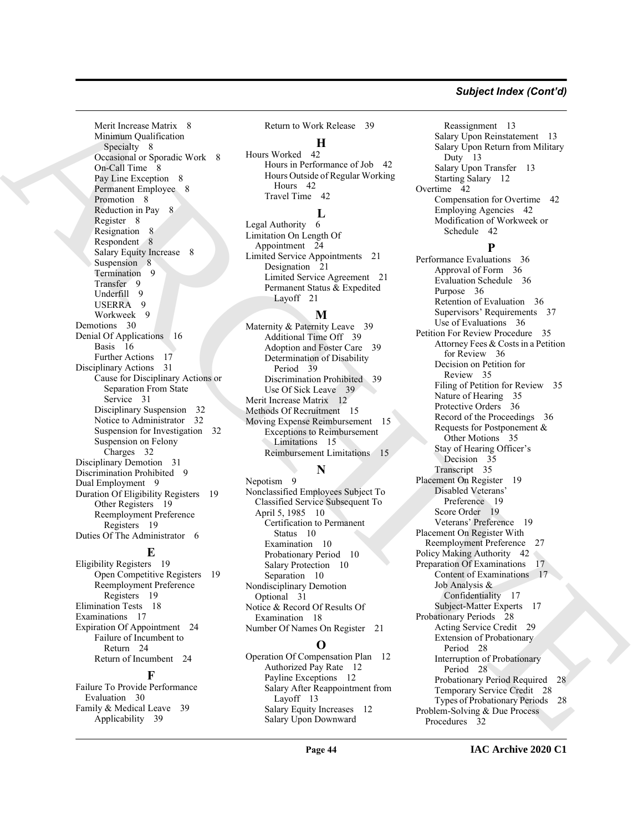#### *Subject Index (Cont'd)*

Merit Increase Matrix 8 Minimum Qualification Specialty 8 Occasional or Sporadic Work 8 On-Call Time 8 Pay Line Exception 8 Permanent Employee 8 Promotion 8 Reduction in Pay 8 Register 8 Resignation 8 Respondent 8 Salary Equity Increase 8 Suspension 8 Termination 9 Transfer 9 Underfill 9 USERRA 9 Workweek 9 Demotions 30 Denial Of Applications 16 Basis 16 Further Actions 17 Disciplinary Actions 31 Cause for Disciplinary Actions or Separation From State Service 31 Disciplinary Suspension 32 Notice to Administrator 32 Suspension for Investigation 32 Suspension on Felony Charges 32 Disciplinary Demotion 31 Discrimination Prohibited 9 Dual Employment 9 Duration Of Eligibility Registers 19 Other Registers 19 Reemployment Preference Registers 19 Duties Of The Administrator 6

#### **E**

Eligibility Registers 19 Open Competitive Registers 19 Reemployment Preference Registers 19 Elimination Tests 18 Examinations 17 Expiration Of Appointment 24 Failure of Incumbent to Return 24 Return of Incumbent 24

#### **F**

Failure To Provide Performance Evaluation 30 Family & Medical Leave 39 Applicability 39

Return to Work Release 39

#### **H**

Hours Worked 42 Hours in Performance of Job 42 Hours Outside of Regular Working Hours 42 Travel Time 42

#### **L**

Legal Authority 6 Limitation On Length Of Appointment 24 Limited Service Appointments 21 Designation 21 Limited Service Agreement 21 Permanent Status & Expedited Layoff 21

#### **M**

Maternity & Paternity Leave 39 Additional Time Off 39 Adoption and Foster Care 39 Determination of Disability Period 39 Discrimination Prohibited 39 Use Of Sick Leave 39 Merit Increase Matrix 12 Methods Of Recruitment 15 Moving Expense Reimbursement 15 Exceptions to Reimbursement Limitations 15 Reimbursement Limitations 15

#### **N**

Nepotism 9 Nonclassified Employees Subject To Classified Service Subsequent To April 5, 1985 10 Certification to Permanent Status 10 Examination 10 Probationary Period 10 Salary Protection 10 Separation 10 Nondisciplinary Demotion Optional 31 Notice & Record Of Results Of Examination 18 Number Of Names On Register 21

#### **O**

Operation Of Compensation Plan 12 Authorized Pay Rate 12 Payline Exceptions 12 Salary After Reappointment from Layoff 13 Salary Equity Increases 12 Salary Upon Downward

Reassignment 13 Salary Upon Reinstatement 13 Salary Upon Return from Military Duty 13 Salary Upon Transfer 13 Starting Salary 12 Overtime 42 Compensation for Overtime 42 Employing Agencies 42 Modification of Workweek or Schedule 42

#### **P**

Meeti means of the set of the basis of the set of the first of the set of the set of the set of the set of the set of the set of the set of the set of the set of the set of the set of the set of the set of the set of the Performance Evaluations 36 Approval of Form 36 Evaluation Schedule 36 Purpose 36 Retention of Evaluation 36 Supervisors' Requirements 37 Use of Evaluations 36 Petition For Review Procedure 35 Attorney Fees & Costs in a Petition for Review 36 Decision on Petition for Review 35 Filing of Petition for Review 35 Nature of Hearing 35 Protective Orders 36 Record of the Proceedings 36 Requests for Postponement & Other Motions<sup>35</sup> Stay of Hearing Officer's Decision 35 Transcript 35 Placement On Register 19 Disabled Veterans' Preference 19 Score Order 19 Veterans' Preference 19 Placement On Register With Reemployment Preference 27 Policy Making Authority 42 Preparation Of Examinations 17 Content of Examinations 17 Job Analysis & Confidentiality 17 Subject-Matter Experts 17 Probationary Periods 28 Acting Service Credit 29 Extension of Probationary Period 28 Interruption of Probationary Period 28 Probationary Period Required 28 Temporary Service Credit 28 Types of Probationary Periods 28 Problem-Solving & Due Process Procedures 32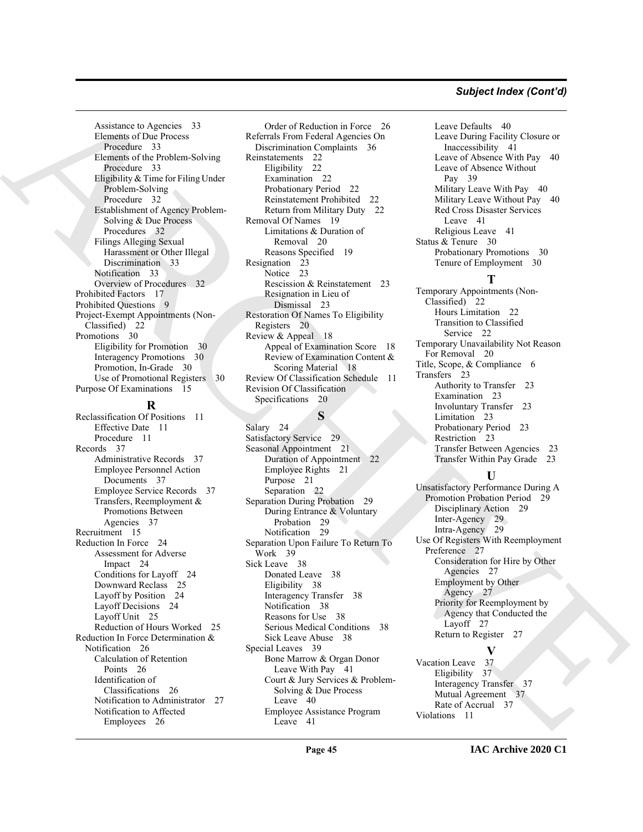#### *Subject Index (Cont'd)*

Assistance to Agencies 33 Elements of Due Process Procedure 33 Elements of the Problem-Solving Procedure 33 Eligibility & Time for Filing Under Problem-Solving Procedure 32 Establishment of Agency Problem-Solving & Due Process Procedures 32 Filings Alleging Sexual Harassment or Other Illegal Discrimination 33 Notification 33 Overview of Procedures 32 Prohibited Factors 17 Prohibited Questions 9 Project-Exempt Appointments (Non-Classified) 22 Promotions 30 Eligibility for Promotion 30 Interagency Promotions 30 Promotion, In-Grade 30 Use of Promotional Registers 30 Purpose Of Examinations 15

#### **R**

Reclassification Of Positions 11 Effective Date 11 Procedure 11 Records 37 Administrative Records 37 Employee Personnel Action Documents 37 Employee Service Records 37 Transfers, Reemployment & Promotions Between Agencies 37 Recruitment 15 Reduction In Force 24 Assessment for Adverse Impact 24 Conditions for Layoff 24 Downward Reclass 25 Layoff by Position 24 Layoff Decisions 24 Layoff Unit 25 Reduction of Hours Worked 25 Reduction In Force Determination & Notification 26 Calculation of Retention Points 26 Identification of Classifications 26 Notification to Administrator 27 Notification to Affected Employees 26

[A](#page-31-7)venture b. Applies 3. [I](#page-28-8)n the contribution of the contribution of the contribution of the contribution of the contribution of the contribution of the contribution of the contribution of the contribution of the contributio Order of Reduction in Force 26 Referrals From Federal Agencies On Discrimination Complaints 36 Reinstatements 22 Eligibility 22 Examination 22 Probationary Period 22 Reinstatement Prohibited 22 Return from Military Duty 22 Removal Of Names 19 Limitations & Duration of Removal 20 Reasons Specified 19 Resignation 23 Notice 23 Rescission & Reinstatement 23 Resignation in Lieu of Dismissal 23 Restoration Of Names To Eligibility Registers 20 Review & Appeal 18 Appeal of Examination Score 18 Review of Examination Content & Scoring Material 18 Review Of Classification Schedule 11 Revision Of Classification Specifications 20

**S**

Salary 24 Satisfactory Service 29 Seasonal Appointment 21 Duration of Appointment 22 Employee Rights 21 Purpose 21 Separation 22 Separation During Probation 29 During Entrance & Voluntary Probation 29 Notification 29 Separation Upon Failure To Return To Work 39 Sick Leave 38 Donated Leave 38 Eligibility 38 Interagency Transfer 38 Notification 38 Reasons for Use 38 Serious Medical Conditions 38 Sick Leave Abuse 38 Special Leaves 39 Bone Marrow & Organ Donor Leave With Pay 41 Court & Jury Services & Problem-Solving & Due Process Leave 40 Employee Assistance Program Leave 41

Leave Defaults 40 Leave During Facility Closure or Inaccessibility 41 Leave of Absence With Pay 40 Leave of Absence Without Pay 39 Military Leave With Pay 40 Military Leave Without Pay 40 Red Cross Disaster Services Leave 41 Religious Leave 41 Status & Tenure 30 Probationary Promotions 30 Tenure of Employment 30

#### **T**

Temporary Appointments (Non-Classified) 22 Hours Limitation 22 Transition to Classified Service 22 Temporary Unavailability Not Reason For Removal 20 Title, Scope, & Compliance 6 Transfers 23 Authority to Transfer 23 Examination 23 Involuntary Transfer 23 Limitation 23 Probationary Period 23 Restriction 23 Transfer Between Agencies 23 Transfer Within Pay Grade 23

#### **U**

Unsatisfactory Performance During A Promotion Probation Period 29 Disciplinary Action 29 Inter-Agency 29 Intra-Agency 29 Use Of Registers With Reemployment Preference 27 Consideration for Hire by Other Agencies 27 Employment by Other Agency 27 Priority for Reemployment by Agency that Conducted the Layoff 27 Return to Register 27 **V**

Vacation Leave 37 Eligibility 37 Interagency Transfer 37 Mutual Agreement 37 Rate of Accrual 37 Violations 11